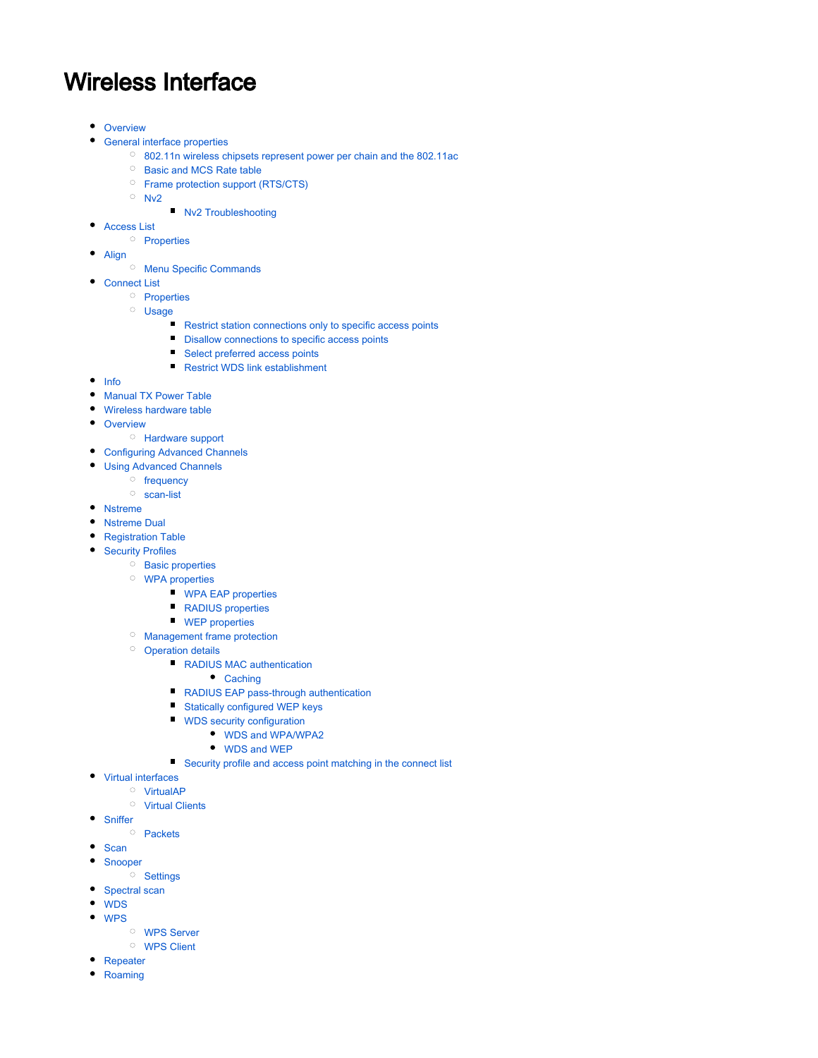# Wireless Interface

- [Overview](#page-1-0)
- [General interface properties](#page-1-1)
	- [802.11n wireless chipsets represent power per chain and the 802.11ac](#page-9-0)
	- <sup>O</sup> [Basic and MCS Rate table](#page-9-1)
	- <sup>O</sup> [Frame protection support \(RTS/CTS\)](#page-10-0)
	- $O$  [Nv2](#page-11-0)
		- [Nv2 Troubleshooting](#page-11-1)
- [Access List](#page-11-2)
- <sup>O</sup> [Properties](#page-12-0)
- [Align](#page-13-0)
	- <sup>O</sup> [Menu Specific Commands](#page-13-1)
- [Connect List](#page-13-2)
	- <sup>O</sup> [Properties](#page-14-0)
	- <sup>O</sup> [Usage](#page-14-1)
		- [Restrict station connections only to specific access points](#page-14-2)
		- **[Disallow connections to specific access points](#page-15-0)**
		- [Select preferred access points](#page-15-1)
		- [Restrict WDS link establishment](#page-15-2)
- $\bullet$  [Info](#page-15-3)
- [Manual TX Power Table](#page-16-0)  $\bullet$
- $\bullet$ [Wireless hardware table](#page-16-1)
- [Overview](#page-18-0)
	- <sup>O</sup> [Hardware support](#page-18-1)
- [Configuring Advanced Channels](#page-18-2)
- [Using Advanced Channels](#page-19-0)
	- <sup>o</sup> [frequency](#page-19-1)
		- [scan-list](#page-19-2)
- [Nstreme](#page-19-3)
- [Nstreme Dual](#page-20-0)
- **•** [Registration Table](#page-21-0)
- **[Security Profiles](#page-25-0)** 
	- <sup>o</sup> [Basic properties](#page-25-1)
	- [WPA properties](#page-25-2)
		- **[WPA EAP properties](#page-26-0)**
		- **RADIUS** properties
		- [WEP properties](#page-28-0)
	- [Management frame protection](#page-28-1)
	- <sup>O</sup> [Operation details](#page-29-0)
		- [RADIUS MAC authentication](#page-29-1)
			- [Caching](#page-30-0)
		- **[RADIUS EAP pass-through authentication](#page-30-1)**
		- [Statically configured WEP keys](#page-30-2)
		- [WDS security configuration](#page-30-3)
			- [WDS and WPA/WPA2](#page-30-4)
			- [WDS and WEP](#page-31-0)
		- [Security profile and access point matching in the connect list](#page-31-1)
- [Virtual interfaces](#page-31-2)
	- <sup>O</sup> [VirtualAP](#page-31-3)
	- <sup>O</sup> [Virtual Clients](#page-31-4)
- [Sniffer](#page-31-5)
- $O$  [Packets](#page-32-0)
- $\bullet$  [Scan](#page-32-1)
- [Snooper](#page-33-0)
	- <sup>O</sup> [Settings](#page-34-0)
- [Spectral scan](#page-34-1)
- [WDS](#page-34-2)
- [WPS](#page-35-0)
	- [WPS Server](#page-35-1)
	- [WPS Client](#page-35-2)
- [Repeater](#page-36-0)
- [Roaming](#page-36-1)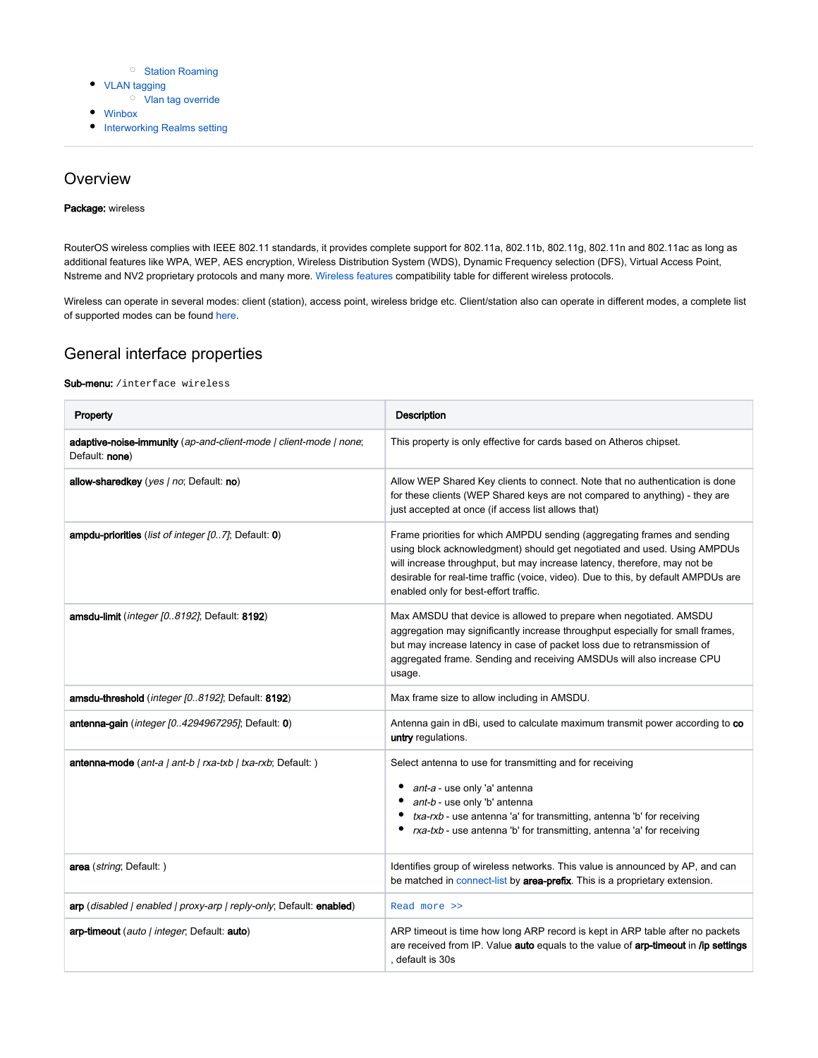#### <sup>O</sup> [Station Roaming](#page-36-2)

- [VLAN tagging](#page-36-3) <sup>O</sup> [Vlan tag override](#page-37-0)
- 
- [Winbox](#page-37-1)
- **•** [Interworking Realms setting](#page-37-2)

## <span id="page-1-0"></span>**Overview**

#### Package: wireless

RouterOS wireless complies with IEEE 802.11 standards, it provides complete support for 802.11a, 802.11b, 802.11g, 802.11n and 802.11ac as long as additional features like WPA, WEP, AES encryption, Wireless Distribution System (WDS), Dynamic Frequency selection (DFS), Virtual Access Point, Nstreme and NV2 proprietary protocols and many more. [Wireless features](https://wiki.mikrotik.com/wiki/Wireless_Matrix) compatibility table for different wireless protocols.

Wireless can operate in several modes: client (station), access point, wireless bridge etc. Client/station also can operate in different modes, a complete list of supported modes can be found [here.](https://wiki.mikrotik.com/wiki/Manual:Wireless_Station_Modes)

## <span id="page-1-1"></span>General interface properties

#### Sub-menu: /interface wireless

| Property                                                                            | Description                                                                                                                                                                                                                                                                                                                                                      |  |  |
|-------------------------------------------------------------------------------------|------------------------------------------------------------------------------------------------------------------------------------------------------------------------------------------------------------------------------------------------------------------------------------------------------------------------------------------------------------------|--|--|
| adaptive-noise-immunity (ap-and-client-mode   client-mode   none;<br>Default: none) | This property is only effective for cards based on Atheros chipset.                                                                                                                                                                                                                                                                                              |  |  |
| allow-sharedkey (yes   no; Default: no)                                             | Allow WEP Shared Key clients to connect. Note that no authentication is done<br>for these clients (WEP Shared keys are not compared to anything) - they are<br>just accepted at once (if access list allows that)                                                                                                                                                |  |  |
| ampdu-priorities (list of integer [07]; Default: 0)                                 | Frame priorities for which AMPDU sending (aggregating frames and sending<br>using block acknowledgment) should get negotiated and used. Using AMPDUs<br>will increase throughput, but may increase latency, therefore, may not be<br>desirable for real-time traffic (voice, video). Due to this, by default AMPDUs are<br>enabled only for best-effort traffic. |  |  |
| amsdu-limit (integer [08192]; Default: 8192)                                        | Max AMSDU that device is allowed to prepare when negotiated. AMSDU<br>aggregation may significantly increase throughput especially for small frames,<br>but may increase latency in case of packet loss due to retransmission of<br>aggregated frame. Sending and receiving AMSDUs will also increase CPU<br>usage.                                              |  |  |
| amsdu-threshold (integer [0.8192]; Default: 8192)                                   | Max frame size to allow including in AMSDU.                                                                                                                                                                                                                                                                                                                      |  |  |
| antenna-gain ( <i>integer [04294967295]</i> ; Default: 0)                           | Antenna gain in dBi, used to calculate maximum transmit power according to co<br>untry regulations.                                                                                                                                                                                                                                                              |  |  |
| antenna-mode (ant-a   ant-b   rxa-txb   txa-rxb; Default: )                         | Select antenna to use for transmitting and for receiving<br>ant-a - use only 'a' antenna<br>٠<br>ant-b - use only 'b' antenna<br>txa-rxb - use antenna 'a' for transmitting, antenna 'b' for receiving<br>rxa-txb - use antenna 'b' for transmitting, antenna 'a' for receiving                                                                                  |  |  |
| area (string; Default:)                                                             | Identifies group of wireless networks. This value is announced by AP, and can<br>be matched in connect-list by area-prefix. This is a proprietary extension.                                                                                                                                                                                                     |  |  |
| arp (disabled   enabled   proxy-arp   reply-only; Default: enabled)                 | Read more >>                                                                                                                                                                                                                                                                                                                                                     |  |  |
| arp-timeout (auto / integer, Default: auto)                                         | ARP timeout is time how long ARP record is kept in ARP table after no packets<br>are received from IP. Value auto equals to the value of arp-timeout in /ip settings<br>, default is 30s                                                                                                                                                                         |  |  |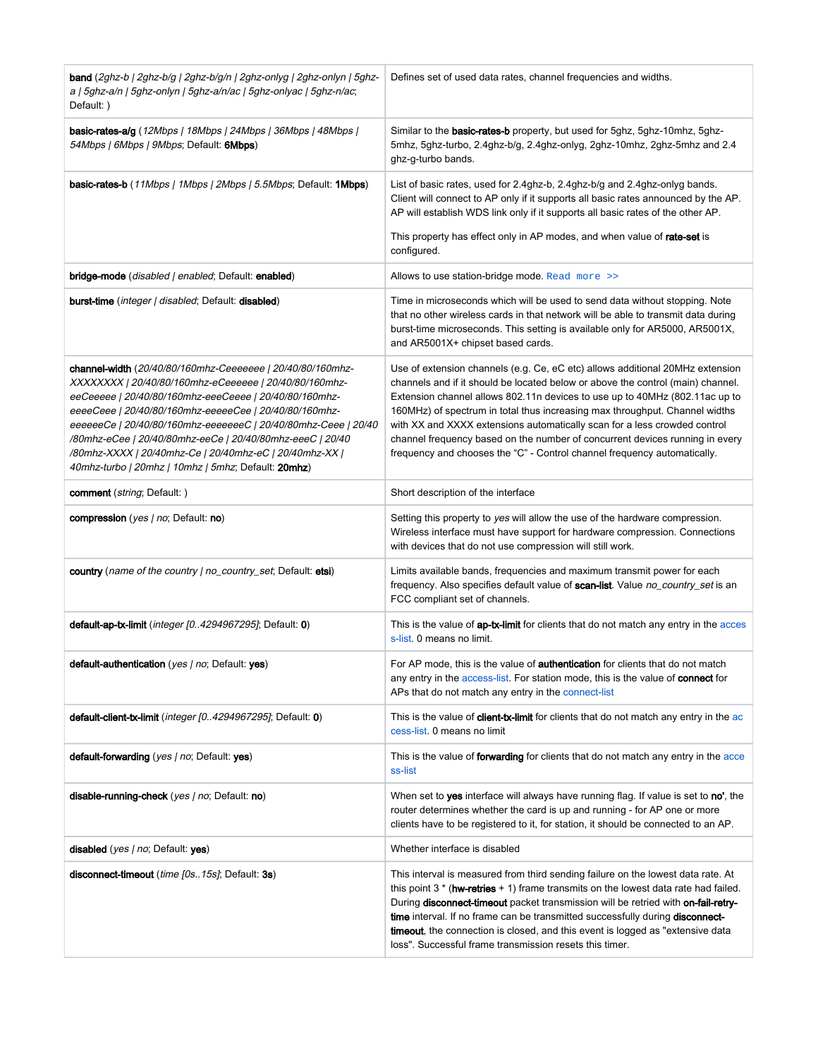| <b>band</b> (2ghz-b   2ghz-b/g   2ghz-b/g/n   2ghz-onlyg   2ghz-onlyn   5ghz-<br>a   5ghz-a/n   5ghz-onlyn   5ghz-a/n/ac   5ghz-onlyac   5ghz-n/ac;<br>Default: )                                                                                                                                                                                                                                                                                                                        | Defines set of used data rates, channel frequencies and widths.                                                                                                                                                                                                                                                                                                                                                                                                                                                                                                         |  |  |  |
|------------------------------------------------------------------------------------------------------------------------------------------------------------------------------------------------------------------------------------------------------------------------------------------------------------------------------------------------------------------------------------------------------------------------------------------------------------------------------------------|-------------------------------------------------------------------------------------------------------------------------------------------------------------------------------------------------------------------------------------------------------------------------------------------------------------------------------------------------------------------------------------------------------------------------------------------------------------------------------------------------------------------------------------------------------------------------|--|--|--|
| <b>basic-rates-a/g</b> (12Mbps   18Mbps   24Mbps   36Mbps   48Mbps  <br>54Mbps / 6Mbps / 9Mbps; Default: 6Mbps)                                                                                                                                                                                                                                                                                                                                                                          | Similar to the basic-rates-b property, but used for 5ghz, 5ghz-10mhz, 5ghz-<br>5mhz, 5ghz-turbo, 2.4ghz-b/g, 2.4ghz-onlyg, 2ghz-10mhz, 2ghz-5mhz and 2.4<br>ghz-g-turbo bands.                                                                                                                                                                                                                                                                                                                                                                                          |  |  |  |
| basic-rates-b (11Mbps   1Mbps   2Mbps   5.5Mbps; Default: 1Mbps)                                                                                                                                                                                                                                                                                                                                                                                                                         | List of basic rates, used for 2.4ghz-b, 2.4ghz-b/g and 2.4ghz-onlyg bands.<br>Client will connect to AP only if it supports all basic rates announced by the AP.<br>AP will establish WDS link only if it supports all basic rates of the other AP.                                                                                                                                                                                                                                                                                                                     |  |  |  |
|                                                                                                                                                                                                                                                                                                                                                                                                                                                                                          | This property has effect only in AP modes, and when value of rate-set is<br>configured.                                                                                                                                                                                                                                                                                                                                                                                                                                                                                 |  |  |  |
| bridge-mode (disabled   enabled; Default: enabled)<br>Allows to use station-bridge mode. Read more >>                                                                                                                                                                                                                                                                                                                                                                                    |                                                                                                                                                                                                                                                                                                                                                                                                                                                                                                                                                                         |  |  |  |
| <b>burst-time</b> ( <i>integer   disabled</i> ; Default: <b>disabled</b> )                                                                                                                                                                                                                                                                                                                                                                                                               | Time in microseconds which will be used to send data without stopping. Note<br>that no other wireless cards in that network will be able to transmit data during<br>burst-time microseconds. This setting is available only for AR5000, AR5001X,<br>and AR5001X+ chipset based cards.                                                                                                                                                                                                                                                                                   |  |  |  |
| channel-width (20/40/80/160mhz-Ceeeeeee   20/40/80/160mhz-<br>XXXXXXX   20/40/80/160mhz-eCeeeeee   20/40/80/160mhz-<br>eeCeeeee   20/40/80/160mhz-eeeCeeee   20/40/80/160mhz-<br>eeeeCeee   20/40/80/160mhz-eeeeeCee   20/40/80/160mhz-<br>eeeeeeCe   20/40/80/160mhz-eeeeeeeC   20/40/80mhz-Ceee   20/40<br>/80mhz-eCee   20/40/80mhz-eeCe   20/40/80mhz-eeeC   20/40<br>/80mhz-XXXX   20/40mhz-Ce   20/40mhz-eC   20/40mhz-XX  <br>40mhz-turbo   20mhz   10mhz   5mhz; Default: 20mhz) | Use of extension channels (e.g. Ce, eC etc) allows additional 20MHz extension<br>channels and if it should be located below or above the control (main) channel.<br>Extension channel allows 802.11n devices to use up to 40MHz (802.11ac up to<br>160MHz) of spectrum in total thus increasing max throughput. Channel widths<br>with XX and XXXX extensions automatically scan for a less crowded control<br>channel frequency based on the number of concurrent devices running in every<br>frequency and chooses the "C" - Control channel frequency automatically. |  |  |  |
| <b>comment</b> ( <i>string</i> ; Default: )                                                                                                                                                                                                                                                                                                                                                                                                                                              | Short description of the interface                                                                                                                                                                                                                                                                                                                                                                                                                                                                                                                                      |  |  |  |
| compression (yes / no; Default: no)                                                                                                                                                                                                                                                                                                                                                                                                                                                      | Setting this property to yes will allow the use of the hardware compression.<br>Wireless interface must have support for hardware compression. Connections<br>with devices that do not use compression will still work.                                                                                                                                                                                                                                                                                                                                                 |  |  |  |
| country (name of the country   no_country_set, Default: etsi)                                                                                                                                                                                                                                                                                                                                                                                                                            | Limits available bands, frequencies and maximum transmit power for each<br>frequency. Also specifies default value of scan-list. Value no_country_set is an<br>FCC compliant set of channels.                                                                                                                                                                                                                                                                                                                                                                           |  |  |  |
| default-ap-tx-limit (integer [0.4294967295]; Default: 0)                                                                                                                                                                                                                                                                                                                                                                                                                                 | This is the value of ap-tx-limit for clients that do not match any entry in the acces<br>s-list. 0 means no limit.                                                                                                                                                                                                                                                                                                                                                                                                                                                      |  |  |  |
| default-authentication (yes / no; Default: yes)                                                                                                                                                                                                                                                                                                                                                                                                                                          | For AP mode, this is the value of <b>authentication</b> for clients that do not match<br>any entry in the access-list. For station mode, this is the value of connect for<br>APs that do not match any entry in the connect-list                                                                                                                                                                                                                                                                                                                                        |  |  |  |
| default-client-tx-limit (integer [04294967295]; Default: 0)                                                                                                                                                                                                                                                                                                                                                                                                                              | This is the value of <b>client-tx-limit</b> for clients that do not match any entry in the ac<br>cess-list. 0 means no limit                                                                                                                                                                                                                                                                                                                                                                                                                                            |  |  |  |
| default-forwarding (yes   no; Default: yes)                                                                                                                                                                                                                                                                                                                                                                                                                                              | This is the value of forwarding for clients that do not match any entry in the acce<br>ss-list                                                                                                                                                                                                                                                                                                                                                                                                                                                                          |  |  |  |
| disable-running-check (yes   no; Default: no)                                                                                                                                                                                                                                                                                                                                                                                                                                            | When set to yes interface will always have running flag. If value is set to no', the<br>router determines whether the card is up and running - for AP one or more<br>clients have to be registered to it, for station, it should be connected to an AP.                                                                                                                                                                                                                                                                                                                 |  |  |  |
| disabled (yes   no; Default: yes)                                                                                                                                                                                                                                                                                                                                                                                                                                                        | Whether interface is disabled                                                                                                                                                                                                                                                                                                                                                                                                                                                                                                                                           |  |  |  |
| disconnect-timeout ( <i>time [0s15s]</i> ; Default: 3s)                                                                                                                                                                                                                                                                                                                                                                                                                                  | This interval is measured from third sending failure on the lowest data rate. At<br>this point $3 *$ (hw-retries + 1) frame transmits on the lowest data rate had failed.<br>During disconnect-timeout packet transmission will be retried with on-fail-retry-<br>time interval. If no frame can be transmitted successfully during disconnect-<br>timeout, the connection is closed, and this event is logged as "extensive data<br>loss". Successful frame transmission resets this timer.                                                                            |  |  |  |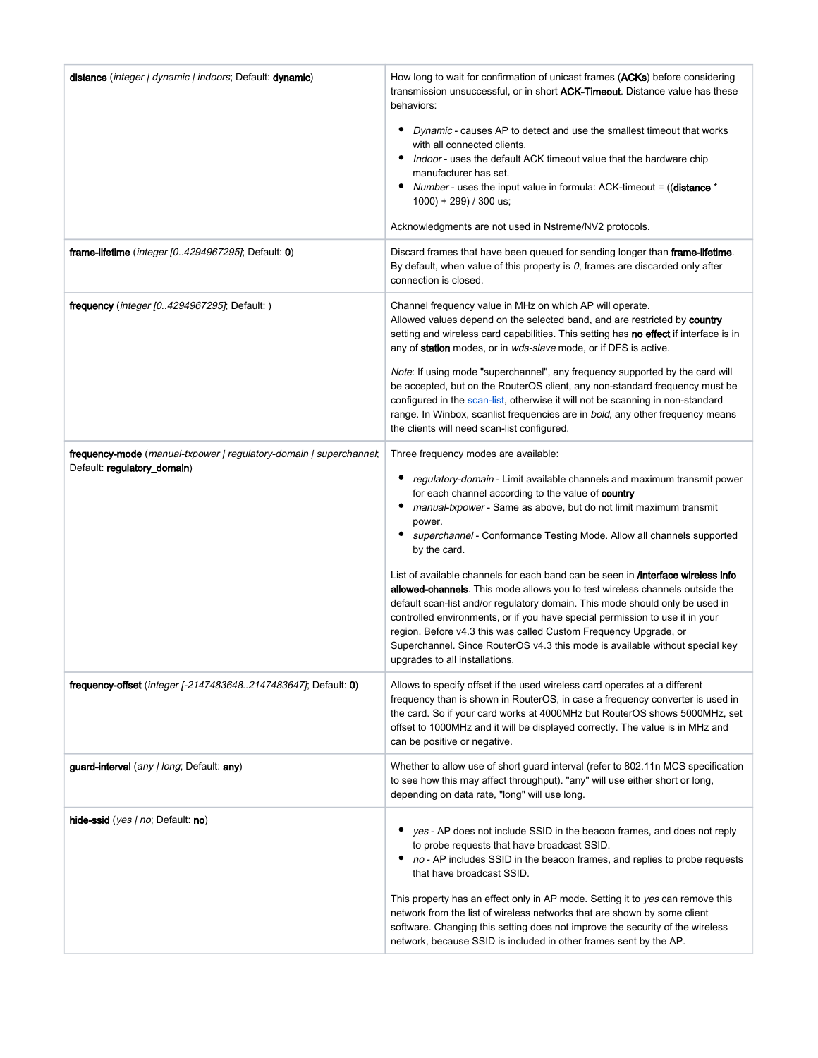| distance (integer   dynamic   indoors; Default: dynamic)                       | How long to wait for confirmation of unicast frames (ACKs) before considering<br>transmission unsuccessful, or in short ACK-Timeout. Distance value has these<br>behaviors:                                                                                                                                                                                                                                                                                                                                                         |
|--------------------------------------------------------------------------------|-------------------------------------------------------------------------------------------------------------------------------------------------------------------------------------------------------------------------------------------------------------------------------------------------------------------------------------------------------------------------------------------------------------------------------------------------------------------------------------------------------------------------------------|
|                                                                                | ٠<br>Dynamic - causes AP to detect and use the smallest timeout that works<br>with all connected clients.<br>Indoor - uses the default ACK timeout value that the hardware chip<br>manufacturer has set.<br>٠<br>Number - uses the input value in formula: ACK-timeout = ((distance *<br>1000) + 299) / 300 us;                                                                                                                                                                                                                     |
|                                                                                | Acknowledgments are not used in Nstreme/NV2 protocols.                                                                                                                                                                                                                                                                                                                                                                                                                                                                              |
| <b>frame-lifetime</b> ( <i>integer [04294967295]</i> ; Default: $0$ )          | Discard frames that have been queued for sending longer than frame-lifetime.<br>By default, when value of this property is $0$ , frames are discarded only after<br>connection is closed.                                                                                                                                                                                                                                                                                                                                           |
| <b>frequency</b> ( <i>integer [04294967295]</i> ; Default: )                   | Channel frequency value in MHz on which AP will operate.<br>Allowed values depend on the selected band, and are restricted by country<br>setting and wireless card capabilities. This setting has no effect if interface is in<br>any of <b>station</b> modes, or in wds-slave mode, or if DFS is active.                                                                                                                                                                                                                           |
|                                                                                | Note: If using mode "superchannel", any frequency supported by the card will<br>be accepted, but on the RouterOS client, any non-standard frequency must be<br>configured in the scan-list, otherwise it will not be scanning in non-standard<br>range. In Winbox, scanlist frequencies are in bold, any other frequency means<br>the clients will need scan-list configured.                                                                                                                                                       |
| <b>frequency-mode</b> (manual-txpower   regulatory-domain   superchannel;      | Three frequency modes are available:                                                                                                                                                                                                                                                                                                                                                                                                                                                                                                |
| Default: regulatory_domain)                                                    | regulatory-domain - Limit available channels and maximum transmit power<br>٠<br>for each channel according to the value of country<br>٠<br>manual-txpower - Same as above, but do not limit maximum transmit<br>power.<br>superchannel - Conformance Testing Mode. Allow all channels supported<br>٠<br>by the card.                                                                                                                                                                                                                |
|                                                                                | List of available channels for each band can be seen in <b><i>interface</i></b> wireless info<br>allowed-channels. This mode allows you to test wireless channels outside the<br>default scan-list and/or regulatory domain. This mode should only be used in<br>controlled environments, or if you have special permission to use it in your<br>region. Before v4.3 this was called Custom Frequency Upgrade, or<br>Superchannel. Since RouterOS v4.3 this mode is available without special key<br>upgrades to all installations. |
| <b>frequency-offset</b> ( <i>integer [-21474836482147483647]</i> ; Default: 0) | Allows to specify offset if the used wireless card operates at a different<br>frequency than is shown in RouterOS, in case a frequency converter is used in<br>the card. So if your card works at 4000MHz but RouterOS shows 5000MHz, set<br>offset to 1000MHz and it will be displayed correctly. The value is in MHz and<br>can be positive or negative.                                                                                                                                                                          |
| guard-interval (any   long; Default: any)                                      | Whether to allow use of short guard interval (refer to 802.11n MCS specification<br>to see how this may affect throughput). "any" will use either short or long,<br>depending on data rate, "long" will use long.                                                                                                                                                                                                                                                                                                                   |
| hide-ssid ( <i>yes   no</i> ; Default: no)                                     | yes - AP does not include SSID in the beacon frames, and does not reply<br>to probe requests that have broadcast SSID.<br>no - AP includes SSID in the beacon frames, and replies to probe requests<br>that have broadcast SSID.                                                                                                                                                                                                                                                                                                    |
|                                                                                | This property has an effect only in AP mode. Setting it to yes can remove this<br>network from the list of wireless networks that are shown by some client<br>software. Changing this setting does not improve the security of the wireless<br>network, because SSID is included in other frames sent by the AP.                                                                                                                                                                                                                    |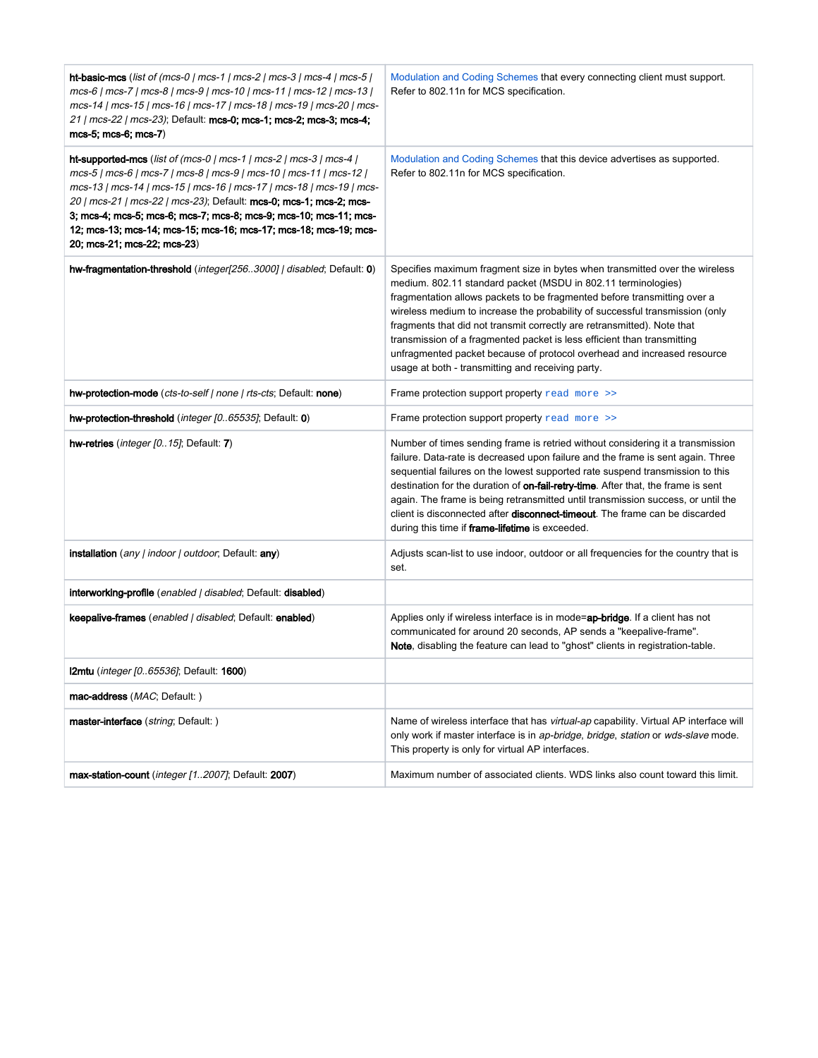| ht-basic-mcs (list of (mcs-0   mcs-1   mcs-2   mcs-3   mcs-4   mcs-5  <br>mcs-6   mcs-7   mcs-8   mcs-9   mcs-10   mcs-11   mcs-12   mcs-13  <br>mcs-14   mcs-15   mcs-16   mcs-17   mcs-18   mcs-19   mcs-20   mcs-<br>21   mcs-22   mcs-23); Default: mcs-0; mcs-1; mcs-2; mcs-3; mcs-4;<br>mcs-5; mcs-6; mcs-7)                                                                                                                                            | Modulation and Coding Schemes that every connecting client must support.<br>Refer to 802.11n for MCS specification.                                                                                                                                                                                                                                                                                                                                                                                                                                                                            |  |  |
|---------------------------------------------------------------------------------------------------------------------------------------------------------------------------------------------------------------------------------------------------------------------------------------------------------------------------------------------------------------------------------------------------------------------------------------------------------------|------------------------------------------------------------------------------------------------------------------------------------------------------------------------------------------------------------------------------------------------------------------------------------------------------------------------------------------------------------------------------------------------------------------------------------------------------------------------------------------------------------------------------------------------------------------------------------------------|--|--|
| ht-supported-mcs (list of (mcs-0   mcs-1   mcs-2   mcs-3   mcs-4  <br>mcs-5   mcs-6   mcs-7   mcs-8   mcs-9   mcs-10   mcs-11   mcs-12  <br>mcs-13   mcs-14   mcs-15   mcs-16   mcs-17   mcs-18   mcs-19   mcs-<br>20   mcs-21   mcs-22   mcs-23); Default: mcs-0; mcs-1; mcs-2; mcs-<br>3; mcs-4; mcs-5; mcs-6; mcs-7; mcs-8; mcs-9; mcs-10; mcs-11; mcs-<br>12; mcs-13; mcs-14; mcs-15; mcs-16; mcs-17; mcs-18; mcs-19; mcs-<br>20; mcs-21; mcs-22; mcs-23) | Modulation and Coding Schemes that this device advertises as supported.<br>Refer to 802.11n for MCS specification.                                                                                                                                                                                                                                                                                                                                                                                                                                                                             |  |  |
| hw-fragmentation-threshold (integer[2563000]   disabled; Default: 0)                                                                                                                                                                                                                                                                                                                                                                                          | Specifies maximum fragment size in bytes when transmitted over the wireless<br>medium. 802.11 standard packet (MSDU in 802.11 terminologies)<br>fragmentation allows packets to be fragmented before transmitting over a<br>wireless medium to increase the probability of successful transmission (only<br>fragments that did not transmit correctly are retransmitted). Note that<br>transmission of a fragmented packet is less efficient than transmitting<br>unfragmented packet because of protocol overhead and increased resource<br>usage at both - transmitting and receiving party. |  |  |
| hw-protection-mode (cts-to-self   none   rts-cts; Default: none)                                                                                                                                                                                                                                                                                                                                                                                              | Frame protection support property read more >>                                                                                                                                                                                                                                                                                                                                                                                                                                                                                                                                                 |  |  |
| hw-protection-threshold (integer [065535]; Default: 0)                                                                                                                                                                                                                                                                                                                                                                                                        | Frame protection support property read more >>                                                                                                                                                                                                                                                                                                                                                                                                                                                                                                                                                 |  |  |
| hw-retries (integer [015]; Default: 7)                                                                                                                                                                                                                                                                                                                                                                                                                        | Number of times sending frame is retried without considering it a transmission<br>failure. Data-rate is decreased upon failure and the frame is sent again. Three<br>sequential failures on the lowest supported rate suspend transmission to this<br>destination for the duration of on-fail-retry-time. After that, the frame is sent<br>again. The frame is being retransmitted until transmission success, or until the<br>client is disconnected after <b>disconnect-timeout</b> . The frame can be discarded<br>during this time if frame-lifetime is exceeded.                          |  |  |
| <b>installation</b> (any / indoor / outdoor, Default: <b>any</b> )                                                                                                                                                                                                                                                                                                                                                                                            | Adjusts scan-list to use indoor, outdoor or all frequencies for the country that is<br>set.                                                                                                                                                                                                                                                                                                                                                                                                                                                                                                    |  |  |
| interworking-profile (enabled   disabled; Default: disabled)                                                                                                                                                                                                                                                                                                                                                                                                  |                                                                                                                                                                                                                                                                                                                                                                                                                                                                                                                                                                                                |  |  |
| keepalive-frames (enabled   disabled; Default: enabled)                                                                                                                                                                                                                                                                                                                                                                                                       | Applies only if wireless interface is in mode=ap-bridge. If a client has not<br>communicated for around 20 seconds, AP sends a "keepalive-frame".<br>Note, disabling the feature can lead to "ghost" clients in registration-table.                                                                                                                                                                                                                                                                                                                                                            |  |  |
| I2mtu (integer [065536]; Default: 1600)                                                                                                                                                                                                                                                                                                                                                                                                                       |                                                                                                                                                                                                                                                                                                                                                                                                                                                                                                                                                                                                |  |  |
| mac-address (MAC; Default: )                                                                                                                                                                                                                                                                                                                                                                                                                                  |                                                                                                                                                                                                                                                                                                                                                                                                                                                                                                                                                                                                |  |  |
| master-interface (string; Default: )                                                                                                                                                                                                                                                                                                                                                                                                                          | Name of wireless interface that has virtual-ap capability. Virtual AP interface will<br>only work if master interface is in ap-bridge, bridge, station or wds-slave mode.<br>This property is only for virtual AP interfaces.                                                                                                                                                                                                                                                                                                                                                                  |  |  |
| max-station-count (integer [12007]; Default: 2007)                                                                                                                                                                                                                                                                                                                                                                                                            | Maximum number of associated clients. WDS links also count toward this limit.                                                                                                                                                                                                                                                                                                                                                                                                                                                                                                                  |  |  |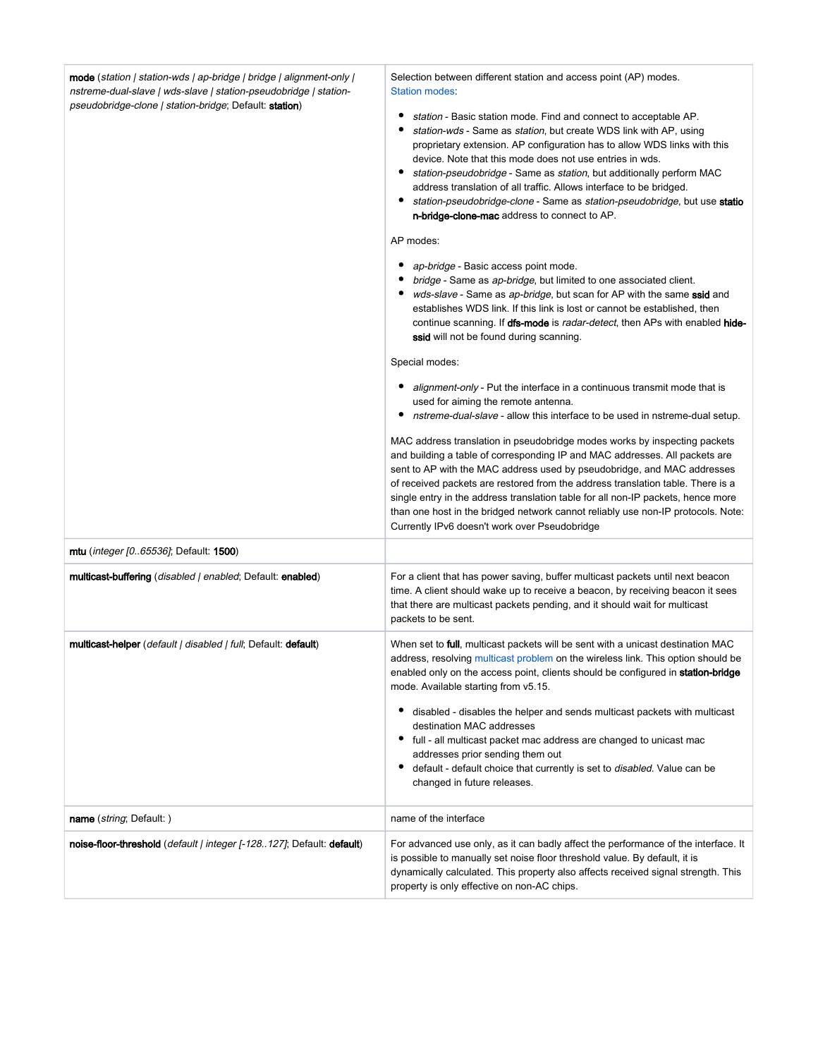| mode (station   station-wds   ap-bridge   bridge   alignment-only  <br>nstreme-dual-slave   wds-slave   station-pseudobridge   station-<br><i>pseudobridge-clone   station-bridge</i> ; Default: <b>station</b> ) | Selection between different station and access point (AP) modes.<br>Station modes:<br>station - Basic station mode. Find and connect to acceptable AP.<br>station-wds - Same as station, but create WDS link with AP, using<br>proprietary extension. AP configuration has to allow WDS links with this<br>device. Note that this mode does not use entries in wds.<br>station-pseudobridge - Same as station, but additionally perform MAC<br>address translation of all traffic. Allows interface to be bridged.<br>٠<br>station-pseudobridge-clone - Same as station-pseudobridge, but use statio<br>n-bridge-clone-mac address to connect to AP.<br>AP modes:<br>ap-bridge - Basic access point mode.<br>bridge - Same as ap-bridge, but limited to one associated client.<br>wds-slave - Same as ap-bridge, but scan for AP with the same ssid and<br>establishes WDS link. If this link is lost or cannot be established, then<br>continue scanning. If dfs-mode is radar-detect, then APs with enabled hide-<br>ssid will not be found during scanning.<br>Special modes:<br><i>alignment-only</i> - Put the interface in a continuous transmit mode that is<br>used for aiming the remote antenna.<br>nstreme-dual-slave - allow this interface to be used in nstreme-dual setup.<br>MAC address translation in pseudobridge modes works by inspecting packets<br>and building a table of corresponding IP and MAC addresses. All packets are<br>sent to AP with the MAC address used by pseudobridge, and MAC addresses<br>of received packets are restored from the address translation table. There is a<br>single entry in the address translation table for all non-IP packets, hence more<br>than one host in the bridged network cannot reliably use non-IP protocols. Note:<br>Currently IPv6 doesn't work over Pseudobridge |
|-------------------------------------------------------------------------------------------------------------------------------------------------------------------------------------------------------------------|----------------------------------------------------------------------------------------------------------------------------------------------------------------------------------------------------------------------------------------------------------------------------------------------------------------------------------------------------------------------------------------------------------------------------------------------------------------------------------------------------------------------------------------------------------------------------------------------------------------------------------------------------------------------------------------------------------------------------------------------------------------------------------------------------------------------------------------------------------------------------------------------------------------------------------------------------------------------------------------------------------------------------------------------------------------------------------------------------------------------------------------------------------------------------------------------------------------------------------------------------------------------------------------------------------------------------------------------------------------------------------------------------------------------------------------------------------------------------------------------------------------------------------------------------------------------------------------------------------------------------------------------------------------------------------------------------------------------------------------------------------------------------------------------------------------------------------------------|
| <b>mtu</b> ( <i>integer [065536]</i> ; Default: <b>1500</b> )                                                                                                                                                     |                                                                                                                                                                                                                                                                                                                                                                                                                                                                                                                                                                                                                                                                                                                                                                                                                                                                                                                                                                                                                                                                                                                                                                                                                                                                                                                                                                                                                                                                                                                                                                                                                                                                                                                                                                                                                                              |
| multicast-buffering ( <i>disabled   enabled</i> ; Default: enabled)                                                                                                                                               | For a client that has power saving, buffer multicast packets until next beacon<br>time. A client should wake up to receive a beacon, by receiving beacon it sees<br>that there are multicast packets pending, and it should wait for multicast<br>packets to be sent.                                                                                                                                                                                                                                                                                                                                                                                                                                                                                                                                                                                                                                                                                                                                                                                                                                                                                                                                                                                                                                                                                                                                                                                                                                                                                                                                                                                                                                                                                                                                                                        |
| multicast-helper ( <i>default   disabled   full</i> ; Default: <b>default</b> )                                                                                                                                   | When set to <b>full</b> , multicast packets will be sent with a unicast destination MAC<br>address, resolving multicast problem on the wireless link. This option should be<br>enabled only on the access point, clients should be configured in <b>station-bridge</b><br>mode. Available starting from v5.15.<br>disabled - disables the helper and sends multicast packets with multicast<br>destination MAC addresses<br>• full - all multicast packet mac address are changed to unicast mac<br>addresses prior sending them out<br>٠<br>default - default choice that currently is set to disabled. Value can be<br>changed in future releases.                                                                                                                                                                                                                                                                                                                                                                                                                                                                                                                                                                                                                                                                                                                                                                                                                                                                                                                                                                                                                                                                                                                                                                                         |
| name ( <i>string</i> ; Default: )                                                                                                                                                                                 | name of the interface                                                                                                                                                                                                                                                                                                                                                                                                                                                                                                                                                                                                                                                                                                                                                                                                                                                                                                                                                                                                                                                                                                                                                                                                                                                                                                                                                                                                                                                                                                                                                                                                                                                                                                                                                                                                                        |
| noise-floor-threshold (default   integer [-128. 127]; Default: default)                                                                                                                                           | For advanced use only, as it can badly affect the performance of the interface. It<br>is possible to manually set noise floor threshold value. By default, it is<br>dynamically calculated. This property also affects received signal strength. This<br>property is only effective on non-AC chips.                                                                                                                                                                                                                                                                                                                                                                                                                                                                                                                                                                                                                                                                                                                                                                                                                                                                                                                                                                                                                                                                                                                                                                                                                                                                                                                                                                                                                                                                                                                                         |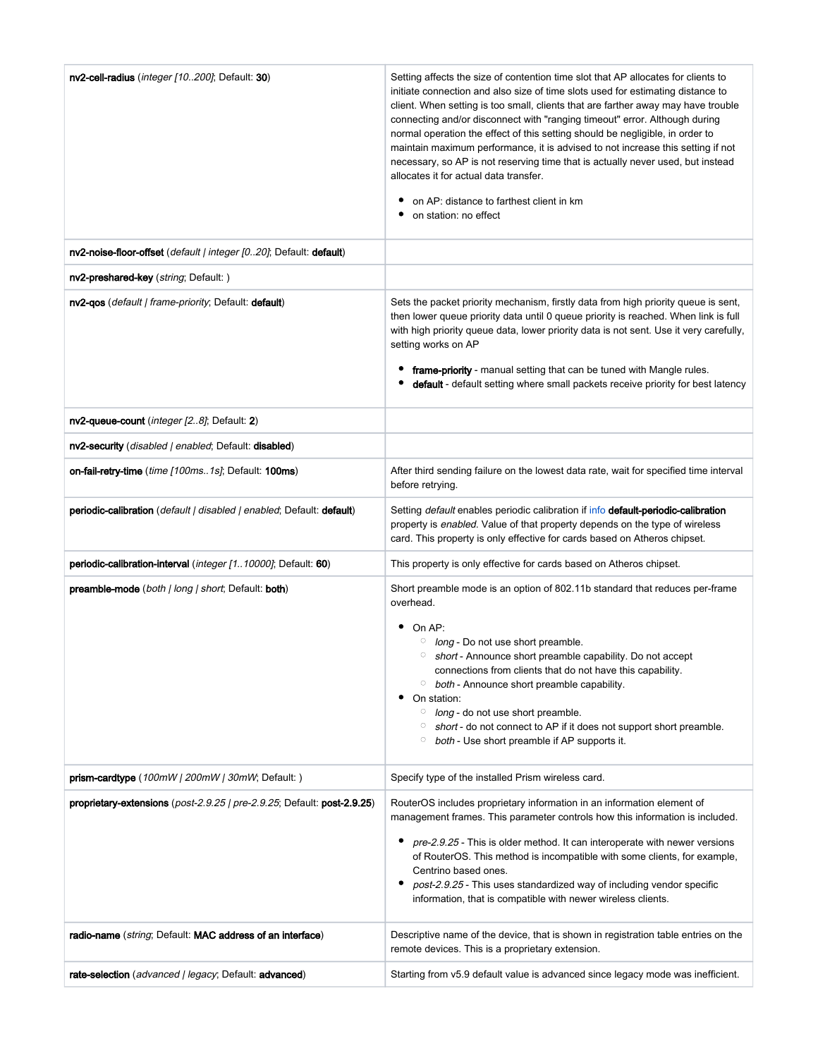| nv2-cell-radius (integer [10200]; Default: 30)                          | Setting affects the size of contention time slot that AP allocates for clients to<br>initiate connection and also size of time slots used for estimating distance to<br>client. When setting is too small, clients that are farther away may have trouble<br>connecting and/or disconnect with "ranging timeout" error. Although during<br>normal operation the effect of this setting should be negligible, in order to<br>maintain maximum performance, it is advised to not increase this setting if not<br>necessary, so AP is not reserving time that is actually never used, but instead<br>allocates it for actual data transfer.<br>on AP: distance to farthest client in km<br>٠<br>on station: no effect |  |  |
|-------------------------------------------------------------------------|--------------------------------------------------------------------------------------------------------------------------------------------------------------------------------------------------------------------------------------------------------------------------------------------------------------------------------------------------------------------------------------------------------------------------------------------------------------------------------------------------------------------------------------------------------------------------------------------------------------------------------------------------------------------------------------------------------------------|--|--|
| nv2-noise-floor-offset (default   integer [020]; Default: default)      |                                                                                                                                                                                                                                                                                                                                                                                                                                                                                                                                                                                                                                                                                                                    |  |  |
| nv2-preshared-key (string; Default: )                                   |                                                                                                                                                                                                                                                                                                                                                                                                                                                                                                                                                                                                                                                                                                                    |  |  |
| nv2-gos (default   frame-priority; Default: default)                    | Sets the packet priority mechanism, firstly data from high priority queue is sent,<br>then lower queue priority data until 0 queue priority is reached. When link is full<br>with high priority queue data, lower priority data is not sent. Use it very carefully,<br>setting works on AP<br>frame-priority - manual setting that can be tuned with Mangle rules.<br>default - default setting where small packets receive priority for best latency                                                                                                                                                                                                                                                              |  |  |
| nv2-queue-count (integer [28]; Default: 2)                              |                                                                                                                                                                                                                                                                                                                                                                                                                                                                                                                                                                                                                                                                                                                    |  |  |
| nv2-security (disabled   enabled; Default: disabled)                    |                                                                                                                                                                                                                                                                                                                                                                                                                                                                                                                                                                                                                                                                                                                    |  |  |
| on-fail-retry-time (time [100ms1s]; Default: 100ms)                     | After third sending failure on the lowest data rate, wait for specified time interval<br>before retrying.                                                                                                                                                                                                                                                                                                                                                                                                                                                                                                                                                                                                          |  |  |
| periodic-calibration (default   disabled   enabled; Default: default)   | Setting default enables periodic calibration if info default-periodic-calibration<br>property is enabled. Value of that property depends on the type of wireless<br>card. This property is only effective for cards based on Atheros chipset.                                                                                                                                                                                                                                                                                                                                                                                                                                                                      |  |  |
| periodic-calibration-interval (integer [110000]; Default: 60)           | This property is only effective for cards based on Atheros chipset.                                                                                                                                                                                                                                                                                                                                                                                                                                                                                                                                                                                                                                                |  |  |
| preamble-mode (both   long   short; Default: both)                      | Short preamble mode is an option of 802.11b standard that reduces per-frame<br>overhead.<br>٠<br>On AP:<br>$\circ$ long - Do not use short preamble.<br>short - Announce short preamble capability. Do not accept<br>connections from clients that do not have this capability.<br>both - Announce short preamble capability.<br>$\circ$<br>٠<br>On station:<br>$\circ$ long - do not use short preamble.<br>short - do not connect to AP if it does not support short preamble.<br>$\circ$<br>both - Use short preamble if AP supports it.<br>$\circ$                                                                                                                                                             |  |  |
| prism-cardtype (100mW   200mW   30mW; Default: )                        | Specify type of the installed Prism wireless card.                                                                                                                                                                                                                                                                                                                                                                                                                                                                                                                                                                                                                                                                 |  |  |
| proprietary-extensions (post-2.9.25   pre-2.9.25; Default: post-2.9.25) | RouterOS includes proprietary information in an information element of<br>management frames. This parameter controls how this information is included.<br>pre-2.9.25 - This is older method. It can interoperate with newer versions<br>of RouterOS. This method is incompatible with some clients, for example,<br>Centrino based ones.<br>post-2.9.25 - This uses standardized way of including vendor specific<br>٠<br>information, that is compatible with newer wireless clients.                                                                                                                                                                                                                             |  |  |
| radio-name (string; Default: MAC address of an interface)               | Descriptive name of the device, that is shown in registration table entries on the<br>remote devices. This is a proprietary extension.                                                                                                                                                                                                                                                                                                                                                                                                                                                                                                                                                                             |  |  |
| rate-selection (advanced   legacy; Default: advanced)                   | Starting from v5.9 default value is advanced since legacy mode was inefficient.                                                                                                                                                                                                                                                                                                                                                                                                                                                                                                                                                                                                                                    |  |  |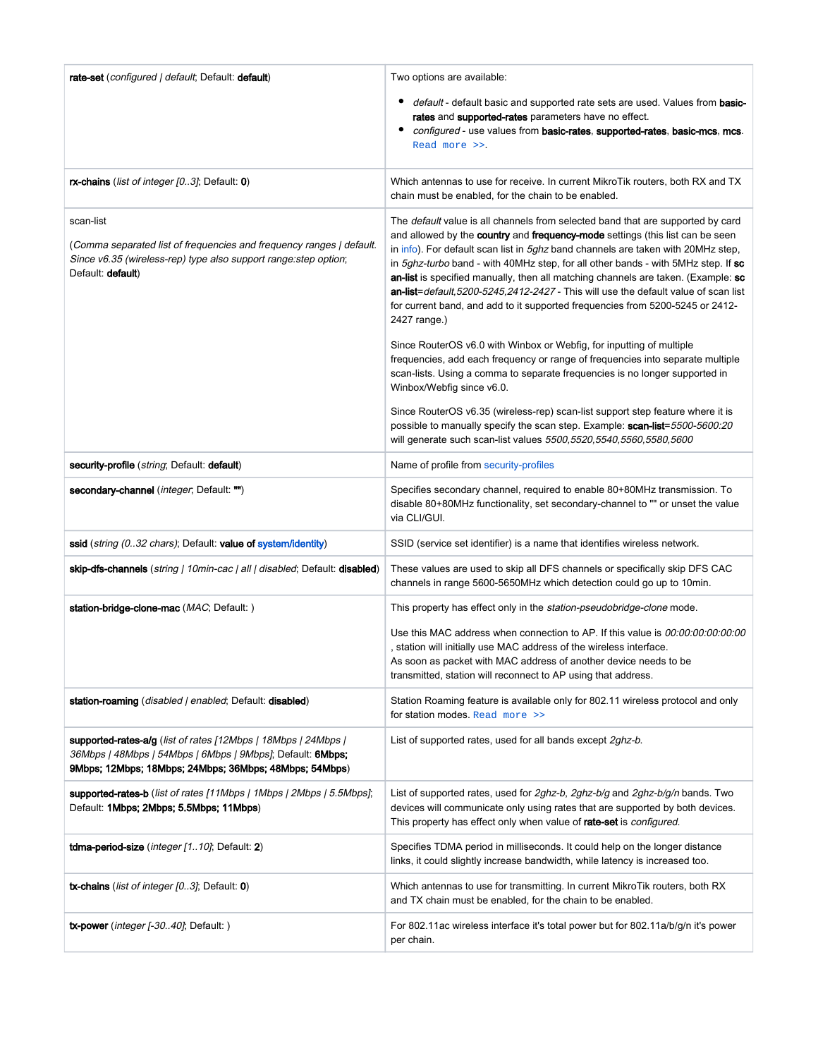| rate-set (configured   default; Default: default)                                                                                                                                      | Two options are available:                                                                                                                                                                                                                                                                                                                                                                                                                                                                                                                                                                                            |  |  |  |  |
|----------------------------------------------------------------------------------------------------------------------------------------------------------------------------------------|-----------------------------------------------------------------------------------------------------------------------------------------------------------------------------------------------------------------------------------------------------------------------------------------------------------------------------------------------------------------------------------------------------------------------------------------------------------------------------------------------------------------------------------------------------------------------------------------------------------------------|--|--|--|--|
|                                                                                                                                                                                        | default - default basic and supported rate sets are used. Values from basic-<br>rates and supported-rates parameters have no effect.<br>configured - use values from basic-rates, supported-rates, basic-mcs, mcs.<br>٠<br>Read more >>.                                                                                                                                                                                                                                                                                                                                                                              |  |  |  |  |
| rx-chains (list of integer [03]; Default: 0)                                                                                                                                           | Which antennas to use for receive. In current MikroTik routers, both RX and TX<br>chain must be enabled, for the chain to be enabled.                                                                                                                                                                                                                                                                                                                                                                                                                                                                                 |  |  |  |  |
| scan-list<br>(Comma separated list of frequencies and frequency ranges   default.<br>Since v6.35 (wireless-rep) type also support range: step option;<br>Default: <b>default</b> )     | The default value is all channels from selected band that are supported by card<br>and allowed by the country and frequency-mode settings (this list can be seen<br>in info). For default scan list in 5ghz band channels are taken with 20MHz step,<br>in 5ghz-turbo band - with 40MHz step, for all other bands - with 5MHz step. If sc<br>an-list is specified manually, then all matching channels are taken. (Example: sc<br>an-list=default,5200-5245,2412-2427 - This will use the default value of scan list<br>for current band, and add to it supported frequencies from 5200-5245 or 2412-<br>2427 range.) |  |  |  |  |
|                                                                                                                                                                                        | Since RouterOS v6.0 with Winbox or Webfig, for inputting of multiple<br>frequencies, add each frequency or range of frequencies into separate multiple<br>scan-lists. Using a comma to separate frequencies is no longer supported in<br>Winbox/Webfig since v6.0.                                                                                                                                                                                                                                                                                                                                                    |  |  |  |  |
|                                                                                                                                                                                        | Since RouterOS v6.35 (wireless-rep) scan-list support step feature where it is<br>possible to manually specify the scan step. Example: scan-list=5500-5600:20<br>will generate such scan-list values 5500,5520,5540,5560,5580,5600                                                                                                                                                                                                                                                                                                                                                                                    |  |  |  |  |
| security-profile ( <i>string</i> ; Default: default)                                                                                                                                   | Name of profile from security-profiles                                                                                                                                                                                                                                                                                                                                                                                                                                                                                                                                                                                |  |  |  |  |
| secondary-channel (integer, Default: "")                                                                                                                                               | Specifies secondary channel, required to enable 80+80MHz transmission. To<br>disable 80+80MHz functionality, set secondary-channel to "" or unset the value<br>via CLI/GUI.                                                                                                                                                                                                                                                                                                                                                                                                                                           |  |  |  |  |
| ssid (string (032 chars); Default: value of system/identity)                                                                                                                           | SSID (service set identifier) is a name that identifies wireless network.                                                                                                                                                                                                                                                                                                                                                                                                                                                                                                                                             |  |  |  |  |
| skip-dfs-channels (string   10min-cac   all   disabled; Default: disabled)                                                                                                             | These values are used to skip all DFS channels or specifically skip DFS CAC<br>channels in range 5600-5650MHz which detection could go up to 10min.                                                                                                                                                                                                                                                                                                                                                                                                                                                                   |  |  |  |  |
| station-bridge-clone-mac (MAC; Default: )                                                                                                                                              | This property has effect only in the station-pseudobridge-clone mode.                                                                                                                                                                                                                                                                                                                                                                                                                                                                                                                                                 |  |  |  |  |
|                                                                                                                                                                                        | Use this MAC address when connection to AP. If this value is 00:00:00:00:00:00<br>, station will initially use MAC address of the wireless interface.<br>As soon as packet with MAC address of another device needs to be<br>transmitted, station will reconnect to AP using that address.                                                                                                                                                                                                                                                                                                                            |  |  |  |  |
| station-roaming (disabled   enabled; Default: disabled)                                                                                                                                | Station Roaming feature is available only for 802.11 wireless protocol and only<br>for station modes. Read more >>                                                                                                                                                                                                                                                                                                                                                                                                                                                                                                    |  |  |  |  |
| supported-rates-alg (list of rates [12Mbps   18Mbps   24Mbps  <br>36Mbps   48Mbps   54Mbps   6Mbps   9Mbps]; Default: 6Mbps;<br>9Mbps; 12Mbps; 18Mbps; 24Mbps; 36Mbps; 48Mbps; 54Mbps) | List of supported rates, used for all bands except 2ghz-b.                                                                                                                                                                                                                                                                                                                                                                                                                                                                                                                                                            |  |  |  |  |
| supported-rates-b (list of rates [11Mbps   1Mbps   2Mbps   5.5Mbps];<br>Default: 1Mbps; 2Mbps; 5.5Mbps; 11Mbps)                                                                        | List of supported rates, used for 2ghz-b, 2ghz-b/g and 2ghz-b/g/n bands. Two<br>devices will communicate only using rates that are supported by both devices.<br>This property has effect only when value of rate-set is configured.                                                                                                                                                                                                                                                                                                                                                                                  |  |  |  |  |
| tdma-period-size (integer [110]; Default: 2)                                                                                                                                           | Specifies TDMA period in milliseconds. It could help on the longer distance<br>links, it could slightly increase bandwidth, while latency is increased too.                                                                                                                                                                                                                                                                                                                                                                                                                                                           |  |  |  |  |
| <b>tx-chains</b> ( <i>list of integer <math>[03]</math>;</i> Default: 0)                                                                                                               | Which antennas to use for transmitting. In current MikroTik routers, both RX<br>and TX chain must be enabled, for the chain to be enabled.                                                                                                                                                                                                                                                                                                                                                                                                                                                                            |  |  |  |  |
| tx-power (integer [-3040]; Default:)                                                                                                                                                   | For 802.11ac wireless interface it's total power but for 802.11a/b/g/n it's power<br>per chain.                                                                                                                                                                                                                                                                                                                                                                                                                                                                                                                       |  |  |  |  |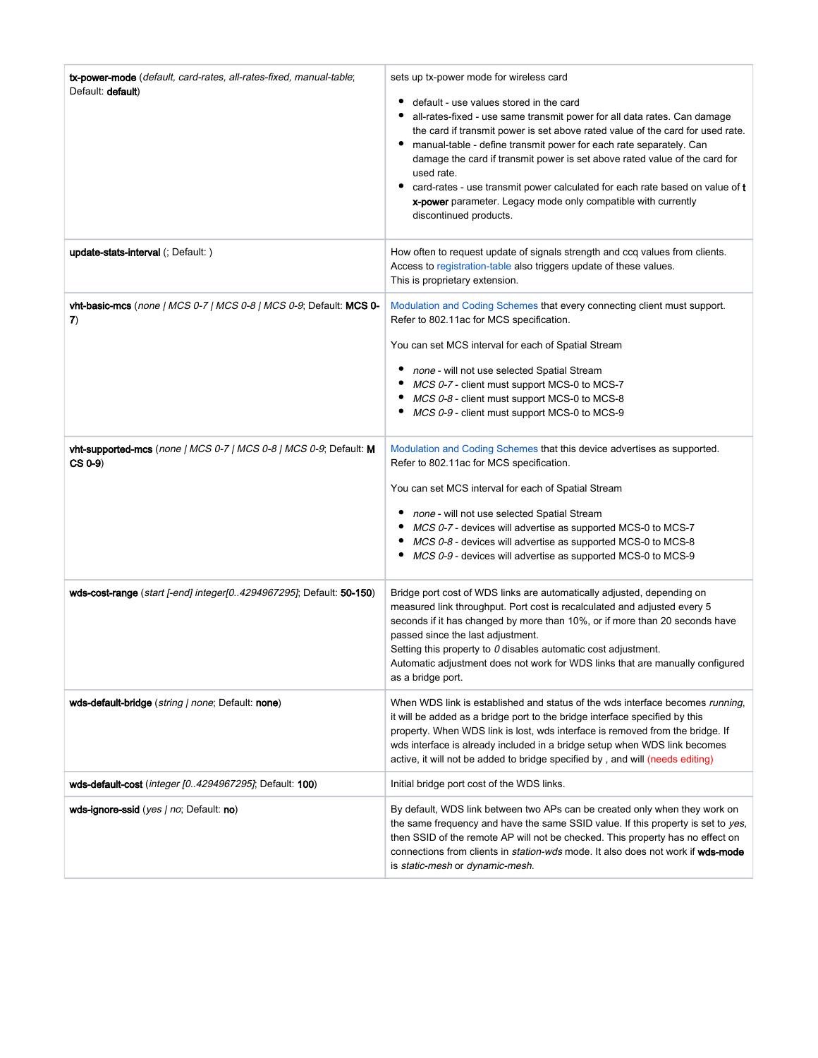| tx-power-mode (default, card-rates, all-rates-fixed, manual-table;<br>Default: default) | sets up tx-power mode for wireless card<br>default - use values stored in the card<br>all-rates-fixed - use same transmit power for all data rates. Can damage<br>the card if transmit power is set above rated value of the card for used rate.<br>٠<br>manual-table - define transmit power for each rate separately. Can<br>damage the card if transmit power is set above rated value of the card for<br>used rate.<br>card-rates - use transmit power calculated for each rate based on value of t<br>٠<br>x-power parameter. Legacy mode only compatible with currently<br>discontinued products. |
|-----------------------------------------------------------------------------------------|---------------------------------------------------------------------------------------------------------------------------------------------------------------------------------------------------------------------------------------------------------------------------------------------------------------------------------------------------------------------------------------------------------------------------------------------------------------------------------------------------------------------------------------------------------------------------------------------------------|
| <b>update-stats-interval</b> (; Default: )                                              | How often to request update of signals strength and ccq values from clients.<br>Access to registration-table also triggers update of these values.<br>This is proprietary extension.                                                                                                                                                                                                                                                                                                                                                                                                                    |
| <b>vht-basic-mcs</b> (none   MCS 0-7   MCS 0-8   MCS 0-9; Default: MCS 0-<br>7)         | Modulation and Coding Schemes that every connecting client must support.<br>Refer to 802.11ac for MCS specification.<br>You can set MCS interval for each of Spatial Stream<br>• none - will not use selected Spatial Stream<br>• MCS 0-7 - client must support MCS-0 to MCS-7<br>• MCS 0-8 - client must support MCS-0 to MCS-8<br>MCS 0-9 - client must support MCS-0 to MCS-9                                                                                                                                                                                                                        |
| vht-supported-mcs (none   MCS 0-7   MCS 0-8   MCS 0-9; Default: M<br>$CS(0-9)$          | Modulation and Coding Schemes that this device advertises as supported.<br>Refer to 802.11ac for MCS specification.<br>You can set MCS interval for each of Spatial Stream<br>• none - will not use selected Spatial Stream<br>• MCS 0-7 - devices will advertise as supported MCS-0 to MCS-7<br>• MCS 0-8 - devices will advertise as supported MCS-0 to MCS-8<br>MCS 0-9 - devices will advertise as supported MCS-0 to MCS-9                                                                                                                                                                         |
| wds-cost-range (start [-end] integer[04294967295]; Default: 50-150)                     | Bridge port cost of WDS links are automatically adjusted, depending on<br>measured link throughput. Port cost is recalculated and adjusted every 5<br>seconds if it has changed by more than 10%, or if more than 20 seconds have<br>passed since the last adjustment.<br>Setting this property to $\theta$ disables automatic cost adjustment.<br>Automatic adjustment does not work for WDS links that are manually configured<br>as a bridge port.                                                                                                                                                   |
| wds-default-bridge (string   none; Default: none)                                       | When WDS link is established and status of the wds interface becomes running.<br>it will be added as a bridge port to the bridge interface specified by this<br>property. When WDS link is lost, wds interface is removed from the bridge. If<br>wds interface is already included in a bridge setup when WDS link becomes<br>active, it will not be added to bridge specified by, and will (needs editing)                                                                                                                                                                                             |
| wds-default-cost ( <i>integer [04294967295]</i> ; Default: <b>100</b> )                 | Initial bridge port cost of the WDS links.                                                                                                                                                                                                                                                                                                                                                                                                                                                                                                                                                              |
| wds-ignore-ssid (yes / no: Default: no)                                                 | By default, WDS link between two APs can be created only when they work on<br>the same frequency and have the same SSID value. If this property is set to yes,<br>then SSID of the remote AP will not be checked. This property has no effect on<br>connections from clients in <i>station-wds</i> mode. It also does not work if wds-mode<br>is static-mesh or dynamic-mesh.                                                                                                                                                                                                                           |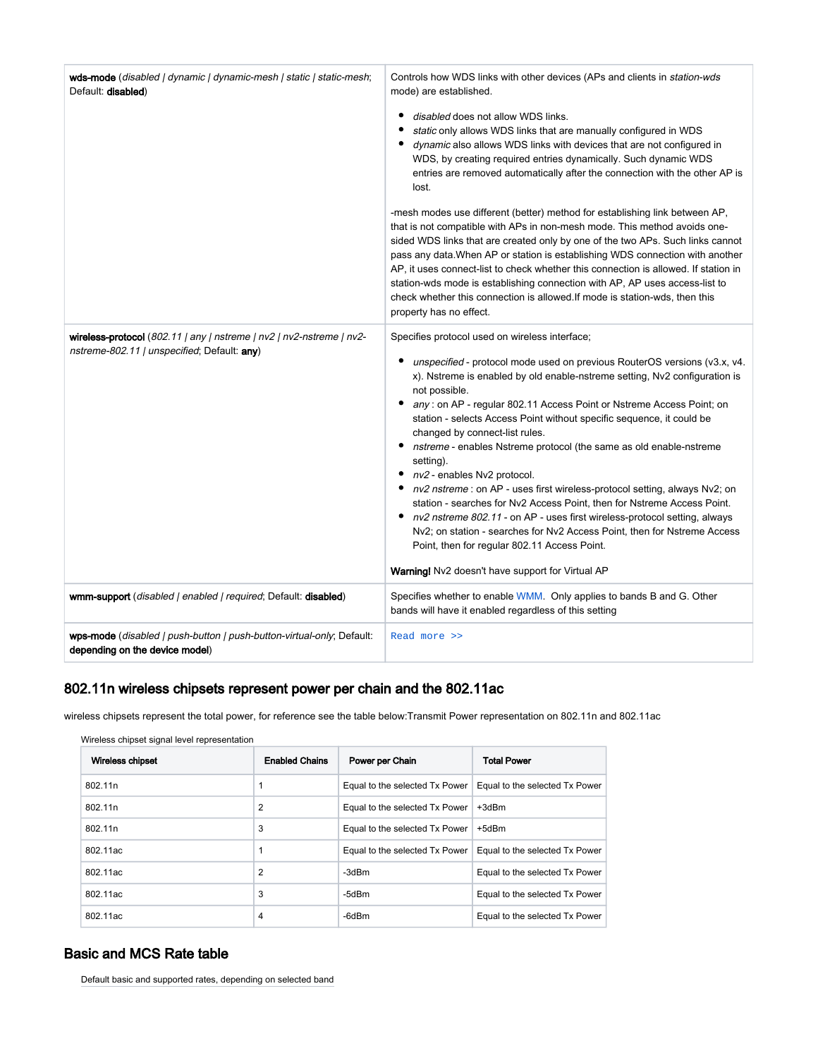| wds-mode (disabled   dynamic   dynamic-mesh   static   static-mesh;<br>Default: disabled)                           | Controls how WDS links with other devices (APs and clients in <i>station-wds</i><br>mode) are established.<br>٠<br>disabled does not allow WDS links.<br>static only allows WDS links that are manually configured in WDS<br>dynamic also allows WDS links with devices that are not configured in<br>WDS, by creating required entries dynamically. Such dynamic WDS<br>entries are removed automatically after the connection with the other AP is<br>lost.<br>-mesh modes use different (better) method for establishing link between AP,<br>that is not compatible with APs in non-mesh mode. This method avoids one-<br>sided WDS links that are created only by one of the two APs. Such links cannot<br>pass any data. When AP or station is establishing WDS connection with another<br>AP, it uses connect-list to check whether this connection is allowed. If station in<br>station-wds mode is establishing connection with AP, AP uses access-list to<br>check whether this connection is allowed. If mode is station-wds, then this<br>property has no effect. |
|---------------------------------------------------------------------------------------------------------------------|------------------------------------------------------------------------------------------------------------------------------------------------------------------------------------------------------------------------------------------------------------------------------------------------------------------------------------------------------------------------------------------------------------------------------------------------------------------------------------------------------------------------------------------------------------------------------------------------------------------------------------------------------------------------------------------------------------------------------------------------------------------------------------------------------------------------------------------------------------------------------------------------------------------------------------------------------------------------------------------------------------------------------------------------------------------------------|
| wireless-protocol (802.11   any   nstreme   nv2   nv2-nstreme   nv2-<br>nstreme-802.11   unspecified; Default: any) | Specifies protocol used on wireless interface;<br>unspecified - protocol mode used on previous RouterOS versions (v3.x, v4.<br>x). Nstreme is enabled by old enable-nstreme setting, Nv2 configuration is<br>not possible.<br>any : on AP - regular 802.11 Access Point or Nstreme Access Point; on<br>٠<br>station - selects Access Point without specific sequence, it could be<br>changed by connect-list rules.<br>nstreme - enables Nstreme protocol (the same as old enable-nstreme<br>setting).<br>• nv2 - enables Nv2 protocol.<br>nv2 nstreme : on AP - uses first wireless-protocol setting, always Nv2; on<br>station - searches for Nv2 Access Point, then for Nstreme Access Point.<br>• nv2 nstreme 802.11 - on AP - uses first wireless-protocol setting, always<br>Nv2; on station - searches for Nv2 Access Point, then for Nstreme Access<br>Point, then for regular 802.11 Access Point.<br>Warning! Nv2 doesn't have support for Virtual AP                                                                                                              |
| wmm-support (disabled   enabled   required; Default: disabled)                                                      | Specifies whether to enable WMM. Only applies to bands B and G. Other<br>bands will have it enabled regardless of this setting                                                                                                                                                                                                                                                                                                                                                                                                                                                                                                                                                                                                                                                                                                                                                                                                                                                                                                                                               |
| wps-mode (disabled   push-button   push-button-virtual-only; Default:<br>depending on the device model)             | Read more >>                                                                                                                                                                                                                                                                                                                                                                                                                                                                                                                                                                                                                                                                                                                                                                                                                                                                                                                                                                                                                                                                 |

## <span id="page-9-0"></span>802.11n wireless chipsets represent power per chain and the 802.11ac

wireless chipsets represent the total power, for reference see the table below:Transmit Power representation on 802.11n and 802.11ac

| Wireless chipset | <b>Enabled Chains</b> | Power per Chain                | <b>Total Power</b>             |
|------------------|-----------------------|--------------------------------|--------------------------------|
| 802.11n          |                       | Equal to the selected Tx Power | Equal to the selected Tx Power |
| 802.11n          | $\overline{2}$        | Equal to the selected Tx Power | +3dBm                          |
| 802.11n          | 3                     | Equal to the selected Tx Power | +5dBm                          |
| 802.11ac         |                       | Equal to the selected Tx Power | Equal to the selected Tx Power |
| 802.11ac         | 2                     | -3dBm                          | Equal to the selected Tx Power |
| 802.11ac         | 3                     | -5dBm                          | Equal to the selected Tx Power |
| 802.11ac         | 4                     | -6dBm                          | Equal to the selected Tx Power |

## <span id="page-9-1"></span>Basic and MCS Rate table

Default basic and supported rates, depending on selected band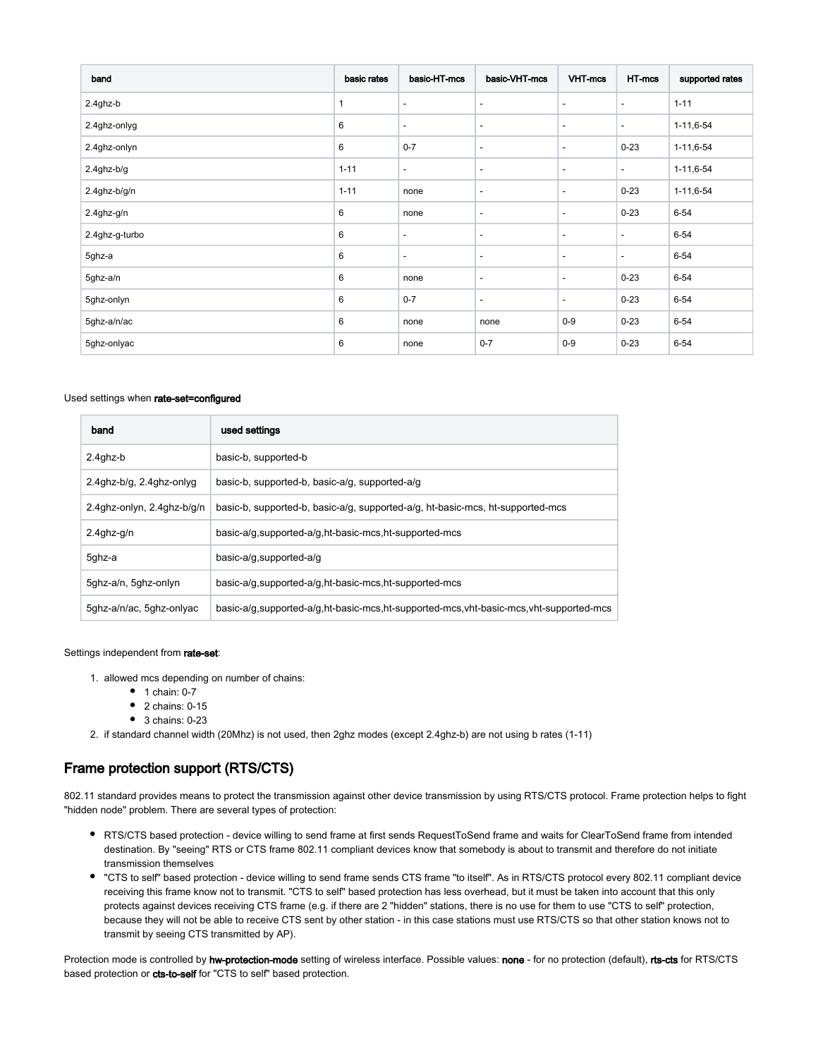| band            | basic rates  | basic-HT-mcs             | basic-VHT-mcs            | VHT-mcs                  | HT-mcs                   | supported rates  |
|-----------------|--------------|--------------------------|--------------------------|--------------------------|--------------------------|------------------|
| 2.4ghz-b        | $\mathbf{1}$ | $\overline{\phantom{a}}$ | $\overline{\phantom{a}}$ | $\overline{\phantom{a}}$ | $\overline{\phantom{a}}$ | $1 - 11$         |
| 2.4ghz-onlyg    | 6            | $\overline{\phantom{a}}$ | $\overline{\phantom{a}}$ | $\overline{\phantom{a}}$ | $\overline{\phantom{a}}$ | $1 - 11, 6 - 54$ |
| 2.4ghz-onlyn    | 6            | $0 - 7$                  | $\overline{\phantom{a}}$ | $\overline{\phantom{a}}$ | $0 - 23$                 | $1 - 11, 6 - 54$ |
| $2.4$ ghz-b/g   | $1 - 11$     | $\overline{\phantom{a}}$ | $\overline{\phantom{a}}$ | $\overline{\phantom{a}}$ | $\overline{\phantom{a}}$ | $1 - 11, 6 - 54$ |
| $2.4$ ghz-b/g/n | $1 - 11$     | none                     | $\overline{\phantom{a}}$ | $\overline{\phantom{a}}$ | $0 - 23$                 | $1 - 11, 6 - 54$ |
| 2.4ghz-g/n      | 6            | none                     | $\overline{\phantom{a}}$ | $\overline{\phantom{a}}$ | $0 - 23$                 | $6 - 54$         |
| 2.4ghz-g-turbo  | 6            | $\overline{\phantom{a}}$ | $\overline{\phantom{a}}$ | $\overline{\phantom{a}}$ | $\overline{\phantom{a}}$ | $6 - 54$         |
| 5ghz-a          | 6            | $\overline{\phantom{a}}$ | $\overline{\phantom{a}}$ | $\overline{\phantom{a}}$ | $\overline{\phantom{a}}$ | $6 - 54$         |
| 5ghz-a/n        | 6            | none                     | $\overline{\phantom{a}}$ | $\overline{\phantom{a}}$ | $0 - 23$                 | $6 - 54$         |
| 5ghz-onlyn      | 6            | $0 - 7$                  | $\overline{\phantom{a}}$ | $\overline{\phantom{a}}$ | $0 - 23$                 | $6 - 54$         |
| 5ghz-a/n/ac     | 6            | none                     | none                     | $0-9$                    | $0 - 23$                 | $6 - 54$         |
| 5ghz-onlyac     | 6            | none                     | $0 - 7$                  | $0-9$                    | $0 - 23$                 | $6 - 54$         |

#### Used settings when rate-set=configured

| band                       | used settings                                                                         |  |
|----------------------------|---------------------------------------------------------------------------------------|--|
| 2.4ghz-b                   | basic-b, supported-b                                                                  |  |
| 2.4ghz-b/g, 2.4ghz-onlyg   | basic-b, supported-b, basic-a/g, supported-a/g                                        |  |
| 2.4ghz-onlyn, 2.4ghz-b/g/n | basic-b, supported-b, basic-a/g, supported-a/g, ht-basic-mcs, ht-supported-mcs        |  |
| $2.4$ ghz-g/n              | basic-a/g, supported-a/g, ht-basic-mcs, ht-supported-mcs                              |  |
| 5ghz-a                     | basic-a/g, supported-a/g                                                              |  |
| 5ghz-a/n, 5ghz-onlyn       | basic-a/g, supported-a/g, ht-basic-mcs, ht-supported-mcs                              |  |
| 5ghz-a/n/ac, 5ghz-onlyac   | basic-a/g.supported-a/g.ht-basic-mcs.ht-supported-mcs.yht-basic-mcs.yht-supported-mcs |  |

#### Settings independent from rate-set:

- 1. allowed mcs depending on number of chains:
	- $1$  chain: 0-7
	- $\bullet$  2 chains: 0-15
	- $\bullet$  3 chains: 0-23
- 2. if standard channel width (20Mhz) is not used, then 2ghz modes (except 2.4ghz-b) are not using b rates (1-11)

## <span id="page-10-0"></span>Frame protection support (RTS/CTS)

802.11 standard provides means to protect the transmission against other device transmission by using RTS/CTS protocol. Frame protection helps to fight "hidden node" problem. There are several types of protection:

- RTS/CTS based protection device willing to send frame at first sends RequestToSend frame and waits for ClearToSend frame from intended destination. By "seeing" RTS or CTS frame 802.11 compliant devices know that somebody is about to transmit and therefore do not initiate transmission themselves
- "CTS to self" based protection device willing to send frame sends CTS frame "to itself". As in RTS/CTS protocol every 802.11 compliant device receiving this frame know not to transmit. "CTS to self" based protection has less overhead, but it must be taken into account that this only protects against devices receiving CTS frame (e.g. if there are 2 "hidden" stations, there is no use for them to use "CTS to self" protection, because they will not be able to receive CTS sent by other station - in this case stations must use RTS/CTS so that other station knows not to transmit by seeing CTS transmitted by AP).

Protection mode is controlled by hw-protection-mode setting of wireless interface. Possible values: none - for no protection (default), rts-cts for RTS/CTS based protection or cts-to-self for "CTS to self" based protection.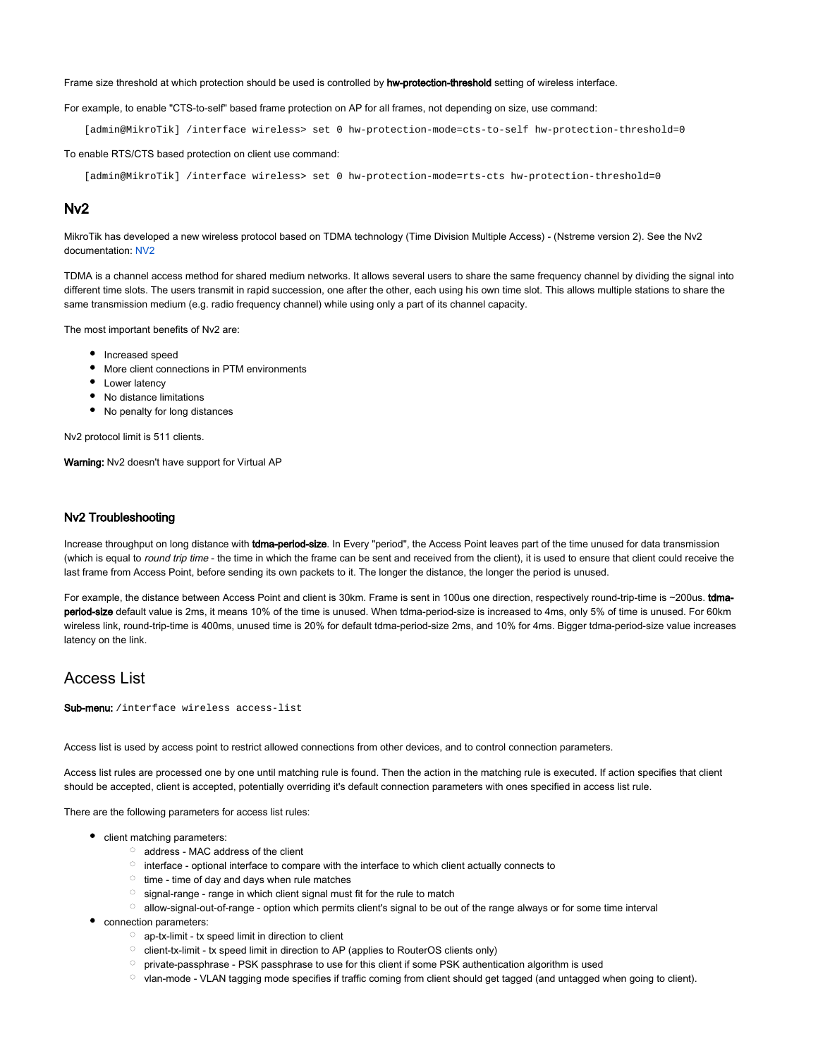Frame size threshold at which protection should be used is controlled by hw-protection-threshold setting of wireless interface.

#### For example, to enable "CTS-to-self" based frame protection on AP for all frames, not depending on size, use command:

[admin@MikroTik] /interface wireless> set 0 hw-protection-mode=cts-to-self hw-protection-threshold=0

To enable RTS/CTS based protection on client use command:

[admin@MikroTik] /interface wireless> set 0 hw-protection-mode=rts-cts hw-protection-threshold=0

#### <span id="page-11-0"></span>Nv2

MikroTik has developed a new wireless protocol based on TDMA technology (Time Division Multiple Access) - (Nstreme version 2). See the Nv2 documentation: [NV2](https://wiki.mikrotik.com/wiki/NV2)

TDMA is a channel access method for shared medium networks. It allows several users to share the same frequency channel by dividing the signal into different time slots. The users transmit in rapid succession, one after the other, each using his own time slot. This allows multiple stations to share the same transmission medium (e.g. radio frequency channel) while using only a part of its channel capacity.

The most important benefits of Nv2 are:

- Increased speed
- More client connections in PTM environments
- Lower latency
- No distance limitations
- No penalty for long distances

Nv2 protocol limit is 511 clients.

Warning: Nv2 doesn't have support for Virtual AP

#### <span id="page-11-1"></span>Nv2 Troubleshooting

Increase throughput on long distance with tdma-period-size. In Every "period", the Access Point leaves part of the time unused for data transmission (which is equal to round trip time - the time in which the frame can be sent and received from the client), it is used to ensure that client could receive the last frame from Access Point, before sending its own packets to it. The longer the distance, the longer the period is unused.

For example, the distance between Access Point and client is 30km. Frame is sent in 100us one direction, respectively round-trip-time is ~200us. tdmaperiod-size default value is 2ms, it means 10% of the time is unused. When tdma-period-size is increased to 4ms, only 5% of time is unused. For 60km wireless link, round-trip-time is 400ms, unused time is 20% for default tdma-period-size 2ms, and 10% for 4ms. Bigger tdma-period-size value increases latency on the link.

### <span id="page-11-2"></span>Access List

Sub-menu: /interface wireless access-list

Access list is used by access point to restrict allowed connections from other devices, and to control connection parameters.

Access list rules are processed one by one until matching rule is found. Then the action in the matching rule is executed. If action specifies that client should be accepted, client is accepted, potentially overriding it's default connection parameters with ones specified in access list rule.

There are the following parameters for access list rules:

- client matching parameters:
	- $\circ$  address MAC address of the client
	- $\circ$  interface optional interface to compare with the interface to which client actually connects to
	- $\circ$  time time of day and days when rule matches
	- $\circ$  signal-range range in which client signal must fit for the rule to match
	- $\circ$  allow-signal-out-of-range option which permits client's signal to be out of the range always or for some time interval
- connection parameters:
	- $\circ$  ap-tx-limit tx speed limit in direction to client
	- $\circ$  client-tx-limit tx speed limit in direction to AP (applies to RouterOS clients only)
	- $\circ$  private-passphrase PSK passphrase to use for this client if some PSK authentication algorithm is used
	- $\circ$  vlan-mode VLAN tagging mode specifies if traffic coming from client should get tagged (and untagged when going to client).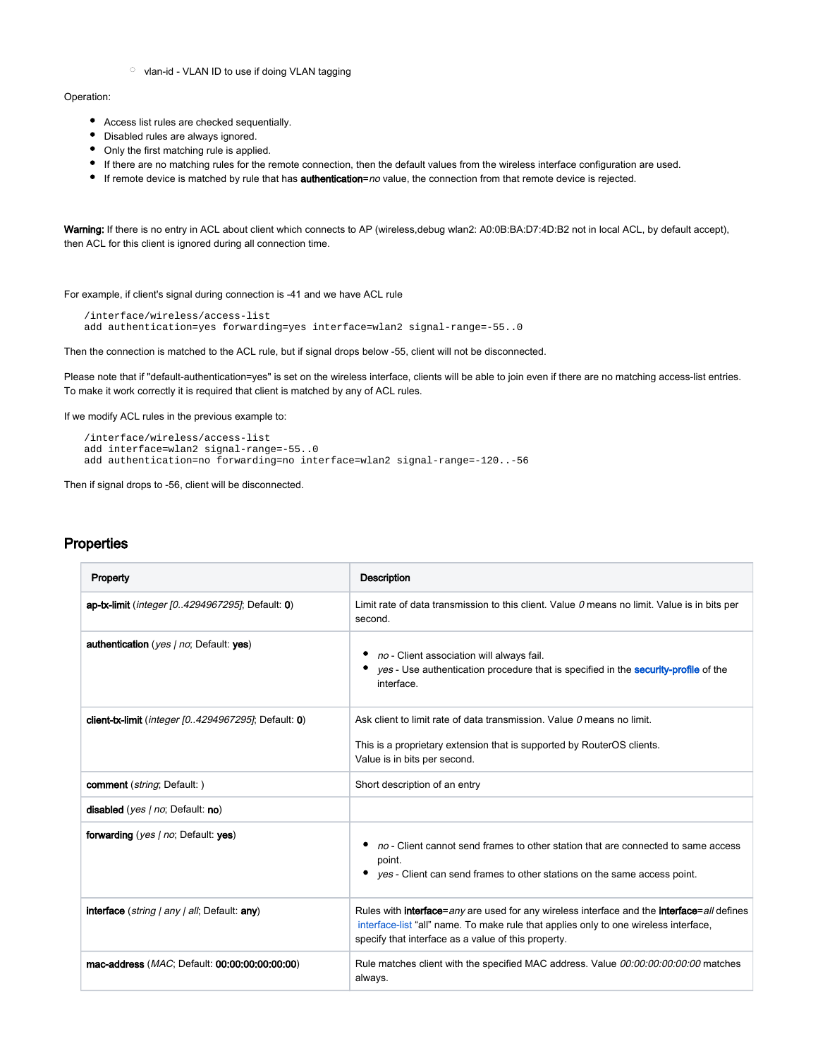$\circ$  vlan-id - VLAN ID to use if doing VLAN tagging

#### Operation:

- Access list rules are checked sequentially.
- Disabled rules are always ignored.
- Only the first matching rule is applied.
- If there are no matching rules for the remote connection, then the default values from the wireless interface configuration are used.
- If remote device is matched by rule that has **authentication**=no value, the connection from that remote device is rejected.

Warning: If there is no entry in ACL about client which connects to AP (wireless,debug wlan2: A0:0B:BA:D7:4D:B2 not in local ACL, by default accept), then ACL for this client is ignored during all connection time.

For example, if client's signal during connection is -41 and we have ACL rule

```
/interface/wireless/access-list
add authentication=yes forwarding=yes interface=wlan2 signal-range=-55..0
```
Then the connection is matched to the ACL rule, but if signal drops below -55, client will not be disconnected.

Please note that if "default-authentication=yes" is set on the wireless interface, clients will be able to join even if there are no matching access-list entries. To make it work correctly it is required that client is matched by any of ACL rules.

If we modify ACL rules in the previous example to:

```
/interface/wireless/access-list
add interface=wlan2 signal-range=-55..0
add authentication=no forwarding=no interface=wlan2 signal-range=-120..-56
```
Then if signal drops to -56, client will be disconnected.

### <span id="page-12-0"></span>**Properties**

| Property                                                             | <b>Description</b>                                                                                                                                                                                                                                        |
|----------------------------------------------------------------------|-----------------------------------------------------------------------------------------------------------------------------------------------------------------------------------------------------------------------------------------------------------|
| ap-tx-limit ( <i>integer [04294967295]</i> ; Default: 0)             | Limit rate of data transmission to this client. Value $\theta$ means no limit. Value is in bits per<br>second.                                                                                                                                            |
| authentication (yes / no; Default: yes)                              | no - Client association will always fail.<br>yes - Use authentication procedure that is specified in the security-profile of the<br>interface.                                                                                                            |
| <b>client-tx-limit</b> ( <i>integer [04294967295]</i> ; Default: 0)  | Ask client to limit rate of data transmission. Value 0 means no limit.<br>This is a proprietary extension that is supported by RouterOS clients.<br>Value is in bits per second.                                                                          |
| comment (string; Default:)                                           | Short description of an entry                                                                                                                                                                                                                             |
| disabled (yes / no; Default: no)                                     |                                                                                                                                                                                                                                                           |
| forwarding (yes   no; Default: yes)                                  | no - Client cannot send frames to other station that are connected to same access<br>point.<br>yes - Client can send frames to other stations on the same access point.                                                                                   |
| <b>interface</b> ( <i>string   any   all</i> ; Default: <b>any</b> ) | Rules with <b>interface</b> =any are used for any wireless interface and the <b>interface</b> =all defines<br>interface-list "all" name. To make rule that applies only to one wireless interface,<br>specify that interface as a value of this property. |
| mac-address ( <i>MAC</i> ; Default: 00:00:00:00:00:00)               | Rule matches client with the specified MAC address. Value 00:00:00:00:00:00 matches<br>always.                                                                                                                                                            |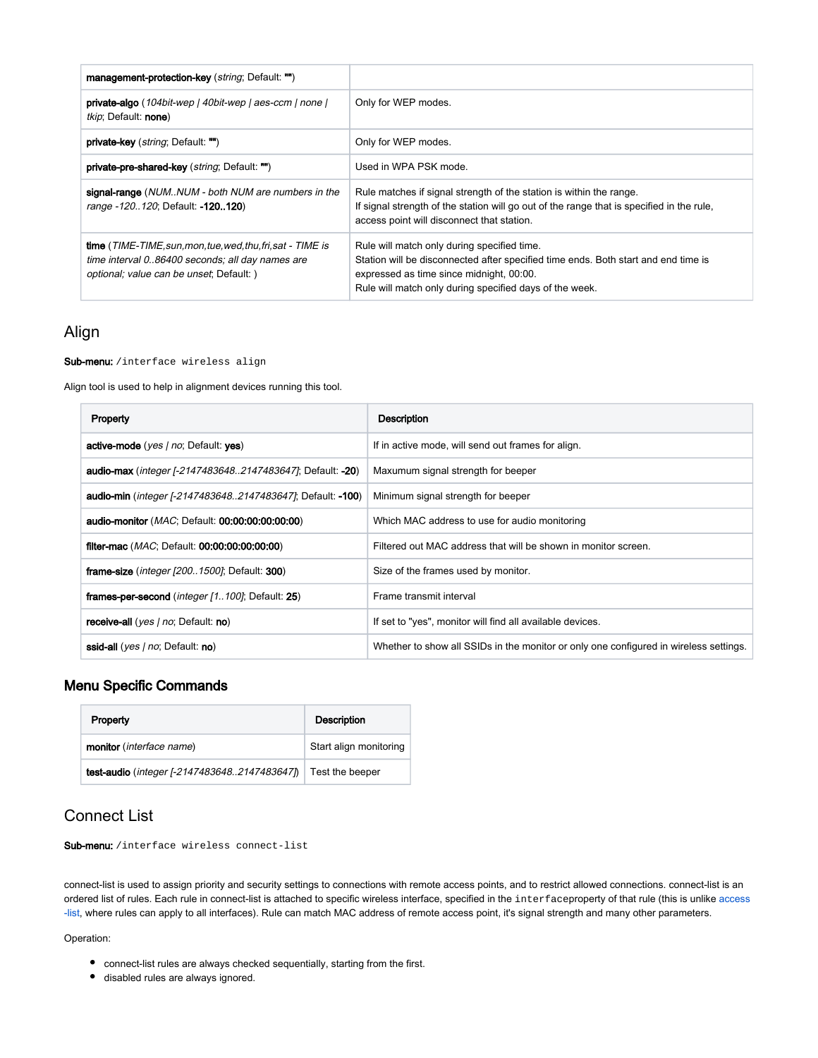| management-protection-key (string; Default: "")                                                                                                                    |                                                                                                                                                                                                                                          |
|--------------------------------------------------------------------------------------------------------------------------------------------------------------------|------------------------------------------------------------------------------------------------------------------------------------------------------------------------------------------------------------------------------------------|
| private-algo (104bit-wep   40bit-wep   aes-ccm   none  <br><i>tkip</i> ; Default: <b>none</b> )                                                                    | Only for WEP modes.                                                                                                                                                                                                                      |
| <b>private-key</b> ( <i>string</i> ; Default: "")                                                                                                                  | Only for WEP modes.                                                                                                                                                                                                                      |
| private-pre-shared-key (string; Default: "")                                                                                                                       | Used in WPA PSK mode.                                                                                                                                                                                                                    |
| signal-range (NUMNUM - both NUM are numbers in the<br>range -120120; Default: -120120)                                                                             | Rule matches if signal strength of the station is within the range.<br>If signal strength of the station will go out of the range that is specified in the rule.<br>access point will disconnect that station.                           |
| <b>time</b> (TIME-TIME, sun, mon, tue, wed, thu, fri, sat - TIME is<br>time interval 086400 seconds; all day names are<br>optional; value can be unset; Default: ) | Rule will match only during specified time.<br>Station will be disconnected after specified time ends. Both start and end time is<br>expressed as time since midnight, 00:00.<br>Rule will match only during specified days of the week. |

## <span id="page-13-0"></span>Align

Sub-menu: /interface wireless align

Align tool is used to help in alignment devices running this tool.

| Property                                                                           | Description                                                                           |
|------------------------------------------------------------------------------------|---------------------------------------------------------------------------------------|
| <b>active-mode</b> ( <i>yes   no</i> ; Default: yes)                               | If in active mode, will send out frames for align.                                    |
| audio-max ( <i>integer [-21474836482147483647]</i> ; Default: -20)                 | Maxumum signal strength for beeper                                                    |
| <b>audio-min</b> ( <i>integer [-21474836482147483647]</i> ; Default: <b>-100</b> ) | Minimum signal strength for beeper                                                    |
| <b>audio-monitor</b> ( <i>MAC</i> ; Default: 00:00:00:00:00:00)                    | Which MAC address to use for audio monitoring                                         |
| <b>filter-mac</b> ( <i>MAC</i> ; Default: $00:00:00:00:00:00$ )                    | Filtered out MAC address that will be shown in monitor screen.                        |
| frame-size ( <i>integer [2001500]</i> ; Default: $300$ )                           | Size of the frames used by monitor.                                                   |
| frames-per-second ( <i>integer [1100]</i> ; Default: 25)                           | Frame transmit interval                                                               |
| receive-all ( <i>yes   no</i> ; Default: no)                                       | If set to "yes", monitor will find all available devices.                             |
| ssid-all (yes / no; Default: no)                                                   | Whether to show all SSIDs in the monitor or only one configured in wireless settings. |

## <span id="page-13-1"></span>Menu Specific Commands

| Property                                    | <b>Description</b>     |
|---------------------------------------------|------------------------|
| monitor (interface name)                    | Start align monitoring |
| test-audio (integer [-21474836482147483647] | Test the beeper        |

## <span id="page-13-2"></span>Connect List

Sub-menu: /interface wireless connect-list

connect-list is used to assign priority and security settings to connections with remote access points, and to restrict allowed connections. connect-list is an ordered list of rules. Each rule in connect-list is attached to specific wireless interface, specified in the interfaceproperty of that rule (this is unlike [access](https://help.mikrotik.com/docs/display/ROS/Wireless+Interface#WirelessInterface-AccessList) [-list,](https://help.mikrotik.com/docs/display/ROS/Wireless+Interface#WirelessInterface-AccessList) where rules can apply to all interfaces). Rule can match MAC address of remote access point, it's signal strength and many other parameters.

Operation:

- connect-list rules are always checked sequentially, starting from the first.
- disabled rules are always ignored.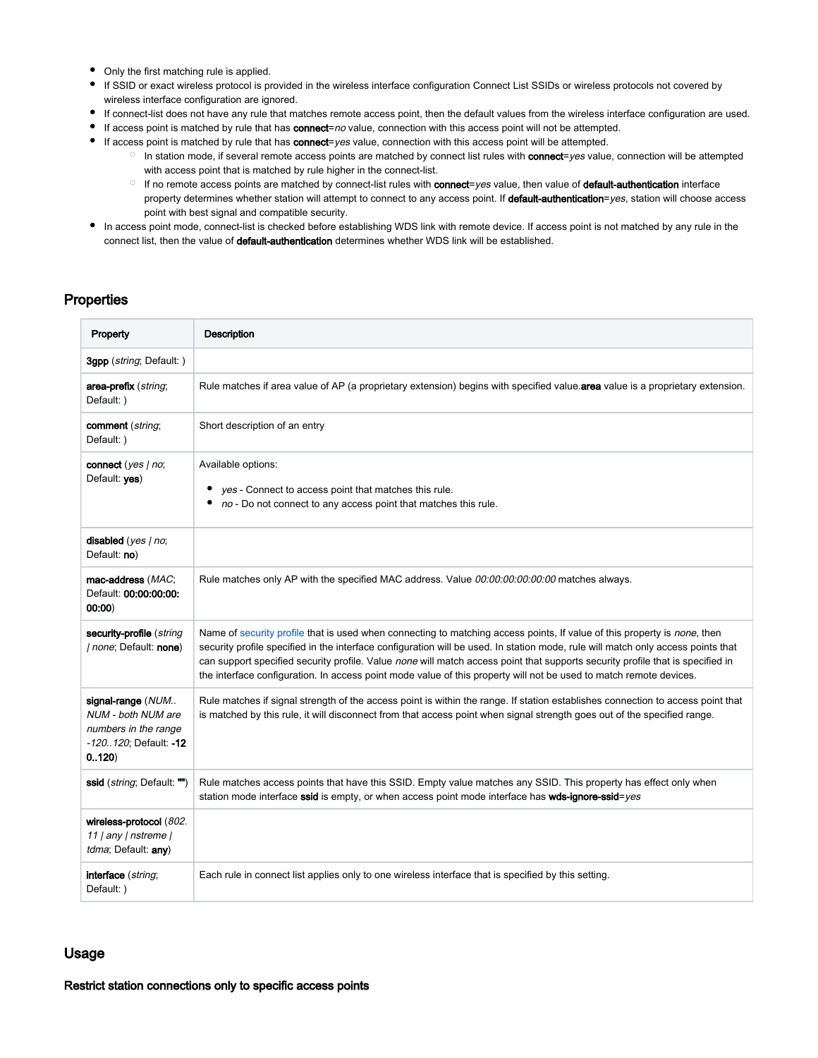- Only the first matching rule is applied.
- If SSID or exact wireless protocol is provided in the wireless interface configuration Connect List SSIDs or wireless protocols not covered by wireless interface configuration are ignored.
- If connect-list does not have any rule that matches remote access point, then the default values from the wireless interface configuration are used.
- If access point is matched by rule that has connect=no value, connection with this access point will not be attempted.
- If access point is matched by rule that has connect=yes value, connection with this access point will be attempted.
	- $\circ$  In station mode, if several remote access points are matched by connect list rules with **connect**=yes value, connection will be attempted with access point that is matched by rule higher in the connect-list.
	- $\circ$  If no remote access points are matched by connect-list rules with connect=yes value, then value of default-authentication interface property determines whether station will attempt to connect to any access point. If default-authentication=yes, station will choose access point with best signal and compatible security.
- In access point mode, connect-list is checked before establishing WDS link with remote device. If access point is not matched by any rule in the connect list, then the value of default-authentication determines whether WDS link will be established.

### <span id="page-14-0"></span>**Properties**

| Property                                                                                          | Description                                                                                                                                                                                                                                                                                                                                                                                                                                                                                                          |
|---------------------------------------------------------------------------------------------------|----------------------------------------------------------------------------------------------------------------------------------------------------------------------------------------------------------------------------------------------------------------------------------------------------------------------------------------------------------------------------------------------------------------------------------------------------------------------------------------------------------------------|
| 3gpp (string; Default:)                                                                           |                                                                                                                                                                                                                                                                                                                                                                                                                                                                                                                      |
| area-prefix (string;<br>Default: )                                                                | Rule matches if area value of AP (a proprietary extension) begins with specified value. area value is a proprietary extension.                                                                                                                                                                                                                                                                                                                                                                                       |
| comment (string;<br>Default: )                                                                    | Short description of an entry                                                                                                                                                                                                                                                                                                                                                                                                                                                                                        |
| connect (yes   no;<br>Default: yes)                                                               | Available options:<br>yes - Connect to access point that matches this rule.<br>٠<br>no - Do not connect to any access point that matches this rule.                                                                                                                                                                                                                                                                                                                                                                  |
| disabled (yes   no;<br>Default: no)                                                               |                                                                                                                                                                                                                                                                                                                                                                                                                                                                                                                      |
| mac-address (MAC;<br>Default: 00:00:00:00:<br>00:00                                               | Rule matches only AP with the specified MAC address. Value 00:00:00:00:00:00 matches always.                                                                                                                                                                                                                                                                                                                                                                                                                         |
| security-profile (string<br><i>I none</i> ; Default: none)                                        | Name of security profile that is used when connecting to matching access points, If value of this property is none, then<br>security profile specified in the interface configuration will be used. In station mode, rule will match only access points that<br>can support specified security profile. Value none will match access point that supports security profile that is specified in<br>the interface configuration. In access point mode value of this property will not be used to match remote devices. |
| signal-range (NUM<br>NUM - both NUM are<br>numbers in the range<br>-120120; Default: -12<br>0.120 | Rule matches if signal strength of the access point is within the range. If station establishes connection to access point that<br>is matched by this rule, it will disconnect from that access point when signal strength goes out of the specified range.                                                                                                                                                                                                                                                          |
| ssid ( <i>string</i> ; Default: "")                                                               | Rule matches access points that have this SSID. Empty value matches any SSID. This property has effect only when<br>station mode interface ssid is empty, or when access point mode interface has wds-ignore-ssid=yes                                                                                                                                                                                                                                                                                                |
| wireless-protocol (802.<br>11   any   nstreme  <br>tdma; Default: any)                            |                                                                                                                                                                                                                                                                                                                                                                                                                                                                                                                      |
| interface (string;<br>Default: )                                                                  | Each rule in connect list applies only to one wireless interface that is specified by this setting.                                                                                                                                                                                                                                                                                                                                                                                                                  |

#### <span id="page-14-1"></span>Usage

<span id="page-14-2"></span>Restrict station connections only to specific access points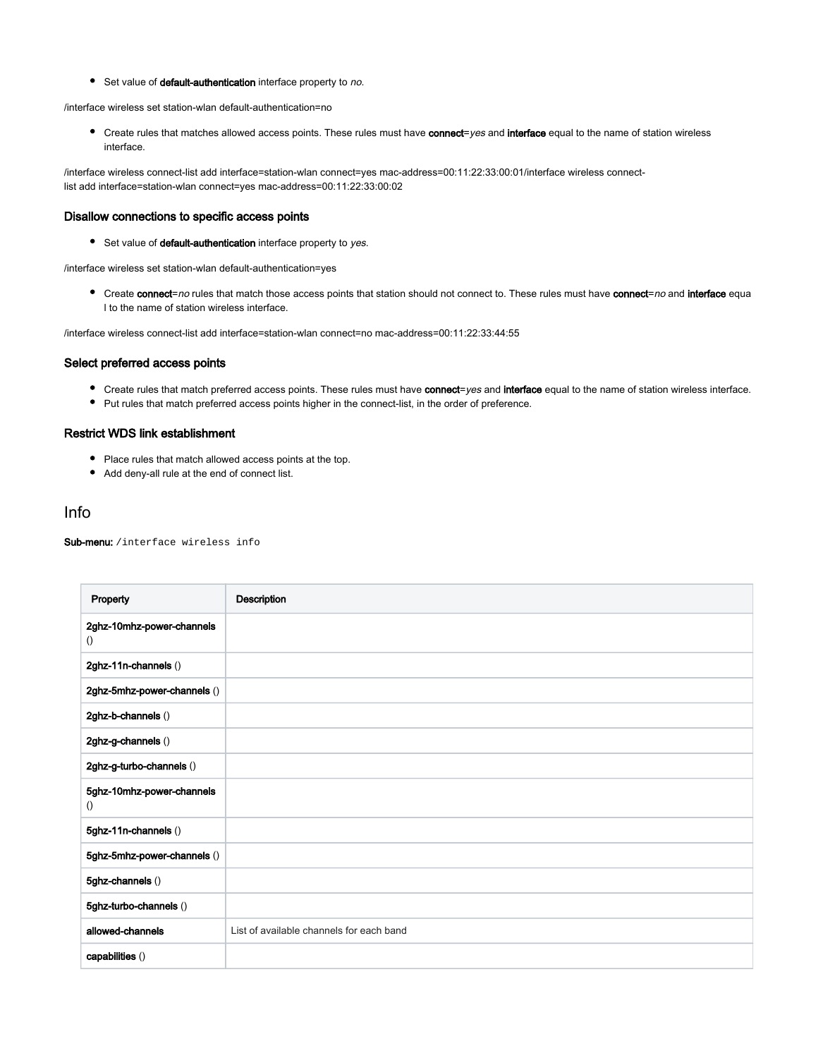Set value of default-authentication interface property to no.

/interface wireless set station-wlan default-authentication=no

● Create rules that matches allowed access points. These rules must have connect=yes and interface equal to the name of station wireless interface.

/interface wireless connect-list add interface=station-wlan connect=yes mac-address=00:11:22:33:00:01/interface wireless connectlist add interface=station-wlan connect=yes mac-address=00:11:22:33:00:02

#### <span id="page-15-0"></span>Disallow connections to specific access points

Set value of default-authentication interface property to yes.

/interface wireless set station-wlan default-authentication=yes

● Create connect=no rules that match those access points that station should not connect to. These rules must have connect=no and interface equa l to the name of station wireless interface.

/interface wireless connect-list add interface=station-wlan connect=no mac-address=00:11:22:33:44:55

#### <span id="page-15-1"></span>Select preferred access points

- Create rules that match preferred access points. These rules must have connect=yes and interface equal to the name of station wireless interface.
- Put rules that match preferred access points higher in the connect-list, in the order of preference.

#### <span id="page-15-2"></span>Restrict WDS link establishment

- Place rules that match allowed access points at the top.
- Add deny-all rule at the end of connect list.

#### <span id="page-15-3"></span>Info

Sub-menu: /interface wireless info

| Property                                      | Description                              |
|-----------------------------------------------|------------------------------------------|
| 2ghz-10mhz-power-channels<br>$\left( \right)$ |                                          |
| 2ghz-11n-channels ()                          |                                          |
| 2ghz-5mhz-power-channels ()                   |                                          |
| 2ghz-b-channels ()                            |                                          |
| 2ghz-g-channels ()                            |                                          |
| 2ghz-g-turbo-channels ()                      |                                          |
| 5ghz-10mhz-power-channels<br>$\left( \right)$ |                                          |
| 5ghz-11n-channels ()                          |                                          |
| 5ghz-5mhz-power-channels ()                   |                                          |
| 5ghz-channels ()                              |                                          |
| 5ghz-turbo-channels ()                        |                                          |
| allowed-channels                              | List of available channels for each band |
| capabilities ()                               |                                          |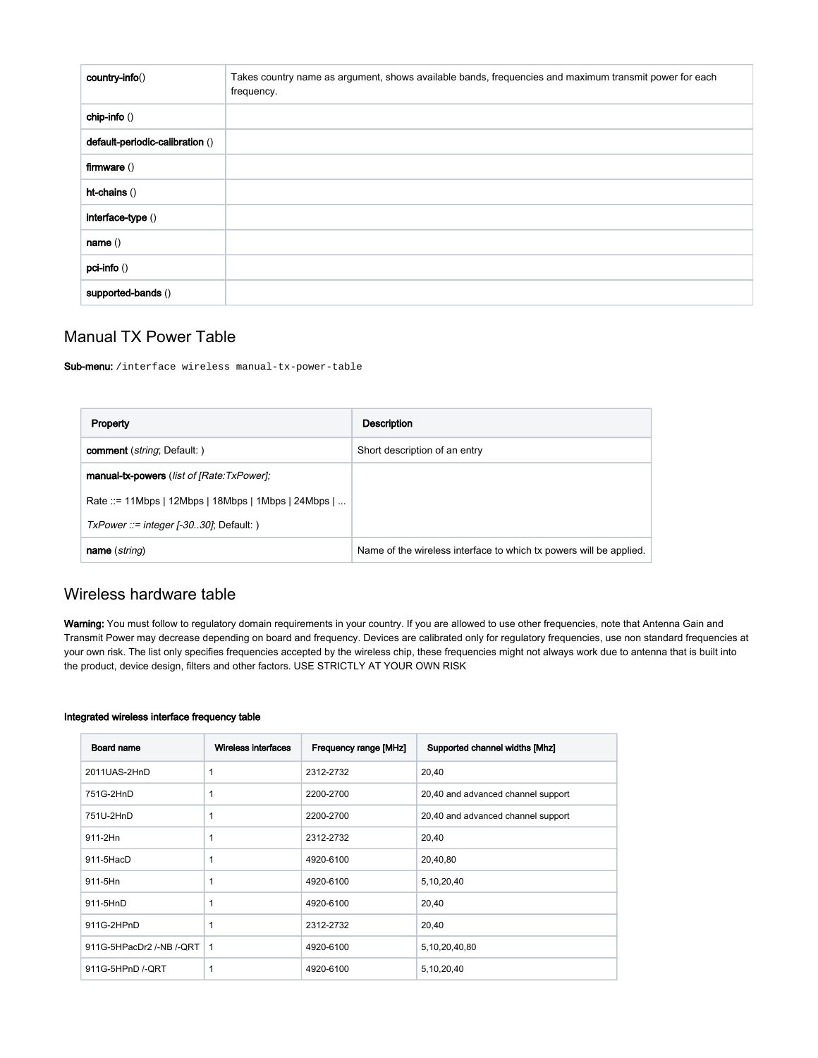| country-info()                  | Takes country name as argument, shows available bands, frequencies and maximum transmit power for each<br>frequency. |
|---------------------------------|----------------------------------------------------------------------------------------------------------------------|
| chip-info ()                    |                                                                                                                      |
| default-periodic-calibration () |                                                                                                                      |
| firmware $()$                   |                                                                                                                      |
| ht-chains ()                    |                                                                                                                      |
| interface-type ()               |                                                                                                                      |
| name()                          |                                                                                                                      |
| pci-info ()                     |                                                                                                                      |
| supported-bands ()              |                                                                                                                      |

## <span id="page-16-0"></span>Manual TX Power Table

Sub-menu: /interface wireless manual-tx-power-table

| Property                                           | Description                                                        |
|----------------------------------------------------|--------------------------------------------------------------------|
| <b>comment</b> ( <i>string</i> ; Default: )        | Short description of an entry                                      |
| manual-tx-powers (list of [Rate:TxPower];          |                                                                    |
| Rate ::= 11Mbps   12Mbps   18Mbps   1Mbps   24Mbps |                                                                    |
| $TxPower ::= integer [-3030]$ ; Default: )         |                                                                    |
| <b>name</b> ( <i>string</i> )                      | Name of the wireless interface to which tx powers will be applied. |

## <span id="page-16-1"></span>Wireless hardware table

Warning: You must follow to regulatory domain requirements in your country. If you are allowed to use other frequencies, note that Antenna Gain and Transmit Power may decrease depending on board and frequency. Devices are calibrated only for regulatory frequencies, use non standard frequencies at your own risk. The list only specifies frequencies accepted by the wireless chip, these frequencies might not always work due to antenna that is built into the product, device design, filters and other factors. USE STRICTLY AT YOUR OWN RISK

#### Integrated wireless interface frequency table

| Board name               | Wireless interfaces | Frequency range [MHz] | Supported channel widths [Mhz]     |
|--------------------------|---------------------|-----------------------|------------------------------------|
| 2011UAS-2HnD             | $\mathbf{1}$        | 2312-2732             | 20,40                              |
| 751G-2HnD                | $\mathbf{1}$        | 2200-2700             | 20,40 and advanced channel support |
| 751U-2HnD                | 1                   | 2200-2700             | 20,40 and advanced channel support |
| 911-2Hn                  | 1                   | 2312-2732             | 20,40                              |
| $911 - 5HacD$            | $\mathbf{1}$        | 4920-6100             | 20,40,80                           |
| 911-5Hn                  | 1                   | 4920-6100             | 5,10,20,40                         |
| 911-5HnD                 | $\mathbf{1}$        | 4920-6100             | 20,40                              |
| 911G-2HPnD               | 1                   | 2312-2732             | 20,40                              |
| 911G-5HPacDr2 /-NB /-QRT | $\overline{1}$      | 4920-6100             | 5,10,20,40,80                      |
| 911G-5HPnD /-QRT         | 1                   | 4920-6100             | 5,10,20,40                         |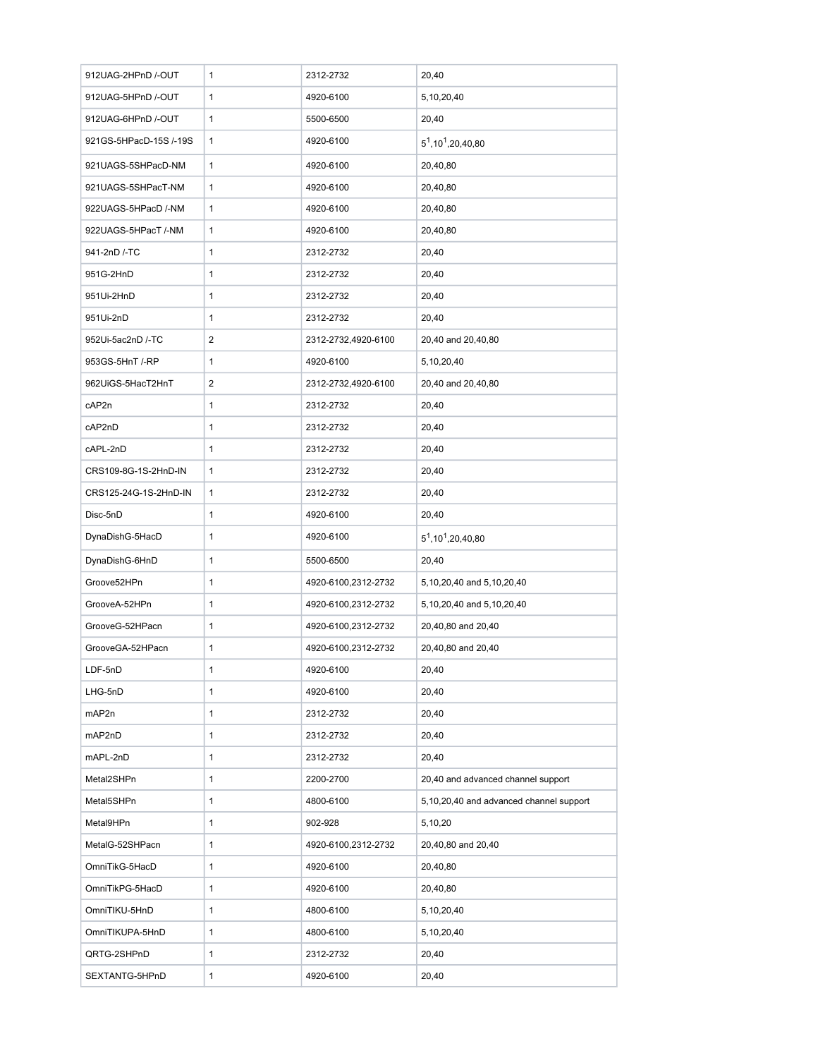| 912UAG-2HPnD /-OUT     | 1            | 2312-2732           | 20,40                                   |  |  |
|------------------------|--------------|---------------------|-----------------------------------------|--|--|
| 912UAG-5HPnD /-OUT     | $\mathbf{1}$ | 4920-6100           | 5,10,20,40                              |  |  |
| 912UAG-6HPnD /-OUT     | 1            | 5500-6500           | 20,40                                   |  |  |
| 921GS-5HPacD-15S /-19S | 1            | 4920-6100           | $5^1, 10^1, 20, 40, 80$                 |  |  |
| 921UAGS-5SHPacD-NM     | 1            | 4920-6100           | 20,40,80                                |  |  |
| 921UAGS-5SHPacT-NM     | $\mathbf{1}$ | 4920-6100           | 20,40,80                                |  |  |
| 922UAGS-5HPacD /-NM    | 1            | 4920-6100           | 20,40,80                                |  |  |
| 922UAGS-5HPacT /-NM    | 1            | 4920-6100           | 20,40,80                                |  |  |
| 941-2nD /-TC           | 1            | 2312-2732           | 20,40                                   |  |  |
| 951G-2HnD              | 1            | 2312-2732           | 20,40                                   |  |  |
| 951Ui-2HnD             | 1            | 2312-2732           | 20,40                                   |  |  |
| 951Ui-2nD              | 1            | 2312-2732           | 20,40                                   |  |  |
| 952Ui-5ac2nD /-TC      | 2            | 2312-2732,4920-6100 | 20,40 and 20,40,80                      |  |  |
| 953GS-5HnT /-RP        | 1            | 4920-6100           | 5,10,20,40                              |  |  |
| 962UiGS-5HacT2HnT      | 2            | 2312-2732,4920-6100 | 20,40 and 20,40,80                      |  |  |
| cAP2n                  | 1            | 2312-2732           | 20,40                                   |  |  |
| cAP2nD                 | 1            | 2312-2732           | 20,40                                   |  |  |
| cAPL-2nD               | 1            | 2312-2732           | 20,40                                   |  |  |
| CRS109-8G-1S-2HnD-IN   | 1            | 2312-2732           | 20,40                                   |  |  |
| CRS125-24G-1S-2HnD-IN  | 1            | 2312-2732           | 20,40                                   |  |  |
| Disc-5nD               | 1            | 4920-6100           | 20,40                                   |  |  |
| DynaDishG-5HacD        | 1            | 4920-6100           | $5^1, 10^1, 20, 40, 80$                 |  |  |
| DynaDishG-6HnD         | 1            | 5500-6500           | 20,40                                   |  |  |
| Groove52HPn            | 1            | 4920-6100,2312-2732 | 5,10,20,40 and 5,10,20,40               |  |  |
| GrooveA-52HPn          | 1            | 4920-6100,2312-2732 | 5,10,20,40 and 5,10,20,40               |  |  |
| GrooveG-52HPacn        | 1            | 4920-6100,2312-2732 | 20,40,80 and 20,40                      |  |  |
| GrooveGA-52HPacn       | 1            | 4920-6100,2312-2732 | 20,40,80 and 20,40                      |  |  |
| LDF-5nD                | 1            | 4920-6100           | 20,40                                   |  |  |
| LHG-5nD                | $\mathbf{1}$ | 4920-6100           | 20,40                                   |  |  |
| mAP2n                  | 1            | 2312-2732           | 20,40                                   |  |  |
| mAP2nD                 | 1            | 2312-2732           | 20,40                                   |  |  |
| mAPL-2nD               | 1            | 2312-2732           | 20,40                                   |  |  |
| Metal2SHPn             | $\mathbf{1}$ | 2200-2700           | 20,40 and advanced channel support      |  |  |
| Metal5SHPn             | 1            | 4800-6100           | 5,10,20,40 and advanced channel support |  |  |
| Metal9HPn              | 1            | 902-928             | 5,10,20                                 |  |  |
| MetalG-52SHPacn        | $\mathbf{1}$ | 4920-6100,2312-2732 | 20,40,80 and 20,40                      |  |  |
| OmniTikG-5HacD         | 1            | 4920-6100           | 20,40,80                                |  |  |
| OmniTikPG-5HacD        | 1            | 4920-6100           | 20,40,80                                |  |  |
| OmniTIKU-5HnD          | 1            | 4800-6100           | 5,10,20,40                              |  |  |
| OmniTIKUPA-5HnD        | $\mathbf{1}$ | 4800-6100           | 5,10,20,40                              |  |  |
| QRTG-2SHPnD            | 1            | 2312-2732           | 20,40                                   |  |  |
| SEXTANTG-5HPnD         | $\mathbf{1}$ | 4920-6100           | 20,40                                   |  |  |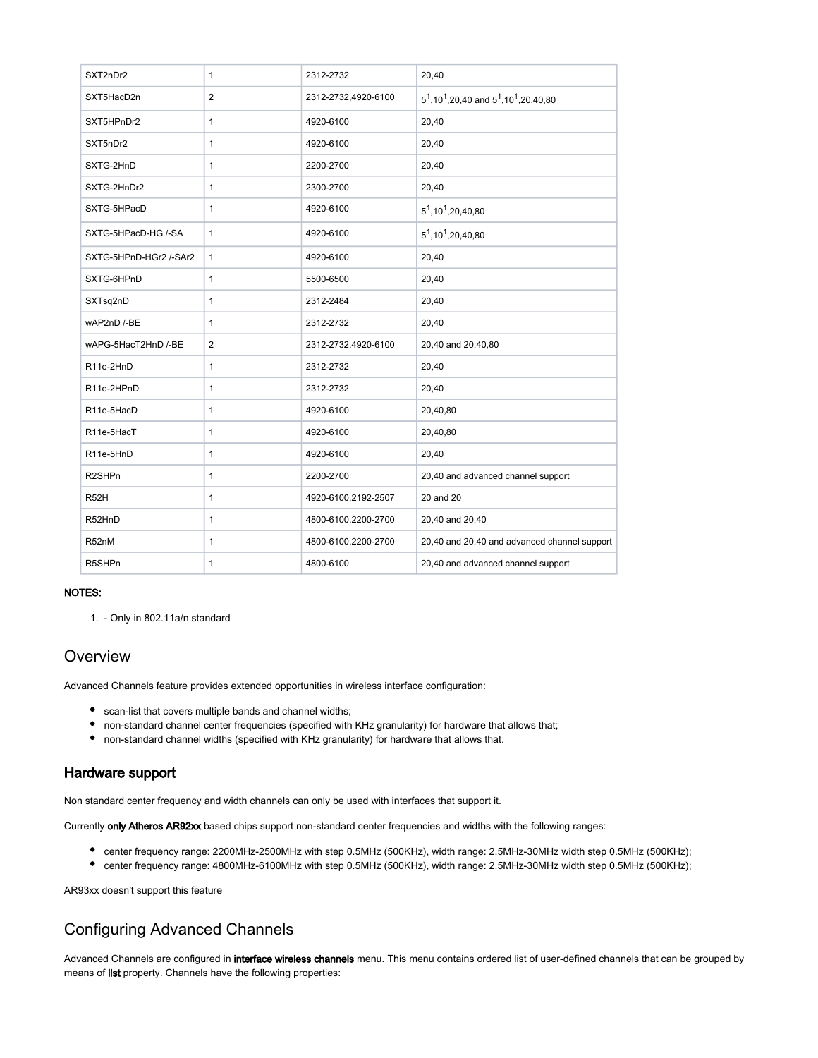| SXT2nDr2                            | $\mathbf{1}$   | 2312-2732           | 20,40                                                                     |
|-------------------------------------|----------------|---------------------|---------------------------------------------------------------------------|
| SXT5HacD2n                          | $\overline{2}$ | 2312-2732,4920-6100 | $5^1$ , 10 <sup>1</sup> , 20, 40 and $5^1$ , 10 <sup>1</sup> , 20, 40, 80 |
| SXT5HPnDr2                          | $\mathbf{1}$   | 4920-6100           | 20,40                                                                     |
| SXT5nDr2                            | $\mathbf{1}$   | 4920-6100           | 20,40                                                                     |
| SXTG-2HnD                           | $\mathbf{1}$   | 2200-2700           | 20,40                                                                     |
| SXTG-2HnDr2                         | $\mathbf{1}$   | 2300-2700           | 20,40                                                                     |
| SXTG-5HPacD                         | $\mathbf{1}$   | 4920-6100           | $5^1, 10^1, 20, 40, 80$                                                   |
| SXTG-5HPacD-HG /-SA                 | $\mathbf{1}$   | 4920-6100           | $5^1, 10^1, 20, 40, 80$                                                   |
| SXTG-5HPnD-HGr2 /-SAr2              | $\mathbf{1}$   | 4920-6100           | 20,40                                                                     |
| SXTG-6HPnD                          | $\mathbf{1}$   | 5500-6500           | 20,40                                                                     |
| SXTsq2nD                            | $\mathbf{1}$   | 2312-2484           | 20,40                                                                     |
| wAP2nD /-BE                         | $\mathbf{1}$   | 2312-2732           | 20,40                                                                     |
| wAPG-5HacT2HnD /-BE                 | $\overline{2}$ | 2312-2732,4920-6100 | 20,40 and 20,40,80                                                        |
| R11e-2HnD                           | $\mathbf{1}$   | 2312-2732           | 20,40                                                                     |
| R11e-2HPnD                          | $\mathbf{1}$   | 2312-2732           | 20,40                                                                     |
| R11e-5HacD                          | $\mathbf{1}$   | 4920-6100           | 20,40,80                                                                  |
| R11e-5HacT                          | $\mathbf{1}$   | 4920-6100           | 20,40,80                                                                  |
| R <sub>11e-5</sub> H <sub>n</sub> D | $\mathbf{1}$   | 4920-6100           | 20,40                                                                     |
| R2SHPn                              | $\mathbf{1}$   | 2200-2700           | 20,40 and advanced channel support                                        |
| R <sub>52</sub> H                   | $\mathbf{1}$   | 4920-6100,2192-2507 | 20 and 20                                                                 |
| R52HnD                              | $\mathbf{1}$   | 4800-6100,2200-2700 | 20,40 and 20,40                                                           |
| R52nM                               | $\mathbf{1}$   | 4800-6100,2200-2700 | 20,40 and 20,40 and advanced channel support                              |
| R5SHPn                              | 1              | 4800-6100           | 20,40 and advanced channel support                                        |

#### NOTES:

1. - Only in 802.11a/n standard

## <span id="page-18-0"></span>**Overview**

Advanced Channels feature provides extended opportunities in wireless interface configuration:

- scan-list that covers multiple bands and channel widths;
- non-standard channel center frequencies (specified with KHz granularity) for hardware that allows that;
- non-standard channel widths (specified with KHz granularity) for hardware that allows that.

### <span id="page-18-1"></span>Hardware support

Non standard center frequency and width channels can only be used with interfaces that support it.

Currently only Atheros AR92xx based chips support non-standard center frequencies and widths with the following ranges:

- center frequency range: 2200MHz-2500MHz with step 0.5MHz (500KHz), width range: 2.5MHz-30MHz width step 0.5MHz (500KHz);
- center frequency range: 4800MHz-6100MHz with step 0.5MHz (500KHz), width range: 2.5MHz-30MHz width step 0.5MHz (500KHz);

AR93xx doesn't support this feature

## <span id="page-18-2"></span>Configuring Advanced Channels

Advanced Channels are configured in interface wireless channels menu. This menu contains ordered list of user-defined channels that can be grouped by means of list property. Channels have the following properties: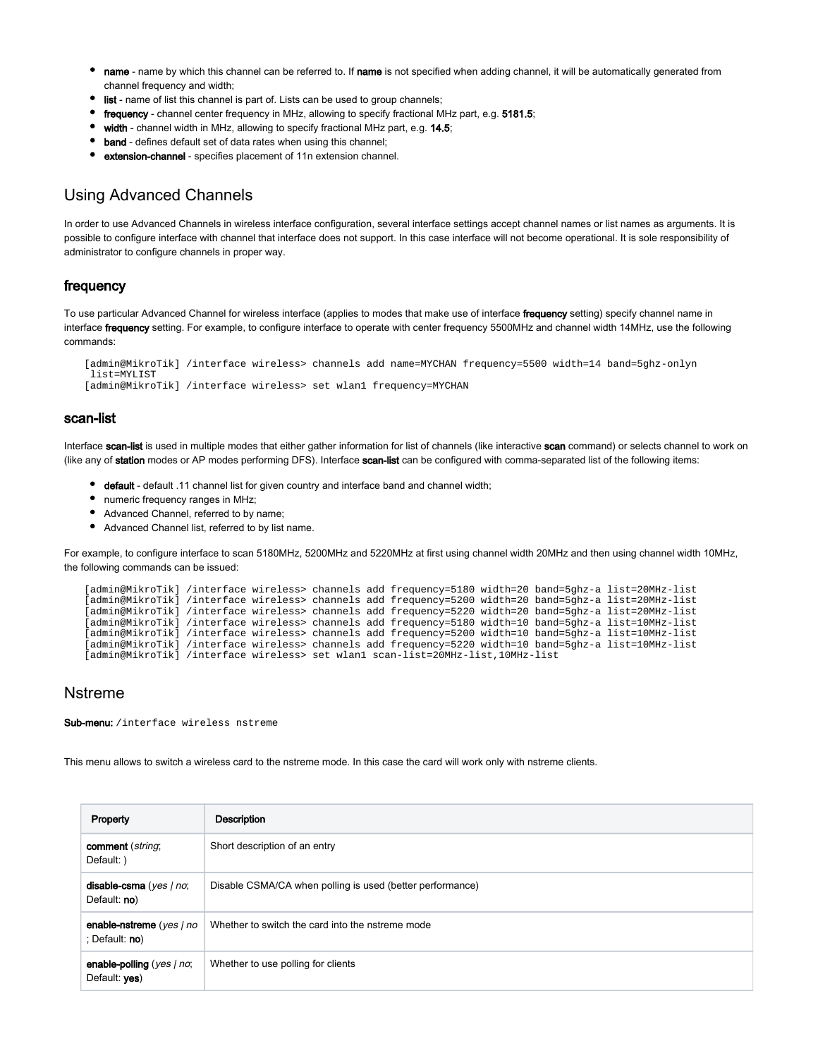- $\bullet$ name - name by which this channel can be referred to. If name is not specified when adding channel, it will be automatically generated from channel frequency and width;
- list name of list this channel is part of. Lists can be used to group channels;
- frequency channel center frequency in MHz, allowing to specify fractional MHz part, e.g. 5181.5;
- width channel width in MHz, allowing to specify fractional MHz part, e.g. 14.5;
- band defines default set of data rates when using this channel;
- extension-channel specifies placement of 11n extension channel.

## <span id="page-19-0"></span>Using Advanced Channels

In order to use Advanced Channels in wireless interface configuration, several interface settings accept channel names or list names as arguments. It is possible to configure interface with channel that interface does not support. In this case interface will not become operational. It is sole responsibility of administrator to configure channels in proper way.

### <span id="page-19-1"></span>frequency

To use particular Advanced Channel for wireless interface (applies to modes that make use of interface frequency setting) specify channel name in interface frequency setting. For example, to configure interface to operate with center frequency 5500MHz and channel width 14MHz, use the following commands:

```
[admin@MikroTik] /interface wireless> channels add name=MYCHAN frequency=5500 width=14 band=5ghz-onlyn
  list=MYLIST
[admin@MikroTik] /interface wireless> set wlan1 frequency=MYCHAN
```
### <span id="page-19-2"></span>scan-list

Interface scan-list is used in multiple modes that either gather information for list of channels (like interactive scan command) or selects channel to work on (like any of station modes or AP modes performing DFS). Interface scan-list can be configured with comma-separated list of the following items:

- **+** default default .11 channel list for given country and interface band and channel width;
- numeric frequency ranges in MHz;
- Advanced Channel, referred to by name;
- Advanced Channel list, referred to by list name.

For example, to configure interface to scan 5180MHz, 5200MHz and 5220MHz at first using channel width 20MHz and then using channel width 10MHz, the following commands can be issued:

| [admin@MikroTik] /interface wireless> channels add frequency=5180 width=20 band=5qhz-a list=20MHz-list |  |  |  |  |
|--------------------------------------------------------------------------------------------------------|--|--|--|--|
| [admin@MikroTik] /interface wireless> channels add frequency=5200 width=20 band=5qhz-a list=20MHz-list |  |  |  |  |
| [admin@MikroTik] /interface wireless> channels add frequency=5220 width=20 band=5qhz-a list=20MHz-list |  |  |  |  |
| [admin@MikroTik] /interface wireless> channels add frequency=5180 width=10 band=5qhz-a list=10MHz-list |  |  |  |  |
| [admin@MikroTik] /interface wireless> channels add frequency=5200 width=10 band=5qhz-a list=10MHz-list |  |  |  |  |
| [admin@MikroTik] /interface wireless> channels add frequency=5220 width=10 band=5qhz-a list=10MHz-list |  |  |  |  |
| [admin@MikroTik] /interface wireless> set wlan1 scan-list=20MHz-list,10MHz-list                        |  |  |  |  |

## <span id="page-19-3"></span>Nstreme

Sub-menu: / interface wireless nstreme

This menu allows to switch a wireless card to the nstreme mode. In this case the card will work only with nstreme clients.

| Property                                      | Description                                               |
|-----------------------------------------------|-----------------------------------------------------------|
| comment (string;<br>Default: )                | Short description of an entry                             |
| disable-csma ( $ves$   $no$ ;<br>Default: no) | Disable CSMA/CA when polling is used (better performance) |
| enable-nstreme (yes   no<br>: Default: no)    | Whether to switch the card into the nstreme mode          |
| enable-polling (yes   no;<br>Default: yes)    | Whether to use polling for clients                        |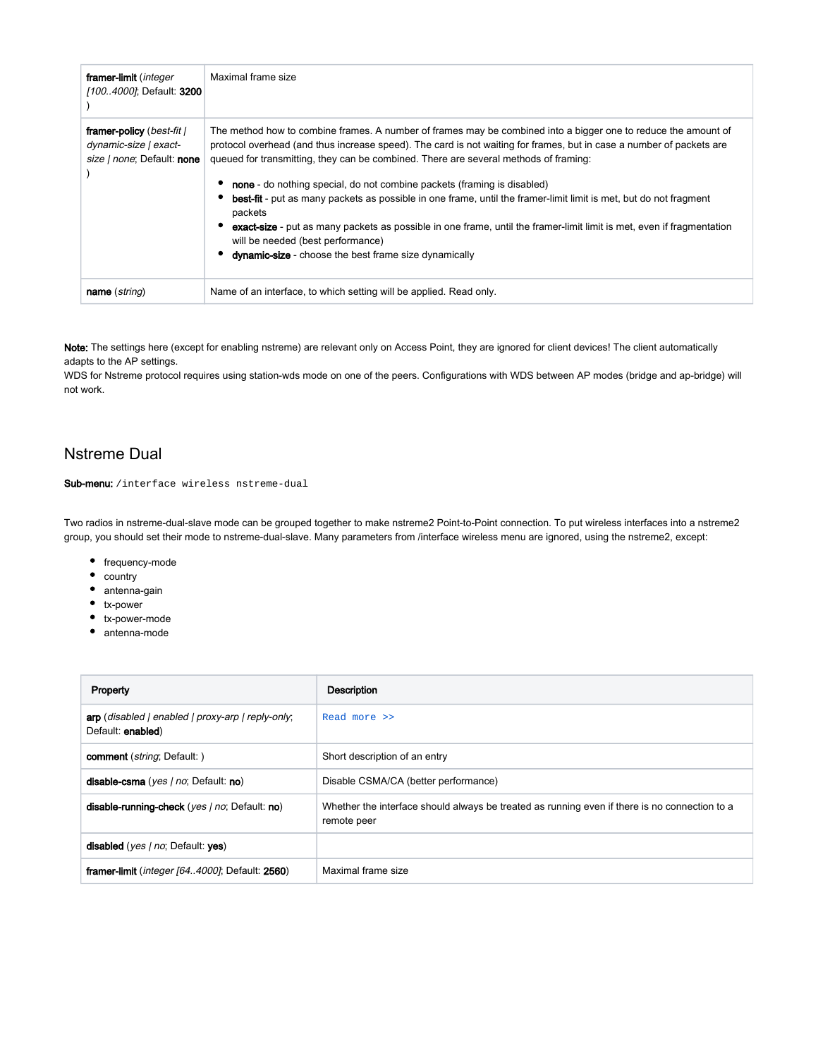| framer-limit ( <i>integer</i><br>[100.4000]; Default: 3200                       | Maximal frame size                                                                                                                                                                                                                                                                                                                                                                                                                                                                                                                                                                                                                                                                                                                                                             |
|----------------------------------------------------------------------------------|--------------------------------------------------------------------------------------------------------------------------------------------------------------------------------------------------------------------------------------------------------------------------------------------------------------------------------------------------------------------------------------------------------------------------------------------------------------------------------------------------------------------------------------------------------------------------------------------------------------------------------------------------------------------------------------------------------------------------------------------------------------------------------|
| framer-policy (best-fit /<br>dynamic-size   exact-<br>size / none; Default: none | The method how to combine frames. A number of frames may be combined into a bigger one to reduce the amount of<br>protocol overhead (and thus increase speed). The card is not waiting for frames, but in case a number of packets are<br>queued for transmitting, they can be combined. There are several methods of framing:<br><b>none</b> - do nothing special, do not combine packets (framing is disabled)<br>best-fit - put as many packets as possible in one frame, until the framer-limit limit is met, but do not fragment<br>packets<br>exact-size - put as many packets as possible in one frame, until the framer-limit limit is met, even if fragmentation<br>will be needed (best performance)<br><b>dynamic-size</b> - choose the best frame size dynamically |
| name (string)                                                                    | Name of an interface, to which setting will be applied. Read only.                                                                                                                                                                                                                                                                                                                                                                                                                                                                                                                                                                                                                                                                                                             |

Note: The settings here (except for enabling nstreme) are relevant only on Access Point, they are ignored for client devices! The client automatically adapts to the AP settings.

WDS for Nstreme protocol requires using station-wds mode on one of the peers. Configurations with WDS between AP modes (bridge and ap-bridge) will not work.

## <span id="page-20-0"></span>Nstreme Dual

#### Sub-menu: /interface wireless nstreme-dual

Two radios in nstreme-dual-slave mode can be grouped together to make nstreme2 Point-to-Point connection. To put wireless interfaces into a nstreme2 group, you should set their mode to nstreme-dual-slave. Many parameters from /interface wireless menu are ignored, using the nstreme2, except:

- $\bullet$  frequency-mode
- country
- antenna-gain
- tx-power
- tx-power-mode
- antenna-mode

| Property                                                               | <b>Description</b>                                                                                           |
|------------------------------------------------------------------------|--------------------------------------------------------------------------------------------------------------|
| arp (disabled   enabled   proxy-arp   reply-only,<br>Default: enabled) | Read more >>                                                                                                 |
| comment (string; Default: )                                            | Short description of an entry                                                                                |
| disable-csma (yes / no; Default: no)                                   | Disable CSMA/CA (better performance)                                                                         |
| disable-running-check (yes   no; Default: no)                          | Whether the interface should always be treated as running even if there is no connection to a<br>remote peer |
| disabled (yes   no; Default: yes)                                      |                                                                                                              |
| framer-limit ( <i>integer [644000]</i> ; Default: 2560)                | Maximal frame size                                                                                           |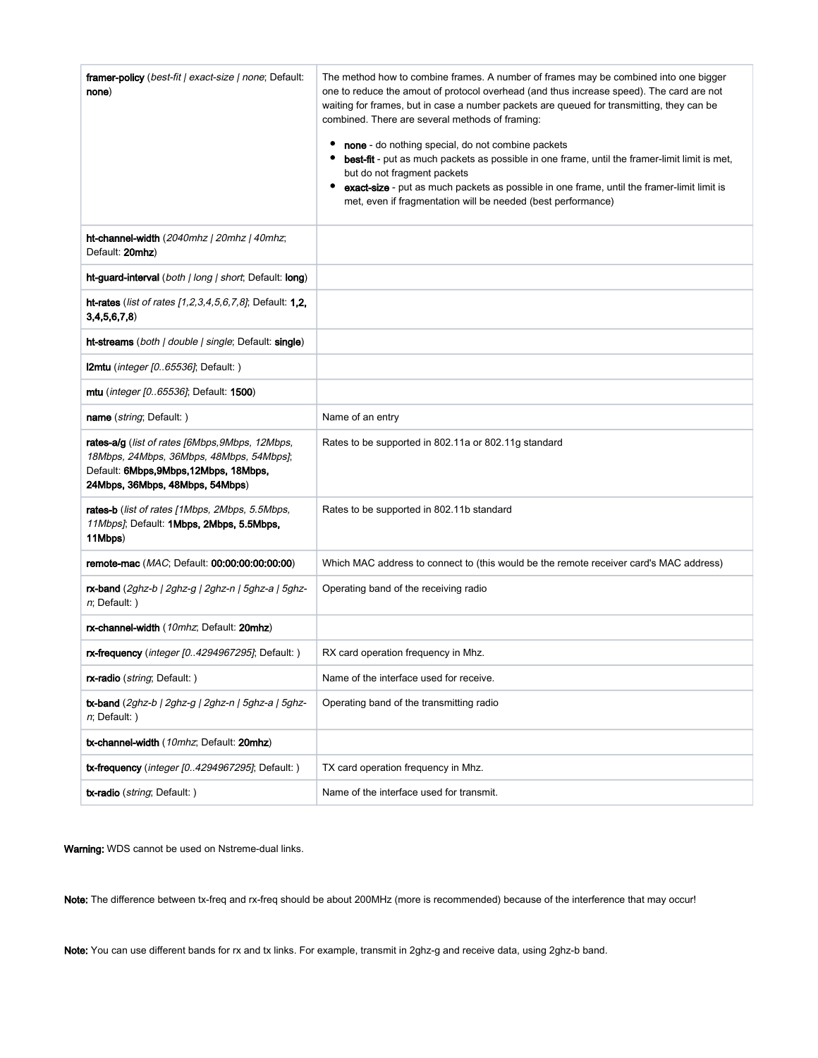| <b>framer-policy</b> ( <i>best-fit   exact-size   none</i> ; Default:<br>none)                                                                                           | The method how to combine frames. A number of frames may be combined into one bigger<br>one to reduce the amout of protocol overhead (and thus increase speed). The card are not<br>waiting for frames, but in case a number packets are queued for transmitting, they can be<br>combined. There are several methods of framing:<br>none - do nothing special, do not combine packets<br>best-fit - put as much packets as possible in one frame, until the framer-limit limit is met,<br>but do not fragment packets<br>exact-size - put as much packets as possible in one frame, until the framer-limit limit is<br>met, even if fragmentation will be needed (best performance) |  |
|--------------------------------------------------------------------------------------------------------------------------------------------------------------------------|-------------------------------------------------------------------------------------------------------------------------------------------------------------------------------------------------------------------------------------------------------------------------------------------------------------------------------------------------------------------------------------------------------------------------------------------------------------------------------------------------------------------------------------------------------------------------------------------------------------------------------------------------------------------------------------|--|
| ht-channel-width (2040mhz   20mhz   40mhz;<br>Default: 20mhz)                                                                                                            |                                                                                                                                                                                                                                                                                                                                                                                                                                                                                                                                                                                                                                                                                     |  |
| ht-guard-interval (both   long   short; Default: long)                                                                                                                   |                                                                                                                                                                                                                                                                                                                                                                                                                                                                                                                                                                                                                                                                                     |  |
| ht-rates (list of rates [1,2,3,4,5,6,7,8]; Default: 1,2,<br>3,4,5,6,7,8                                                                                                  |                                                                                                                                                                                                                                                                                                                                                                                                                                                                                                                                                                                                                                                                                     |  |
| <b>ht-streams</b> ( <i>both   double   single</i> ; Default: <b>single</b> )                                                                                             |                                                                                                                                                                                                                                                                                                                                                                                                                                                                                                                                                                                                                                                                                     |  |
| $l2mtu$ ( <i>integer [065536]</i> ; Default: )                                                                                                                           |                                                                                                                                                                                                                                                                                                                                                                                                                                                                                                                                                                                                                                                                                     |  |
| mtu ( <i>integer [065536]</i> ; Default: 1500)                                                                                                                           |                                                                                                                                                                                                                                                                                                                                                                                                                                                                                                                                                                                                                                                                                     |  |
| name ( <i>string</i> ; Default: )                                                                                                                                        | Name of an entry                                                                                                                                                                                                                                                                                                                                                                                                                                                                                                                                                                                                                                                                    |  |
| rates-alg (list of rates [6Mbps, 9Mbps, 12Mbps,<br>18Mbps, 24Mbps, 36Mbps, 48Mbps, 54Mbps];<br>Default: 6Mbps, 9Mbps, 12Mbps, 18Mbps,<br>24Mbps, 36Mbps, 48Mbps, 54Mbps) | Rates to be supported in 802.11a or 802.11g standard                                                                                                                                                                                                                                                                                                                                                                                                                                                                                                                                                                                                                                |  |
| rates-b (list of rates [1Mbps, 2Mbps, 5.5Mbps,<br>11Mbps]; Default: 1Mbps, 2Mbps, 5.5Mbps,<br>11Mbps)                                                                    | Rates to be supported in 802.11b standard                                                                                                                                                                                                                                                                                                                                                                                                                                                                                                                                                                                                                                           |  |
| <b>remote-mac</b> ( <i>MAC</i> ; Default: <b>00:00:00:00:00:00</b> )                                                                                                     | Which MAC address to connect to (this would be the remote receiver card's MAC address)                                                                                                                                                                                                                                                                                                                                                                                                                                                                                                                                                                                              |  |
| $rx$ -band (2ghz-b   2ghz-g   2ghz-n   5ghz-a   5ghz-<br>$n$ ; Default: )                                                                                                | Operating band of the receiving radio                                                                                                                                                                                                                                                                                                                                                                                                                                                                                                                                                                                                                                               |  |
| rx-channel-width (10mhz; Default: 20mhz)                                                                                                                                 |                                                                                                                                                                                                                                                                                                                                                                                                                                                                                                                                                                                                                                                                                     |  |
| rx-frequency (integer [04294967295]; Default:)                                                                                                                           | RX card operation frequency in Mhz.                                                                                                                                                                                                                                                                                                                                                                                                                                                                                                                                                                                                                                                 |  |
| rx-radio (string; Default: )                                                                                                                                             | Name of the interface used for receive.                                                                                                                                                                                                                                                                                                                                                                                                                                                                                                                                                                                                                                             |  |
| $tx$ -band (2ghz-b   2ghz-g   2ghz-n   5ghz-a   5ghz-<br>n; Default: )                                                                                                   | Operating band of the transmitting radio                                                                                                                                                                                                                                                                                                                                                                                                                                                                                                                                                                                                                                            |  |
| tx-channel-width (10mhz; Default: 20mhz)                                                                                                                                 |                                                                                                                                                                                                                                                                                                                                                                                                                                                                                                                                                                                                                                                                                     |  |
| <b>tx-frequency</b> ( <i>integer [04294967295]</i> ; Default:)                                                                                                           | TX card operation frequency in Mhz.                                                                                                                                                                                                                                                                                                                                                                                                                                                                                                                                                                                                                                                 |  |
| tx-radio (string; Default:)                                                                                                                                              | Name of the interface used for transmit.                                                                                                                                                                                                                                                                                                                                                                                                                                                                                                                                                                                                                                            |  |

Warning: WDS cannot be used on Nstreme-dual links.

Note: The difference between tx-freq and rx-freq should be about 200MHz (more is recommended) because of the interference that may occur!

<span id="page-21-0"></span>Note: You can use different bands for rx and tx links. For example, transmit in 2ghz-g and receive data, using 2ghz-b band.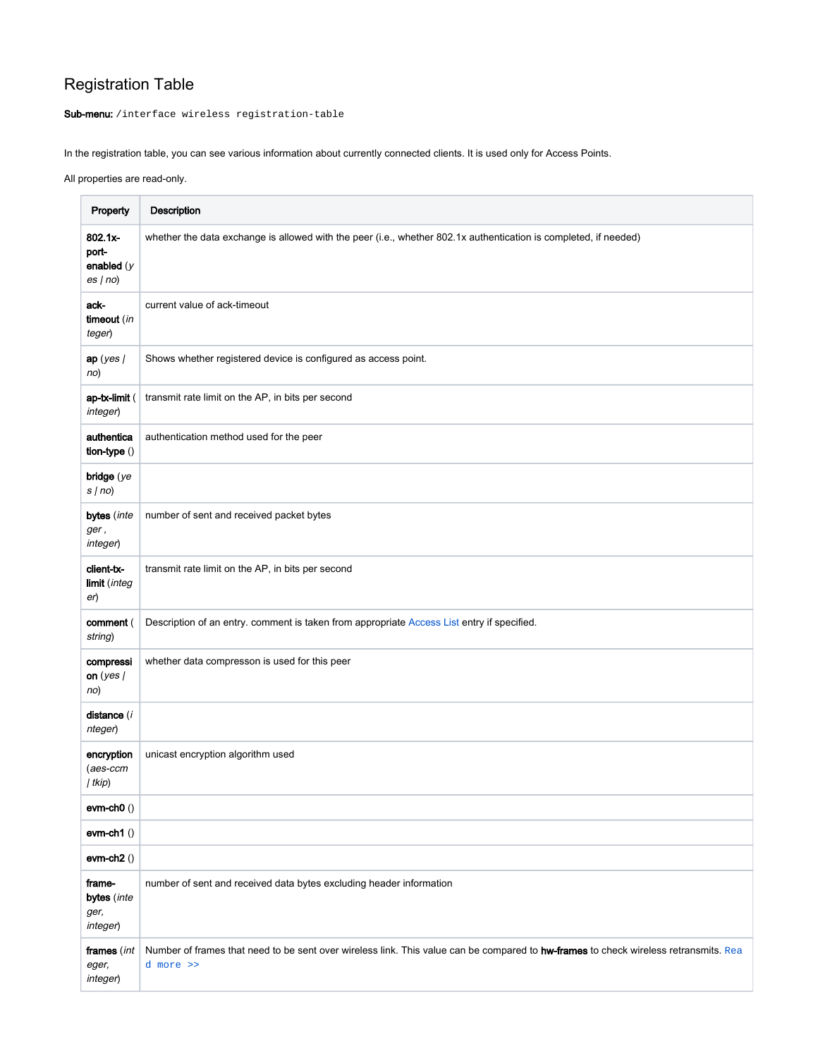# Registration Table

Sub-menu: /interface wireless registration-table

In the registration table, you can see various information about currently connected clients. It is used only for Access Points.

All properties are read-only.

| Property                                   | Description                                                                                                                                              |
|--------------------------------------------|----------------------------------------------------------------------------------------------------------------------------------------------------------|
| 802.1x-<br>port-<br>enabled $(y$<br>es(no) | whether the data exchange is allowed with the peer (i.e., whether 802.1x authentication is completed, if needed)                                         |
| ack-<br>timeout (in<br>teger)              | current value of ack-timeout                                                                                                                             |
| ap(yes/<br>no)                             | Shows whether registered device is configured as access point.                                                                                           |
| ap-tx-limit (<br>integer)                  | transmit rate limit on the AP, in bits per second                                                                                                        |
| authentica<br>tion-type ()                 | authentication method used for the peer                                                                                                                  |
| bridge $(ye)$<br>s/no                      |                                                                                                                                                          |
| bytes (inte<br>ger,<br>integer)            | number of sent and received packet bytes                                                                                                                 |
| client-tx-<br>limit (integ<br>er)          | transmit rate limit on the AP, in bits per second                                                                                                        |
| comment (<br>string)                       | Description of an entry. comment is taken from appropriate Access List entry if specified.                                                               |
| compressi<br>on (yes $/$<br>no)            | whether data compresson is used for this peer                                                                                                            |
| distance (i<br>nteger)                     |                                                                                                                                                          |
| encryption<br>$(aes-ccm)$<br>  tkip)       | unicast encryption algorithm used                                                                                                                        |
| $ewm-ch0()$                                |                                                                                                                                                          |
| $ewm-ch1()$                                |                                                                                                                                                          |
| $ewm-ch2()$                                |                                                                                                                                                          |
| frame-<br>bytes (inte<br>ger,<br>integer)  | number of sent and received data bytes excluding header information                                                                                      |
| frames (int<br>eger,<br>integer)           | Number of frames that need to be sent over wireless link. This value can be compared to <b>hw-frames</b> to check wireless retransmits. Rea<br>d more >> |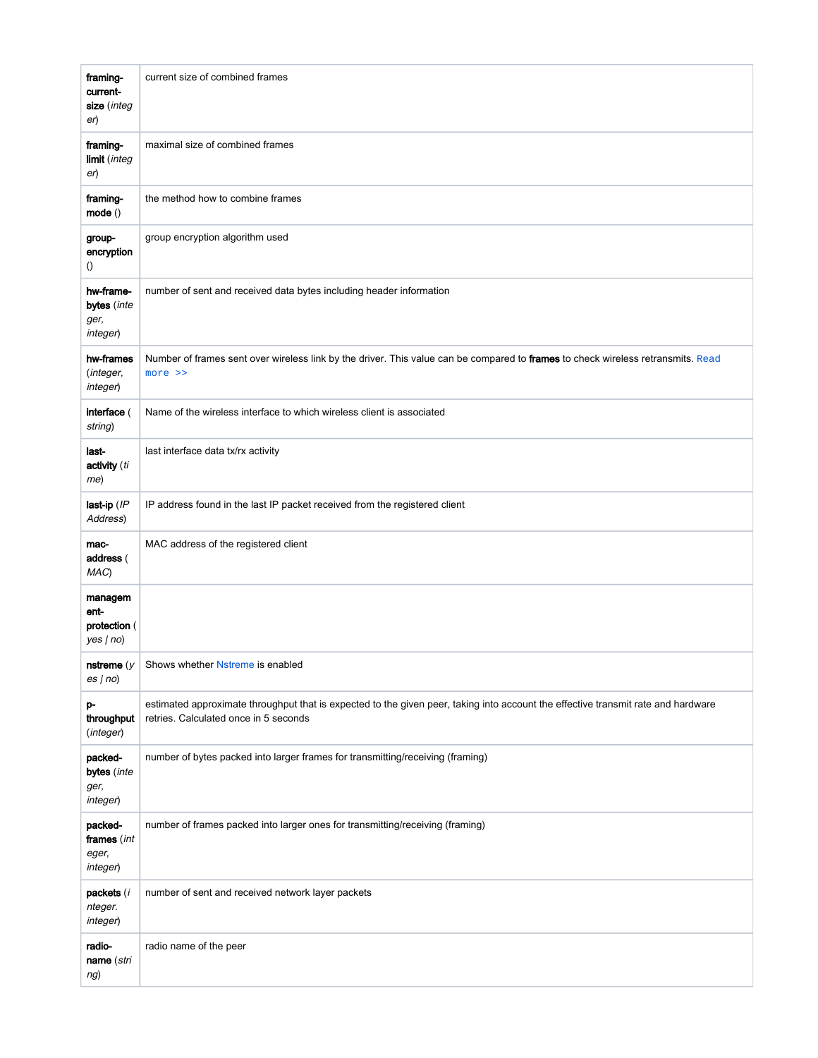| framing-<br>current-<br>size (integ<br>er)         | current size of combined frames                                                                                                                                            |
|----------------------------------------------------|----------------------------------------------------------------------------------------------------------------------------------------------------------------------------|
| framing-<br>limit (integ<br>er)                    | maximal size of combined frames                                                                                                                                            |
| framing-<br>mode ()                                | the method how to combine frames                                                                                                                                           |
| group-<br>encryption<br>$\left( \right)$           | group encryption algorithm used                                                                                                                                            |
| hw-frame-<br>bytes (inte<br>ger,<br>integer)       | number of sent and received data bytes including header information                                                                                                        |
| hw-frames<br>(integer,<br>integer)                 | Number of frames sent over wireless link by the driver. This value can be compared to frames to check wireless retransmits. Read<br>more >>                                |
| interface (<br>string)                             | Name of the wireless interface to which wireless client is associated                                                                                                      |
| last-<br>activity (ti<br>me)                       | last interface data tx/rx activity                                                                                                                                         |
| last-ip (IP<br>Address)                            | IP address found in the last IP packet received from the registered client                                                                                                 |
| mac-<br>address (<br>MAC)                          | MAC address of the registered client                                                                                                                                       |
| managem<br>ent-<br>protection (<br>$yes no\rangle$ |                                                                                                                                                                            |
| es(no)                                             | <b>nstreme</b> $(y \mid$ Shows whether <b>Nstreme</b> is enabled                                                                                                           |
| p-<br>throughput<br>(integer)                      | estimated approximate throughput that is expected to the given peer, taking into account the effective transmit rate and hardware<br>retries. Calculated once in 5 seconds |
| packed-<br>bytes (inte<br>ger,<br>integer)         | number of bytes packed into larger frames for transmitting/receiving (framing)                                                                                             |
| packed-<br>frames (int<br>eger,<br>integer)        | number of frames packed into larger ones for transmitting/receiving (framing)                                                                                              |
| packets (i<br>nteger.<br>integer)                  | number of sent and received network layer packets                                                                                                                          |
| radio-<br>name (stri<br>ng)                        | radio name of the peer                                                                                                                                                     |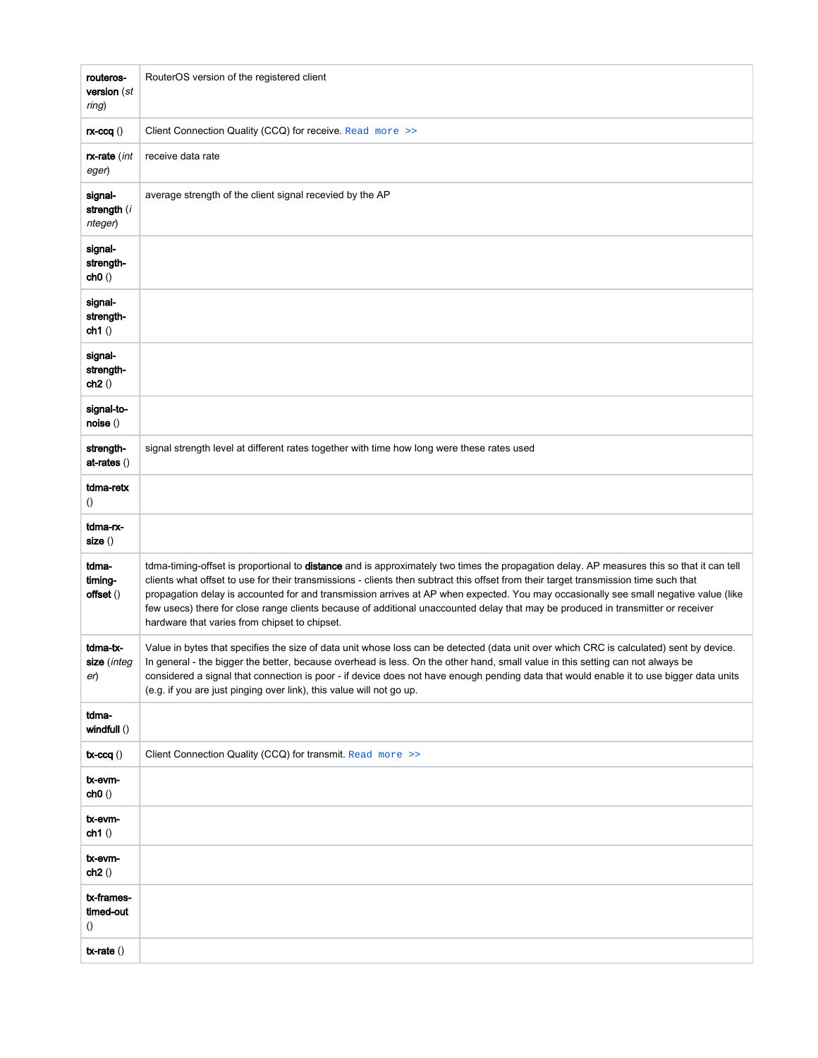| routeros-<br>version (st<br>ring)           | RouterOS version of the registered client                                                                                                                                                                                                                                                                                                                                                                                                                                                                                                                                                                      |
|---------------------------------------------|----------------------------------------------------------------------------------------------------------------------------------------------------------------------------------------------------------------------------------------------------------------------------------------------------------------------------------------------------------------------------------------------------------------------------------------------------------------------------------------------------------------------------------------------------------------------------------------------------------------|
| $rx$ -ccq $()$                              | Client Connection Quality (CCQ) for receive. Read more >>                                                                                                                                                                                                                                                                                                                                                                                                                                                                                                                                                      |
| <b>rx-rate</b> (int<br>eger)                | receive data rate                                                                                                                                                                                                                                                                                                                                                                                                                                                                                                                                                                                              |
| signal-<br>strength (i<br>nteger)           | average strength of the client signal recevied by the AP                                                                                                                                                                                                                                                                                                                                                                                                                                                                                                                                                       |
| signal-<br>strength-<br>ch0()               |                                                                                                                                                                                                                                                                                                                                                                                                                                                                                                                                                                                                                |
| signal-<br>strength-<br>ch1()               |                                                                                                                                                                                                                                                                                                                                                                                                                                                                                                                                                                                                                |
| signal-<br>strength-<br>ch2()               |                                                                                                                                                                                                                                                                                                                                                                                                                                                                                                                                                                                                                |
| signal-to-<br>noise ()                      |                                                                                                                                                                                                                                                                                                                                                                                                                                                                                                                                                                                                                |
| strength-<br>at-rates ()                    | signal strength level at different rates together with time how long were these rates used                                                                                                                                                                                                                                                                                                                                                                                                                                                                                                                     |
| tdma-retx<br>$\left( \right)$               |                                                                                                                                                                                                                                                                                                                                                                                                                                                                                                                                                                                                                |
| tdma-rx-<br>size()                          |                                                                                                                                                                                                                                                                                                                                                                                                                                                                                                                                                                                                                |
| tdma-<br>timing-<br>offset ()               | tdma-timing-offset is proportional to distance and is approximately two times the propagation delay. AP measures this so that it can tell<br>clients what offset to use for their transmissions - clients then subtract this offset from their target transmission time such that<br>propagation delay is accounted for and transmission arrives at AP when expected. You may occasionally see small negative value (like<br>few usecs) there for close range clients because of additional unaccounted delay that may be produced in transmitter or receiver<br>hardware that varies from chipset to chipset. |
| tdma-tx-<br><b>size</b> (integ<br>er)       | Value in bytes that specifies the size of data unit whose loss can be detected (data unit over which CRC is calculated) sent by device.<br>In general - the bigger the better, because overhead is less. On the other hand, small value in this setting can not always be<br>considered a signal that connection is poor - if device does not have enough pending data that would enable it to use bigger data units<br>(e.g. if you are just pinging over link), this value will not go up.                                                                                                                   |
| tdma-<br>windfull ()                        |                                                                                                                                                                                                                                                                                                                                                                                                                                                                                                                                                                                                                |
| $tx-ccq()$                                  | Client Connection Quality (CCQ) for transmit. Read more >>                                                                                                                                                                                                                                                                                                                                                                                                                                                                                                                                                     |
| tx-evm-<br>ch0()                            |                                                                                                                                                                                                                                                                                                                                                                                                                                                                                                                                                                                                                |
| tx-evm-<br>ch1()                            |                                                                                                                                                                                                                                                                                                                                                                                                                                                                                                                                                                                                                |
| tx-evm-<br>ch2()                            |                                                                                                                                                                                                                                                                                                                                                                                                                                                                                                                                                                                                                |
| tx-frames-<br>timed-out<br>$\left( \right)$ |                                                                                                                                                                                                                                                                                                                                                                                                                                                                                                                                                                                                                |
| $tx$ -rate $()$                             |                                                                                                                                                                                                                                                                                                                                                                                                                                                                                                                                                                                                                |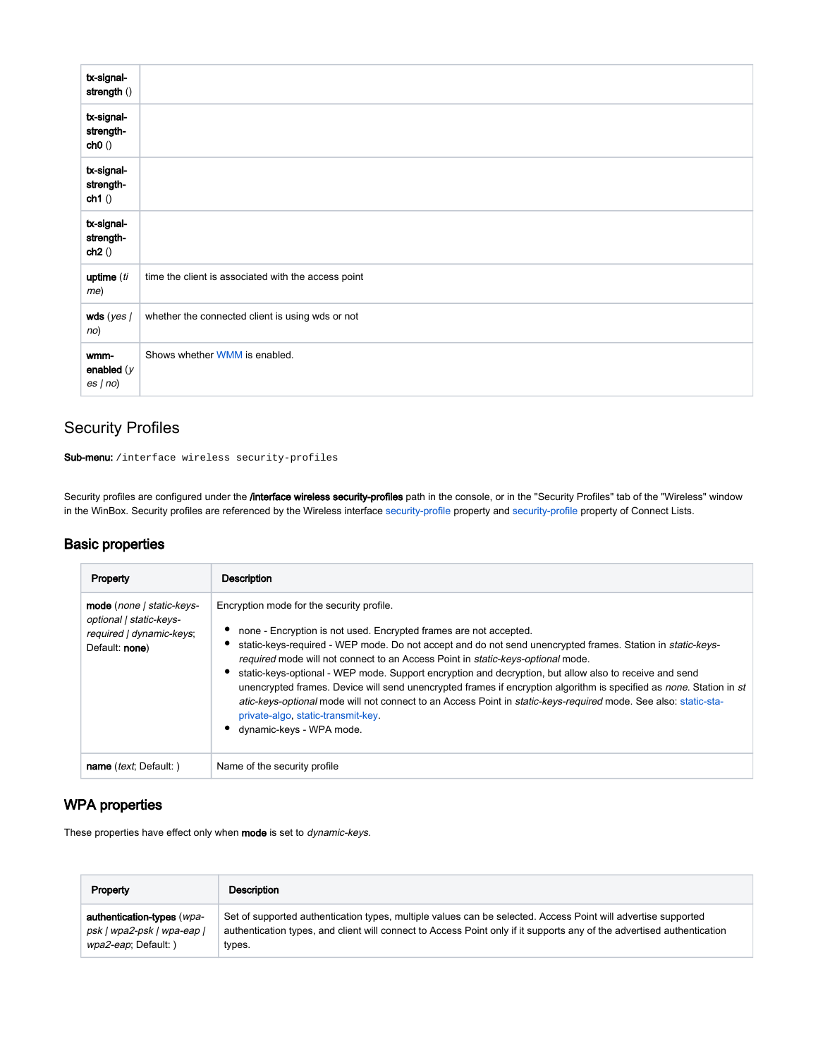| tx-signal-<br>strength ()        |                                                     |
|----------------------------------|-----------------------------------------------------|
| tx-signal-<br>strength-<br>ch0() |                                                     |
| tx-signal-<br>strength-<br>ch1() |                                                     |
| tx-signal-<br>strength-<br>ch2() |                                                     |
| uptime (ti<br>me)                | time the client is associated with the access point |
| wds ( $yes$ /<br>no)             | whether the connected client is using wds or not    |
| wmm-<br>enabled $(y$<br>es(no)   | Shows whether WMM is enabled.                       |

## <span id="page-25-0"></span>Security Profiles

Sub-menu: /interface wireless security-profiles

Security profiles are configured under the *l*interface wireless security-profiles path in the console, or in the "Security Profiles" tab of the "Wireless" window in the WinBox. Security profiles are referenced by the Wireless interface [security-profile](https://help.mikrotik.com/docs/display/ROS/Wireless+Interface#WirelessInterface-Generalinterfaceproperties) property and [security-profile](https://help.mikrotik.com/docs/display/ROS/Wireless+Interface#WirelessInterface-Generalinterfaceproperties) property of Connect Lists.

## <span id="page-25-1"></span>Basic properties

| Property                                                                                           | Description                                                                                                                                                                                                                                                                                                                                                                                                                                                                                                                                                                                                                                                                                                                           |
|----------------------------------------------------------------------------------------------------|---------------------------------------------------------------------------------------------------------------------------------------------------------------------------------------------------------------------------------------------------------------------------------------------------------------------------------------------------------------------------------------------------------------------------------------------------------------------------------------------------------------------------------------------------------------------------------------------------------------------------------------------------------------------------------------------------------------------------------------|
| mode (none   static-keys-<br>optional   static-keys-<br>required   dynamic-keys;<br>Default: none) | Encryption mode for the security profile.<br>none - Encryption is not used. Encrypted frames are not accepted.<br>static-keys-required - WEP mode. Do not accept and do not send unencrypted frames. Station in static-keys-<br>required mode will not connect to an Access Point in static-keys-optional mode.<br>static-keys-optional - WEP mode. Support encryption and decryption, but allow also to receive and send<br>unencrypted frames. Device will send unencrypted frames if encryption algorithm is specified as none. Station in st<br>atic-keys-optional mode will not connect to an Access Point in static-keys-required mode. See also: static-sta-<br>private-algo, static-transmit-key.<br>dynamic-keys - WPA mode. |
| name ( <i>text</i> ; Default: )                                                                    | Name of the security profile                                                                                                                                                                                                                                                                                                                                                                                                                                                                                                                                                                                                                                                                                                          |

## <span id="page-25-2"></span>WPA properties

These properties have effect only when mode is set to dynamic-keys.

| Property                   | Description                                                                                                            |
|----------------------------|------------------------------------------------------------------------------------------------------------------------|
| authentication-types (wpa- | Set of supported authentication types, multiple values can be selected. Access Point will advertise supported          |
| psk   wpa2-psk   wpa-eap   | authentication types, and client will connect to Access Point only if it supports any of the advertised authentication |
| wpa2-eap; Default:)        | types.                                                                                                                 |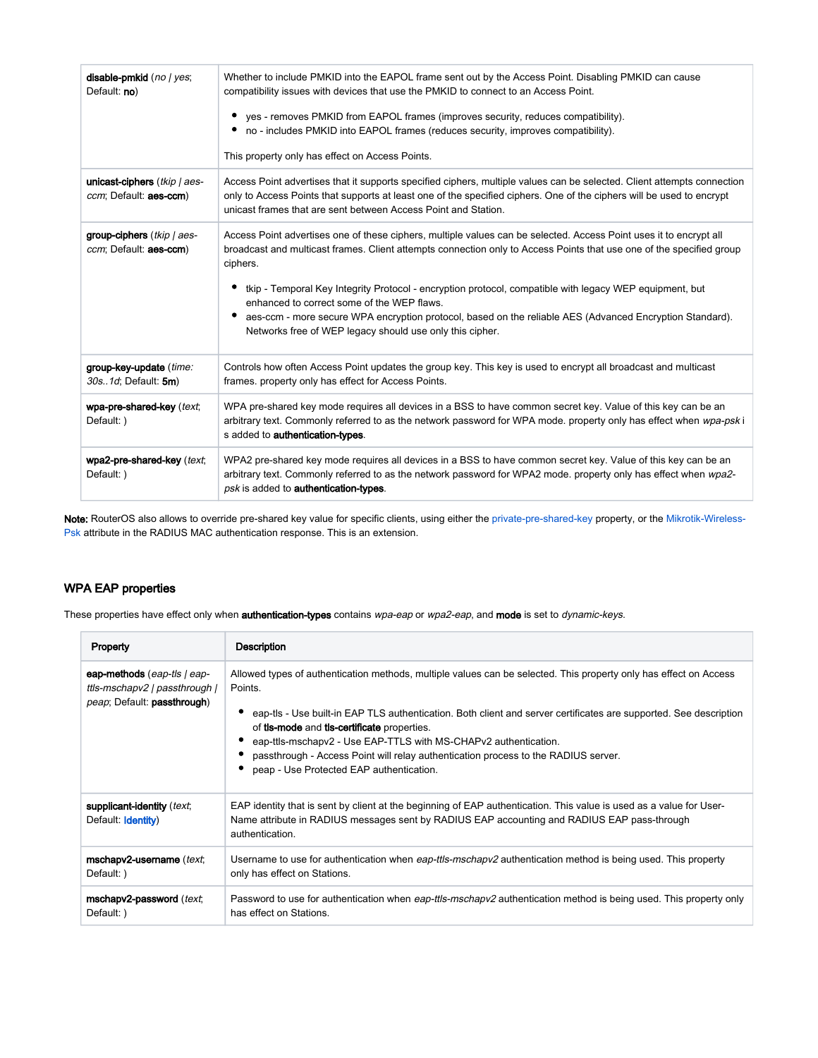| disable-pmkid (no / yes;<br>Default: no)                 | Whether to include PMKID into the EAPOL frame sent out by the Access Point. Disabling PMKID can cause<br>compatibility issues with devices that use the PMKID to connect to an Access Point.<br>yes - removes PMKID from EAPOL frames (improves security, reduces compatibility).<br>٠<br>no - includes PMKID into EAPOL frames (reduces security, improves compatibility).<br>This property only has effect on Access Points.                                                                                                                                                          |
|----------------------------------------------------------|-----------------------------------------------------------------------------------------------------------------------------------------------------------------------------------------------------------------------------------------------------------------------------------------------------------------------------------------------------------------------------------------------------------------------------------------------------------------------------------------------------------------------------------------------------------------------------------------|
| unicast-ciphers (tkip   aes-<br>ccm; Default: aes-ccm)   | Access Point advertises that it supports specified ciphers, multiple values can be selected. Client attempts connection<br>only to Access Points that supports at least one of the specified ciphers. One of the ciphers will be used to encrypt<br>unicast frames that are sent between Access Point and Station.                                                                                                                                                                                                                                                                      |
| group-ciphers $(tkip / a es$ -<br>ccm; Default: aes-ccm) | Access Point advertises one of these ciphers, multiple values can be selected. Access Point uses it to encrypt all<br>broadcast and multicast frames. Client attempts connection only to Access Points that use one of the specified group<br>ciphers.<br>tkip - Temporal Key Integrity Protocol - encryption protocol, compatible with legacy WEP equipment, but<br>enhanced to correct some of the WEP flaws.<br>aes-ccm - more secure WPA encryption protocol, based on the reliable AES (Advanced Encryption Standard).<br>Networks free of WEP legacy should use only this cipher. |
| group-key-update (time:<br>30s. 1d; Default: 5m)         | Controls how often Access Point updates the group key. This key is used to encrypt all broadcast and multicast<br>frames. property only has effect for Access Points.                                                                                                                                                                                                                                                                                                                                                                                                                   |
| wpa-pre-shared-key (text;<br>Default: )                  | WPA pre-shared key mode requires all devices in a BSS to have common secret key. Value of this key can be an<br>arbitrary text. Commonly referred to as the network password for WPA mode, property only has effect when wpa-psk i<br>s added to authentication-types.                                                                                                                                                                                                                                                                                                                  |
| wpa2-pre-shared-key (text;<br>Default: )                 | WPA2 pre-shared key mode requires all devices in a BSS to have common secret key. Value of this key can be an<br>arbitrary text. Commonly referred to as the network password for WPA2 mode. property only has effect when wpa2-<br>psk is added to <b>authentication-types</b> .                                                                                                                                                                                                                                                                                                       |

Note: RouterOS also allows to override pre-shared key value for specific clients, using either the [private-pre-shared-key](https://help.mikrotik.com/docs/display/ROS/Wireless+Interface#WirelessInterface-AccessList) property, or the [Mikrotik-Wireless-](https://help.mikrotik.com/docs/display/ROS/Wireless+Interface#WirelessInterface-RADIUSMACauthentication)[Psk](https://help.mikrotik.com/docs/display/ROS/Wireless+Interface#WirelessInterface-RADIUSMACauthentication) attribute in the RADIUS MAC authentication response. This is an extension.

## <span id="page-26-0"></span>WPA EAP properties

These properties have effect only when authentication-types contains wpa-eap or wpa2-eap, and mode is set to dynamic-keys.

| Property                                                                                                    | <b>Description</b>                                                                                                                                                                                                                                                                                                                                                                                                                                                                                                  |
|-------------------------------------------------------------------------------------------------------------|---------------------------------------------------------------------------------------------------------------------------------------------------------------------------------------------------------------------------------------------------------------------------------------------------------------------------------------------------------------------------------------------------------------------------------------------------------------------------------------------------------------------|
| eap-methods (eap-tls   eap-<br>ttls-mschapv2   passthrough  <br><i>peap</i> ; Default: <b>passthrough</b> ) | Allowed types of authentication methods, multiple values can be selected. This property only has effect on Access<br>Points.<br>eap-tls - Use built-in EAP TLS authentication. Both client and server certificates are supported. See description<br>of <b>tis-mode</b> and <b>tis-certificate</b> properties.<br>eap-ttls-mschapv2 - Use EAP-TTLS with MS-CHAPv2 authentication.<br>passthrough - Access Point will relay authentication process to the RADIUS server.<br>peap - Use Protected EAP authentication. |
| supplicant-identity (text;<br>Default: Identity)                                                            | EAP identity that is sent by client at the beginning of EAP authentication. This value is used as a value for User-<br>Name attribute in RADIUS messages sent by RADIUS EAP accounting and RADIUS EAP pass-through<br>authentication.                                                                                                                                                                                                                                                                               |
| mschapy2-username (text;<br>Default: )                                                                      | Username to use for authentication when eap-ttls-mschapv2 authentication method is being used. This property<br>only has effect on Stations.                                                                                                                                                                                                                                                                                                                                                                        |
| mschapv2-password (text;<br>Default: )                                                                      | Password to use for authentication when eap-ttls-mschapv2 authentication method is being used. This property only<br>has effect on Stations.                                                                                                                                                                                                                                                                                                                                                                        |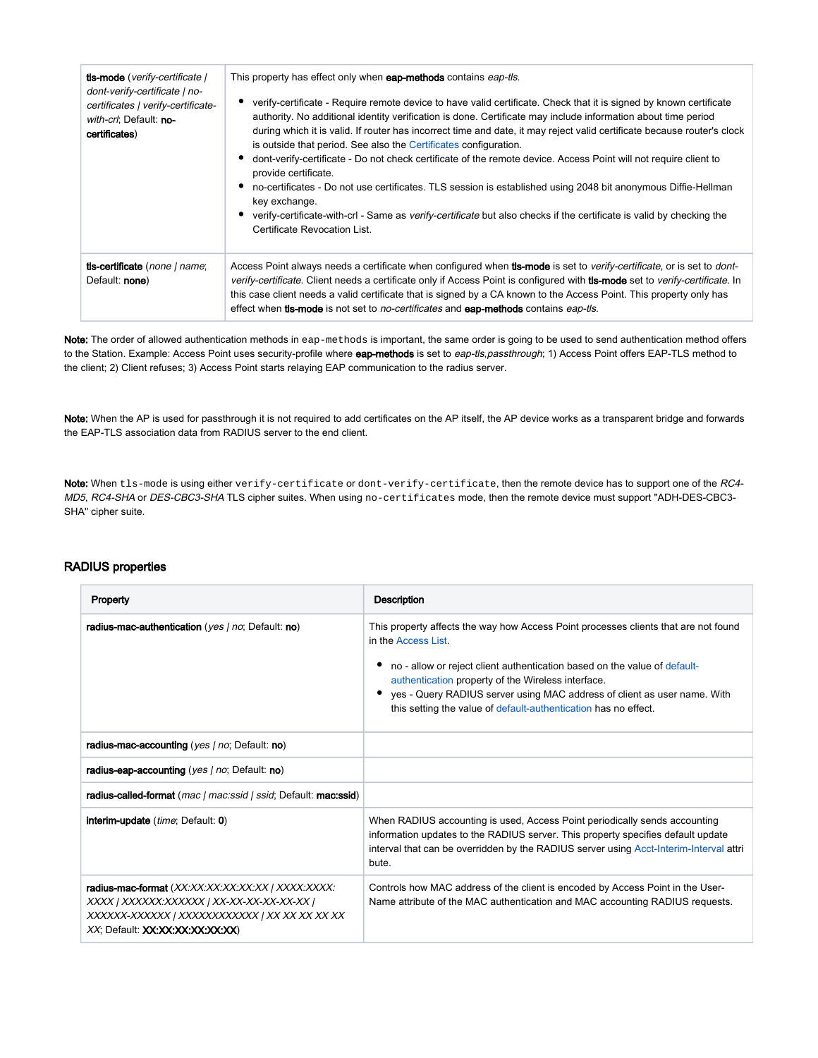| <b>tls-mode</b> (verify-certificate)<br>dont-verify-certificate   no-<br>certificates   verify-certificate-<br>with-crl; Default: no-<br>certificates) | This property has effect only when eap-methods contains eap-tls.<br>verify-certificate - Require remote device to have valid certificate. Check that it is signed by known certificate<br>authority. No additional identity verification is done. Certificate may include information about time period<br>during which it is valid. If router has incorrect time and date, it may reject valid certificate because router's clock<br>is outside that period. See also the Certificates configuration.<br>dont-verify-certificate - Do not check certificate of the remote device. Access Point will not require client to<br>provide certificate.<br>no-certificates - Do not use certificates. TLS session is established using 2048 bit anonymous Diffie-Hellman<br>key exchange.<br>verify-certificate-with-crl - Same as <i>verify-certificate</i> but also checks if the certificate is valid by checking the<br>Certificate Revocation List. |
|--------------------------------------------------------------------------------------------------------------------------------------------------------|-----------------------------------------------------------------------------------------------------------------------------------------------------------------------------------------------------------------------------------------------------------------------------------------------------------------------------------------------------------------------------------------------------------------------------------------------------------------------------------------------------------------------------------------------------------------------------------------------------------------------------------------------------------------------------------------------------------------------------------------------------------------------------------------------------------------------------------------------------------------------------------------------------------------------------------------------------|
| tis-certificate (none   name;<br>Default: none)                                                                                                        | Access Point always needs a certificate when configured when <b>tis-mode</b> is set to <i>verify-certificate</i> , or is set to dont-<br>verify-certificate. Client needs a certificate only if Access Point is configured with <b>tis-mode</b> set to verify-certificate. In<br>this case client needs a valid certificate that is signed by a CA known to the Access Point. This property only has<br>effect when <b>tis-mode</b> is not set to <i>no-certificates</i> and <b>eap-methods</b> contains <i>eap-tis</i> .                                                                                                                                                                                                                                                                                                                                                                                                                           |

Note: The order of allowed authentication methods in eap-methods is important, the same order is going to be used to send authentication method offers to the Station. Example: Access Point uses security-profile where eap-methods is set to eap-tls,passthrough; 1) Access Point offers EAP-TLS method to the client; 2) Client refuses; 3) Access Point starts relaying EAP communication to the radius server.

Note: When the AP is used for passthrough it is not required to add certificates on the AP itself, the AP device works as a transparent bridge and forwards the EAP-TLS association data from RADIUS server to the end client.

Note: When tls-mode is using either verify-certificate or dont-verify-certificate, then the remote device has to support one of the RC4-MD5, RC4-SHA or DES-CBC3-SHA TLS cipher suites. When using no-certificates mode, then the remote device must support "ADH-DES-CBC3-SHA" cipher suite.

#### <span id="page-27-0"></span>RADIUS properties

| Property                                                                                                                                                                            | Description                                                                                                                                                                                                                                                                                                                                                                                  |
|-------------------------------------------------------------------------------------------------------------------------------------------------------------------------------------|----------------------------------------------------------------------------------------------------------------------------------------------------------------------------------------------------------------------------------------------------------------------------------------------------------------------------------------------------------------------------------------------|
| radius-mac-authentication (yes   no; Default: no)                                                                                                                                   | This property affects the way how Access Point processes clients that are not found<br>in the Access List.<br>no - allow or reject client authentication based on the value of default-<br>authentication property of the Wireless interface.<br>yes - Query RADIUS server using MAC address of client as user name. With<br>this setting the value of default-authentication has no effect. |
| radius-mac-accounting (yes   no; Default: no)                                                                                                                                       |                                                                                                                                                                                                                                                                                                                                                                                              |
| radius-eap-accounting (yes / no; Default: no)                                                                                                                                       |                                                                                                                                                                                                                                                                                                                                                                                              |
| radius-called-format (mac   mac:ssid   ssid; Default: mac:ssid)                                                                                                                     |                                                                                                                                                                                                                                                                                                                                                                                              |
| <b>interim-update</b> ( <i>time</i> ; Default: 0)                                                                                                                                   | When RADIUS accounting is used, Access Point periodically sends accounting<br>information updates to the RADIUS server. This property specifies default update<br>interval that can be overridden by the RADIUS server using Acct-Interim-Interval attri<br>bute.                                                                                                                            |
| radius-mac-format (XX:XX:XX:XX:XX:XX   XXXX:XXXX:<br>XXXX   XXXXXX:XXXXXX   XX-XX-XX-XX-XX-XX  <br>XXXXXX-XXXXXX   XXXXXXXXXXXX   XX XX XX XX XX<br>XX; Default: XX.XX.XX.XX:XX:XX) | Controls how MAC address of the client is encoded by Access Point in the User-<br>Name attribute of the MAC authentication and MAC accounting RADIUS requests.                                                                                                                                                                                                                               |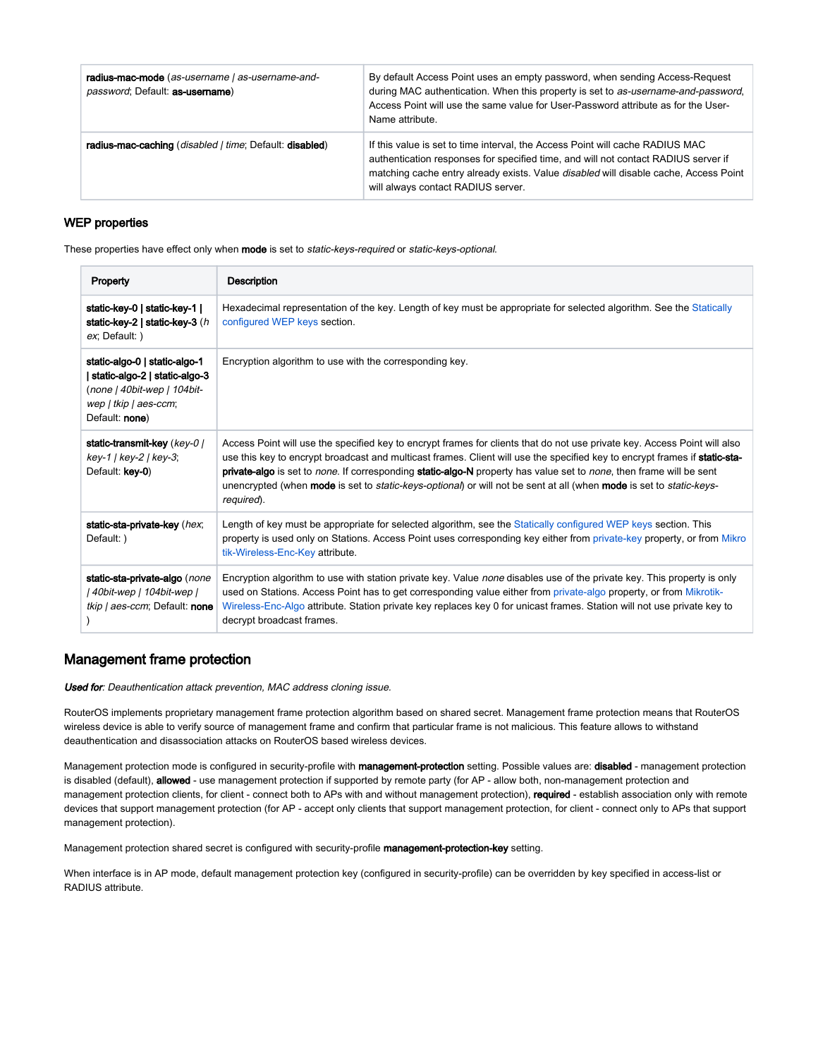| radius-mac-mode (as-username   as-username-and-<br>password; Default: as-username) | By default Access Point uses an empty password, when sending Access-Request<br>during MAC authentication. When this property is set to as-username-and-password,<br>Access Point will use the same value for User-Password attribute as for the User-<br>Name attribute.                          |
|------------------------------------------------------------------------------------|---------------------------------------------------------------------------------------------------------------------------------------------------------------------------------------------------------------------------------------------------------------------------------------------------|
| radius-mac-caching (disabled   time; Default: disabled)                            | If this value is set to time interval, the Access Point will cache RADIUS MAC<br>authentication responses for specified time, and will not contact RADIUS server if<br>matching cache entry already exists. Value disabled will disable cache, Access Point<br>will always contact RADIUS server. |

#### <span id="page-28-0"></span>WEP properties

These properties have effect only when mode is set to static-keys-required or static-keys-optional.

| Property                                                                                                                                   | <b>Description</b>                                                                                                                                                                                                                                                                                                                                                                                                                                                                                                                               |
|--------------------------------------------------------------------------------------------------------------------------------------------|--------------------------------------------------------------------------------------------------------------------------------------------------------------------------------------------------------------------------------------------------------------------------------------------------------------------------------------------------------------------------------------------------------------------------------------------------------------------------------------------------------------------------------------------------|
| static-key-0   static-key-1  <br>static-key-2   static-key-3 $(h)$<br>ex; Default: )                                                       | Hexadecimal representation of the key. Length of key must be appropriate for selected algorithm. See the Statically<br>configured WEP keys section.                                                                                                                                                                                                                                                                                                                                                                                              |
| static-algo-0   static-algo-1<br>  static-algo-2   static-algo-3<br>(none   40bit-wep   104bit-<br>wep   tkip   aes-ccm;<br>Default: none) | Encryption algorithm to use with the corresponding key.                                                                                                                                                                                                                                                                                                                                                                                                                                                                                          |
| static-transmit-key (key-0)<br>key-1   key-2   key-3;<br>Default: key-0)                                                                   | Access Point will use the specified key to encrypt frames for clients that do not use private key. Access Point will also<br>use this key to encrypt broadcast and multicast frames. Client will use the specified key to encrypt frames if static-sta-<br>private-algo is set to none. If corresponding static-algo-N property has value set to none, then frame will be sent<br>unencrypted (when <b>mode</b> is set to <i>static-keys-optional</i> ) or will not be sent at all (when <b>mode</b> is set to <i>static-keys-</i><br>required). |
| static-sta-private-key (hex;<br>Default: )                                                                                                 | Length of key must be appropriate for selected algorithm, see the Statically configured WEP keys section. This<br>property is used only on Stations. Access Point uses corresponding key either from private-key property, or from Mikro<br>tik-Wireless-Enc-Key attribute.                                                                                                                                                                                                                                                                      |
| static-sta-private-algo (none<br>  40bit-wep   104bit-wep  <br>tkip / aes-ccm; Default: none                                               | Encryption algorithm to use with station private key. Value none disables use of the private key. This property is only<br>used on Stations. Access Point has to get corresponding value either from private-algo property, or from Mikrotik-<br>Wireless-Enc-Algo attribute. Station private key replaces key 0 for unicast frames. Station will not use private key to<br>decrypt broadcast frames.                                                                                                                                            |

## <span id="page-28-1"></span>Management frame protection

Used for: Deauthentication attack prevention, MAC address cloning issue.

RouterOS implements proprietary management frame protection algorithm based on shared secret. Management frame protection means that RouterOS wireless device is able to verify source of management frame and confirm that particular frame is not malicious. This feature allows to withstand deauthentication and disassociation attacks on RouterOS based wireless devices.

Management protection mode is configured in security-profile with management-protection setting. Possible values are: disabled - management protection is disabled (default), allowed - use management protection if supported by remote party (for AP - allow both, non-management protection and management protection clients, for client - connect both to APs with and without management protection), required - establish association only with remote devices that support management protection (for AP - accept only clients that support management protection, for client - connect only to APs that support management protection).

Management protection shared secret is configured with security-profile management-protection-key setting.

When interface is in AP mode, default management protection key (configured in security-profile) can be overridden by key specified in access-list or RADIUS attribute.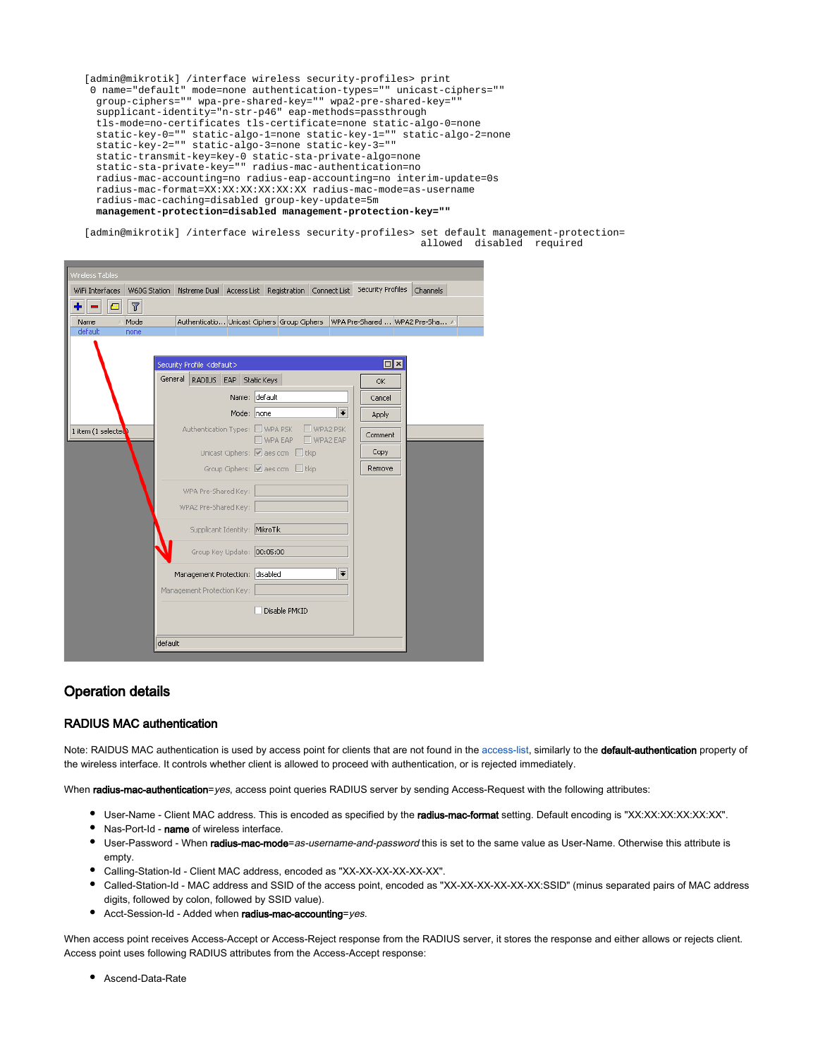[admin@mikrotik] /interface wireless security-profiles> print 0 name="default" mode=none authentication-types="" unicast-ciphers="" group-ciphers="" wpa-pre-shared-key="" wpa2-pre-shared-key="" supplicant-identity="n-str-p46" eap-methods=passthrough tls-mode=no-certificates tls-certificate=none static-algo-0=none static-key-0="" static-algo-1=none static-key-1="" static-algo-2=none static-key-2="" static-algo-3=none static-key-3="" static-transmit-key=key-0 static-sta-private-algo=none static-sta-private-key="" radius-mac-authentication=no radius-mac-accounting=no radius-eap-accounting=no interim-update=0s radius-mac-format=XX:XX:XX:XX:XX:XX radius-mac-mode=as-username radius-mac-caching=disabled group-key-update=5m **management-protection=disabled management-protection-key=""** 

[admin@mikrotik] /interface wireless security-profiles> set default management-protection= allowed disabled required

| Wireless Tables                     |                                                                 |                                                                                   |           |
|-------------------------------------|-----------------------------------------------------------------|-----------------------------------------------------------------------------------|-----------|
| WiFi Interfaces                     |                                                                 | W60G Station Nstreme Dual Access List Registration Connect List Security Profiles | Channels  |
| $\overline{r}$<br>$\mathbf{C}$<br>÷ |                                                                 |                                                                                   |           |
| Mode<br>Name                        |                                                                 | Authenticatio Unicast Ciphers Group Ciphers WPA Pre-Shared  WPA2 Pre-Sha A        |           |
| default<br>none                     |                                                                 |                                                                                   |           |
|                                     |                                                                 |                                                                                   | $\Box$ x  |
|                                     | Security Profile <default><br/>General<br/>RADIUS EAP</default> | Static Keys                                                                       | <b>OK</b> |
|                                     |                                                                 | Name: default                                                                     | Cancel    |
|                                     | Mode: none                                                      | $\overline{\bullet}$                                                              | Apply     |
| 1 item (1 selected)                 | Authentication Types: WPA PSK                                   | $\Box$ WPA2 PSK                                                                   |           |
|                                     |                                                                 | WPA EAP WPA2 EAP                                                                  | Comment   |
|                                     |                                                                 | Unicast Ciphers: Ø aes ccm □ tkip                                                 | Copy      |
|                                     |                                                                 | Group Ciphers: Ø aes ccm □ tkip                                                   | Remove    |
|                                     | WPA Pre-Shared Key:                                             |                                                                                   |           |
|                                     | WPA2 Pre-Shared Key:                                            |                                                                                   |           |
|                                     | Supplicant Identity: MikroTik                                   |                                                                                   |           |
|                                     | Group Key Update: 00:05:00                                      |                                                                                   |           |
|                                     |                                                                 |                                                                                   |           |
|                                     | Management Protection: disabled                                 | $\overline{\ast}$                                                                 |           |
|                                     | Management Protection Key:                                      |                                                                                   |           |
|                                     |                                                                 | Disable PMKID                                                                     |           |
|                                     |                                                                 |                                                                                   |           |
|                                     | default                                                         |                                                                                   |           |

## <span id="page-29-0"></span>Operation details

#### <span id="page-29-1"></span>RADIUS MAC authentication

Note: RAIDUS MAC authentication is used by access point for clients that are not found in the [access-list,](https://help.mikrotik.com/docs/display/ROS/Wireless+Interface#WirelessInterface-AccessList) similarly to the default-authentication property of the wireless interface. It controls whether client is allowed to proceed with authentication, or is rejected immediately.

When radius-mac-authentication=yes, access point queries RADIUS server by sending Access-Request with the following attributes:

- User-Name Client MAC address. This is encoded as specified by the radius-mac-format setting. Default encoding is "XX:XX:XX:XX:XX:XX".
- Nas-Port-Id name of wireless interface.
- User-Password When radius-mac-mode=as-username-and-password this is set to the same value as User-Name. Otherwise this attribute is empty.
- Calling-Station-Id Client MAC address, encoded as "XX-XX-XX-XX-XX-XX".
- Called-Station-Id MAC address and SSID of the access point, encoded as "XX-XX-XX-XX-XX-XX:SSID" (minus separated pairs of MAC address digits, followed by colon, followed by SSID value).
- Acct-Session-Id Added when radius-mac-accounting=yes.

When access point receives Access-Accept or Access-Reject response from the RADIUS server, it stores the response and either allows or rejects client. Access point uses following RADIUS attributes from the Access-Accept response:

Ascend-Data-Rate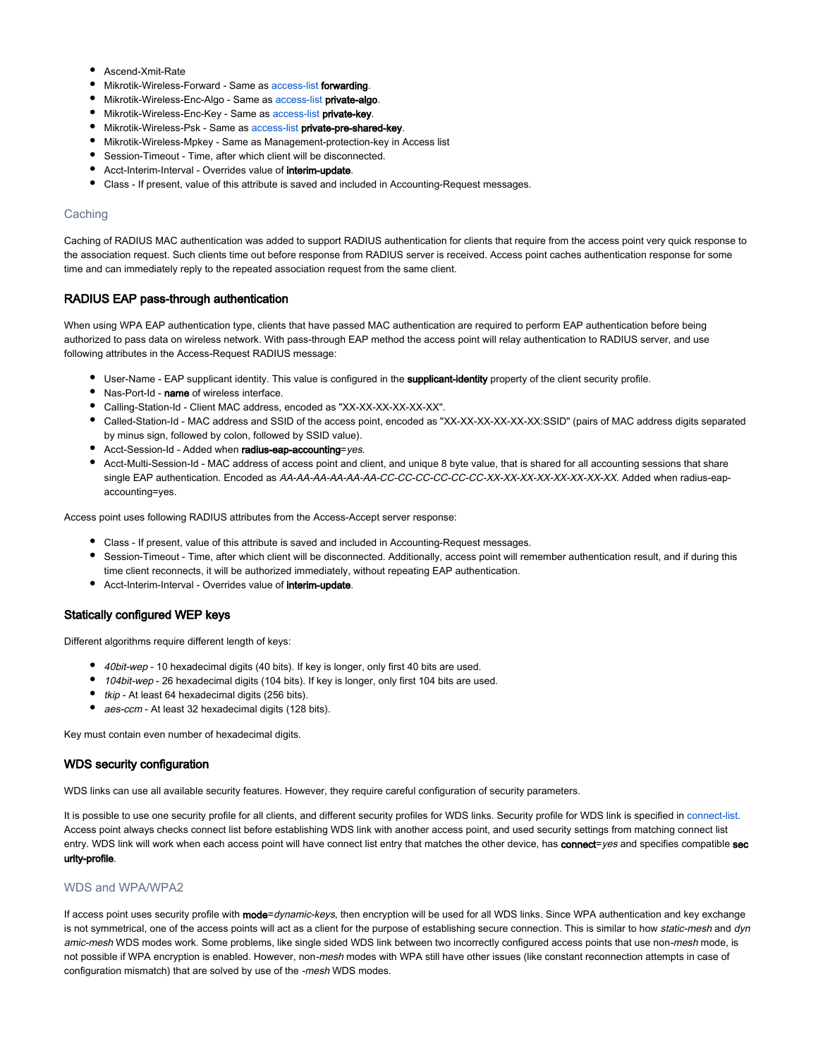- Ascend-Xmit-Rate
- Mikrotik-Wireless-Forward Same as [access-list](https://help.mikrotik.com/docs/display/ROS/Wireless+Interface#WirelessInterface-AccessList) forwarding.
- $\bullet$  Mikrotik-Wireless-Enc-Algo Same as [access-list](https://help.mikrotik.com/docs/display/ROS/Wireless+Interface#WirelessInterface-AccessList) private-algo.
- **Mikrotik-Wireless-Enc-Key Same as [access-list](https://help.mikrotik.com/docs/display/ROS/Wireless+Interface#WirelessInterface-AccessList) private-key.**
- **Mikrotik-Wireless-Psk Same as [access-list](https://help.mikrotik.com/docs/display/ROS/Wireless+Interface#WirelessInterface-AccessList) private-pre-shared-key.**
- Mikrotik-Wireless-Mpkey Same as Management-protection-key in Access list
- Session-Timeout Time, after which client will be disconnected.
- **Acct-Interim-Interval Overrides value of interim-update.**
- Class If present, value of this attribute is saved and included in Accounting-Request messages.

#### <span id="page-30-0"></span>**Caching**

Caching of RADIUS MAC authentication was added to support RADIUS authentication for clients that require from the access point very quick response to the association request. Such clients time out before response from RADIUS server is received. Access point caches authentication response for some time and can immediately reply to the repeated association request from the same client.

#### <span id="page-30-1"></span>RADIUS EAP pass-through authentication

When using WPA EAP authentication type, clients that have passed MAC authentication are required to perform EAP authentication before being authorized to pass data on wireless network. With pass-through EAP method the access point will relay authentication to RADIUS server, and use following attributes in the Access-Request RADIUS message:

- **User-Name EAP supplicant identity. This value is configured in the supplicant-identity** property of the client security profile.
- Nas-Port-Id name of wireless interface.
- Calling-Station-Id Client MAC address, encoded as "XX-XX-XX-XX-XX-XX".
- Called-Station-Id MAC address and SSID of the access point, encoded as "XX-XX-XX-XX-XX-XX:SSID" (pairs of MAC address digits separated by minus sign, followed by colon, followed by SSID value).
- **Acct-Session-Id Added when radius-eap-accounting**=yes.
- Acct-Multi-Session-Id MAC address of access point and client, and unique 8 byte value, that is shared for all accounting sessions that share single EAP authentication. Encoded as AA-AA-AA-AA-AA-AA-CC-CC-CC-CC-CC-CC-XX-XX-XX-XX-XX-XX-XX-XX. Added when radius-eapaccounting=yes.

Access point uses following RADIUS attributes from the Access-Accept server response:

- Class If present, value of this attribute is saved and included in Accounting-Request messages.
- Session-Timeout Time, after which client will be disconnected. Additionally, access point will remember authentication result, and if during this time client reconnects, it will be authorized immediately, without repeating EAP authentication.
- **•** Acct-Interim-Interval Overrides value of interim-update.

#### <span id="page-30-2"></span>Statically configured WEP keys

Different algorithms require different length of keys:

- 40bit-wep 10 hexadecimal digits (40 bits). If key is longer, only first 40 bits are used.
- 104bit-wep 26 hexadecimal digits (104 bits). If key is longer, only first 104 bits are used.
- tkip At least 64 hexadecimal digits (256 bits).
- aes-ccm At least 32 hexadecimal digits (128 bits).

Key must contain even number of hexadecimal digits.

#### <span id="page-30-3"></span>WDS security configuration

WDS links can use all available security features. However, they require careful configuration of security parameters.

It is possible to use one security profile for all clients, and different security profiles for WDS links. Security profile for WDS link is specified in [connect-list](https://help.mikrotik.com/docs/display/ROS/Wireless+Interface#WirelessInterface-ConnectList). Access point always checks connect list before establishing WDS link with another access point, and used security settings from matching connect list entry. WDS link will work when each access point will have connect list entry that matches the other device, has connect=yes and specifies compatible sec urity-profile.

#### <span id="page-30-4"></span>WDS and WPA/WPA2

If access point uses security profile with mode=dynamic-keys, then encryption will be used for all WDS links. Since WPA authentication and key exchange is not symmetrical, one of the access points will act as a client for the purpose of establishing secure connection. This is similar to how static-mesh and dyn amic-mesh WDS modes work. Some problems, like single sided WDS link between two incorrectly configured access points that use non-mesh mode, is not possible if WPA encryption is enabled. However, non-mesh modes with WPA still have other issues (like constant reconnection attempts in case of configuration mismatch) that are solved by use of the -mesh WDS modes.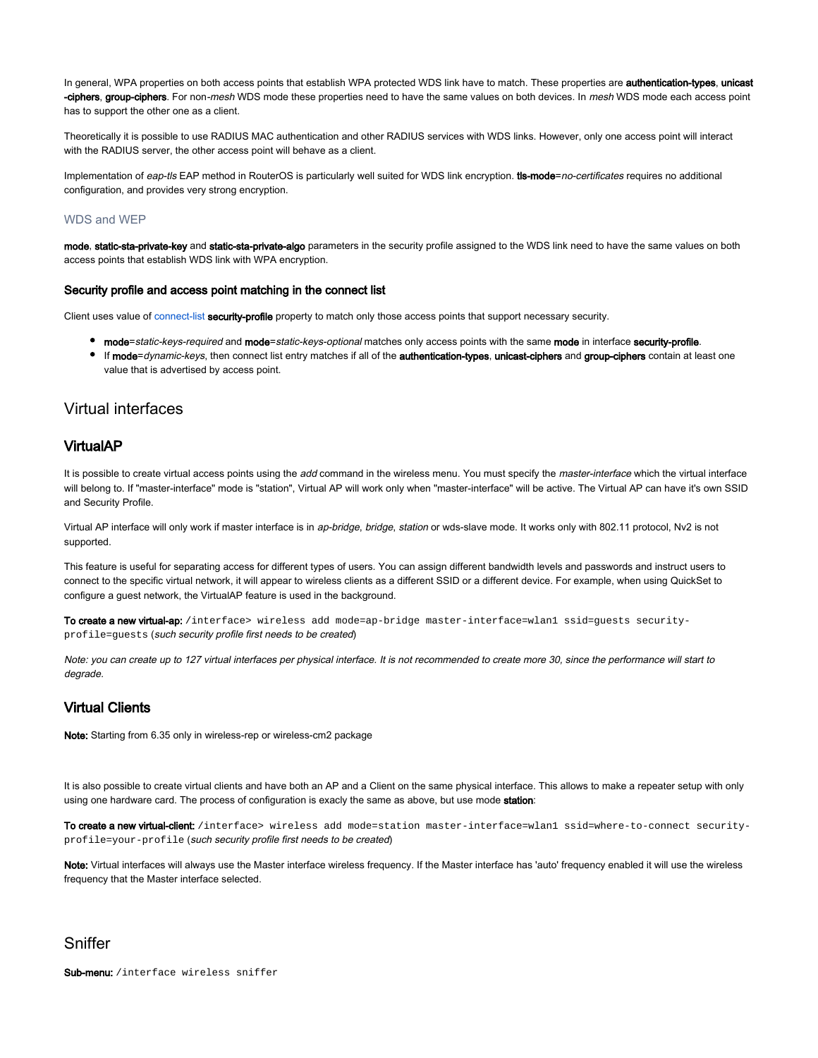In general, WPA properties on both access points that establish WPA protected WDS link have to match. These properties are authentication-types, unicast -ciphers, group-ciphers. For non-mesh WDS mode these properties need to have the same values on both devices. In mesh WDS mode each access point has to support the other one as a client.

Theoretically it is possible to use RADIUS MAC authentication and other RADIUS services with WDS links. However, only one access point will interact with the RADIUS server, the other access point will behave as a client.

Implementation of eap-tls EAP method in RouterOS is particularly well suited for WDS link encryption. tis-mode=no-certificates requires no additional configuration, and provides very strong encryption.

#### <span id="page-31-0"></span>WDS and WEP

mode, static-sta-private-key and static-sta-private-algo parameters in the security profile assigned to the WDS link need to have the same values on both access points that establish WDS link with WPA encryption.

#### <span id="page-31-1"></span>Security profile and access point matching in the connect list

Client uses value of [connect-list](https://help.mikrotik.com/docs/display/ROS/Wireless+Interface#WirelessInterface-ConnectList) security-profile property to match only those access points that support necessary security.

- mode=static-keys-required and mode=static-keys-optional matches only access points with the same mode in interface security-profile.
- If mode=dynamic-keys, then connect list entry matches if all of the authentication-types, unicast-ciphers and group-ciphers contain at least one value that is advertised by access point.

## <span id="page-31-2"></span>Virtual interfaces

### <span id="page-31-3"></span>VirtualAP

It is possible to create virtual access points using the add command in the wireless menu. You must specify the master-interface which the virtual interface will belong to. If "master-interface" mode is "station", Virtual AP will work only when "master-interface" will be active. The Virtual AP can have it's own SSID and Security Profile.

Virtual AP interface will only work if master interface is in ap-bridge, bridge, station or wds-slave mode. It works only with 802.11 protocol, Nv2 is not supported.

This feature is useful for separating access for different types of users. You can assign different bandwidth levels and passwords and instruct users to connect to the specific virtual network, it will appear to wireless clients as a different SSID or a different device. For example, when using QuickSet to configure a guest network, the VirtualAP feature is used in the background.

To create a new virtual-ap: /interface> wireless add mode=ap-bridge master-interface=wlan1 ssid=quests securityprofile=guests (such security profile first needs to be created)

Note: you can create up to 127 virtual interfaces per physical interface. It is not recommended to create more 30, since the performance will start to degrade.

### <span id="page-31-4"></span>Virtual Clients

Note: Starting from 6.35 only in wireless-rep or wireless-cm2 package

It is also possible to create virtual clients and have both an AP and a Client on the same physical interface. This allows to make a repeater setup with only using one hardware card. The process of configuration is exacly the same as above, but use mode station:

To create a new virtual-client: /interface> wireless add mode=station master-interface=wlan1 ssid=where-to-connect securityprofile=your-profile (such security profile first needs to be created)

Note: Virtual interfaces will always use the Master interface wireless frequency. If the Master interface has 'auto' frequency enabled it will use the wireless frequency that the Master interface selected.

### <span id="page-31-5"></span>Sniffer

Sub-menu: /interface wireless sniffer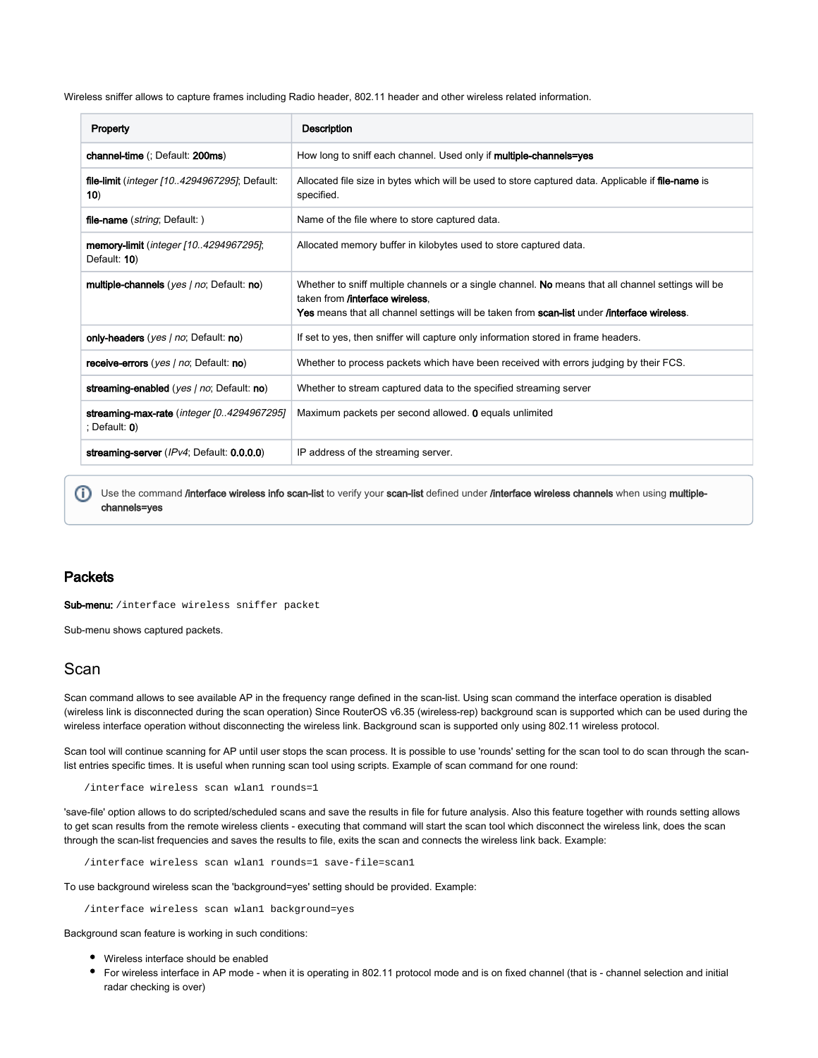Wireless sniffer allows to capture frames including Radio header, 802.11 header and other wireless related information.

| Property                                                       | Description                                                                                                                                                                                                                                          |
|----------------------------------------------------------------|------------------------------------------------------------------------------------------------------------------------------------------------------------------------------------------------------------------------------------------------------|
| <b>channel-time</b> (; Default: <b>200ms</b> )                 | How long to sniff each channel. Used only if <b>multiple-channels=yes</b>                                                                                                                                                                            |
| file-limit ( <i>integer [104294967295]</i> ; Default:<br>10)   | Allocated file size in bytes which will be used to store captured data. Applicable if file-name is<br>specified.                                                                                                                                     |
| file-name (string; Default:)                                   | Name of the file where to store captured data.                                                                                                                                                                                                       |
| <b>memory-limit</b> (integer [104294967295];<br>Default: 10)   | Allocated memory buffer in kilobytes used to store captured data.                                                                                                                                                                                    |
| multiple-channels (yes   no; Default: no)                      | Whether to sniff multiple channels or a single channel. No means that all channel settings will be<br>taken from <b>/interface wireless</b> .<br>Yes means that all channel settings will be taken from scan-list under <i>linterface wireless</i> . |
| only-headers (yes   no; Default: no)                           | If set to yes, then sniffer will capture only information stored in frame headers.                                                                                                                                                                   |
| receive-errors (yes / no; Default: no)                         | Whether to process packets which have been received with errors judging by their FCS.                                                                                                                                                                |
| streaming-enabled (yes / no; Default: no)                      | Whether to stream captured data to the specified streaming server                                                                                                                                                                                    |
| streaming-max-rate (integer [0.4294967295]<br>; Default: $0$ ) | Maximum packets per second allowed. <b>0</b> equals unlimited                                                                                                                                                                                        |
| streaming-server (IPv4; Default: 0.0.0.0)                      | IP address of the streaming server.                                                                                                                                                                                                                  |

(i) Use the command /interface wireless info scan-list to verify your scan-list defined under /interface wireless channels when using multiplechannels=yes

### <span id="page-32-0"></span>**Packets**

Sub-menu: /interface wireless sniffer packet

Sub-menu shows captured packets.

## <span id="page-32-1"></span>Scan

Scan command allows to see available AP in the frequency range defined in the scan-list. Using scan command the interface operation is disabled (wireless link is disconnected during the scan operation) Since RouterOS v6.35 (wireless-rep) background scan is supported which can be used during the wireless interface operation without disconnecting the wireless link. Background scan is supported only using 802.11 wireless protocol.

Scan tool will continue scanning for AP until user stops the scan process. It is possible to use 'rounds' setting for the scan tool to do scan through the scanlist entries specific times. It is useful when running scan tool using scripts. Example of scan command for one round:

/interface wireless scan wlan1 rounds=1

'save-file' option allows to do scripted/scheduled scans and save the results in file for future analysis. Also this feature together with rounds setting allows to get scan results from the remote wireless clients - executing that command will start the scan tool which disconnect the wireless link, does the scan through the scan-list frequencies and saves the results to file, exits the scan and connects the wireless link back. Example:

/interface wireless scan wlan1 rounds=1 save-file=scan1

To use background wireless scan the 'background=yes' setting should be provided. Example:

/interface wireless scan wlan1 background=yes

Background scan feature is working in such conditions:

- Wireless interface should be enabled
- For wireless interface in AP mode when it is operating in 802.11 protocol mode and is on fixed channel (that is channel selection and initial radar checking is over)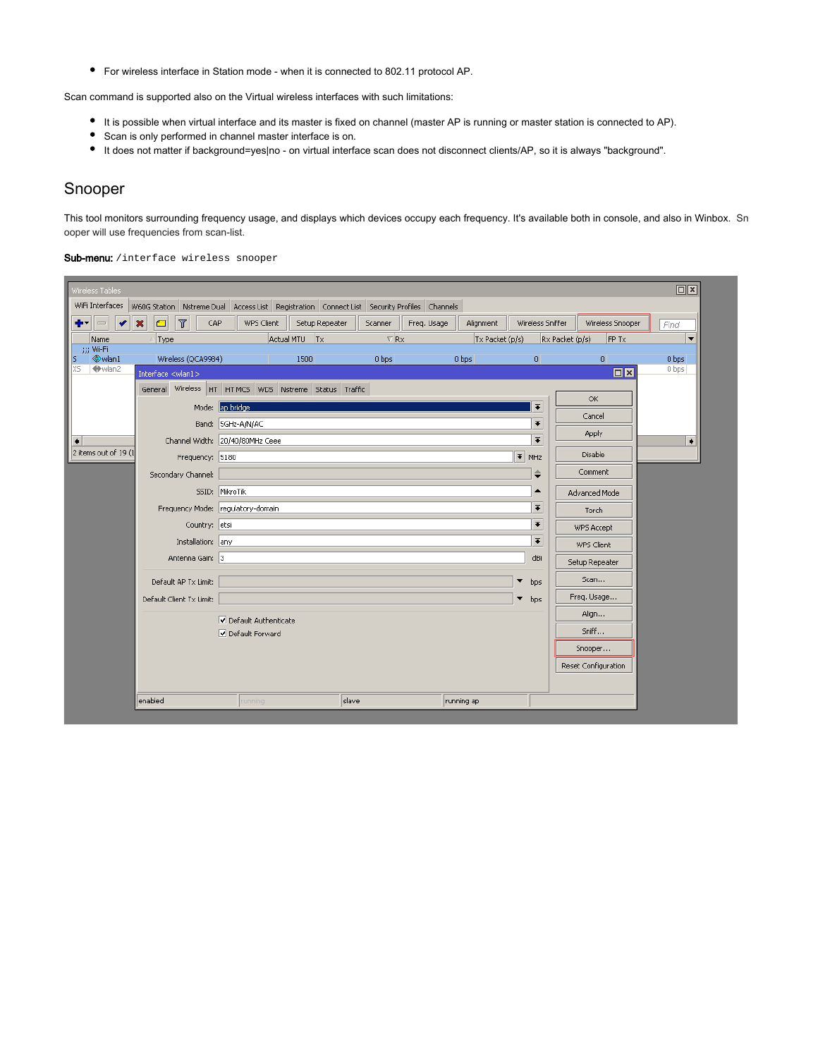For wireless interface in Station mode - when it is connected to 802.11 protocol AP.

Scan command is supported also on the Virtual wireless interfaces with such limitations:

- It is possible when virtual interface and its master is fixed on channel (master AP is running or master station is connected to AP).
- Scan is only performed in channel master interface is on.
- It does not matter if background=yes|no on virtual interface scan does not disconnect clients/AP, so it is always "background".

## <span id="page-33-0"></span>Snooper

This tool monitors surrounding frequency usage, and displays which devices occupy each frequency. It's available both in console, and also in Winbox. Sn ooper will use frequencies from scan-list.

Sub-menu: /interface wireless snooper

| Wireless Tables               |                                                                                            |                                   |                 |                        |             |                 |                          |                                   | $\Box$                   |
|-------------------------------|--------------------------------------------------------------------------------------------|-----------------------------------|-----------------|------------------------|-------------|-----------------|--------------------------|-----------------------------------|--------------------------|
| WiFi Interfaces               | W60G Station Nstreme Dual Access List Registration Connect List Security Profiles Channels |                                   |                 |                        |             |                 |                          |                                   |                          |
| ╋┯║═╢<br>$\blacktriangledown$ | $\pmb{\times}$<br>$\overline{r}$<br>$\blacksquare$<br>CAP                                  | WPS Client                        | Setup Repeater  | Scanner                | Freq. Usage | Alignment       | Wireless Sniffer         | Wireless Snooper                  | Find                     |
| Name                          | Type                                                                                       |                                   | Actual MTU   Tx | $\nabla$ <sub>Rx</sub> |             | Tx Packet (p/s) |                          | Rx Packet (p/s)<br>FP Tx          | $\overline{\phantom{0}}$ |
| (i) Wi-Fi<br>ls.              | Wireless (QCA9984)                                                                         |                                   | 1500            | 0 bps                  |             | 0 bps           | $\overline{0}$           | 0                                 | 0 bps                    |
| XS.<br>wlan2                  | Interface <wlan1></wlan1>                                                                  |                                   |                 |                        |             |                 |                          | $\boxed{\square \square \square}$ | 0 bps                    |
|                               | General Wireless HT HTMCS WDS Nstreme Status Traffic                                       |                                   |                 |                        |             |                 |                          |                                   |                          |
|                               |                                                                                            | Mode: ap bridge                   |                 |                        |             |                 | $\overline{\textbf{+}}$  | OK.                               |                          |
|                               |                                                                                            | Band: 5GHz-A/N/AC                 |                 |                        |             |                 | $\overline{\bullet}$     | Cancel                            |                          |
| $\left  \bullet \right $      |                                                                                            | Channel Width: 20/40/80MHz Ceee   |                 |                        |             |                 | $\overline{\bullet}$     | Apply                             | ۰                        |
| 2 items out of 19 (1          | Frequency: 5180                                                                            |                                   |                 |                        |             |                 | $\overline{\bullet}$ MHz | Disable                           |                          |
|                               | Secondary Channel:                                                                         |                                   |                 |                        |             |                 | ≑                        | Comment                           |                          |
|                               |                                                                                            | SSID: MikroTik                    |                 |                        |             |                 |                          | Advanced Mode                     |                          |
|                               |                                                                                            | Frequency Mode: regulatory-domain |                 |                        |             |                 | $\overline{\bullet}$     | Torch                             |                          |
|                               | Country: etsi                                                                              |                                   |                 |                        |             |                 | $\overline{\bullet}$     | WPS Accept                        |                          |
|                               | Installation: any                                                                          |                                   |                 |                        |             |                 | $\overline{\bullet}$     | WPS Client                        |                          |
|                               | Antenna Gain: 3                                                                            |                                   |                 |                        |             |                 | dBi                      | Setup Repeater                    |                          |
|                               |                                                                                            |                                   |                 |                        |             |                 |                          |                                   |                          |
|                               | Default AP Tx Limit:                                                                       |                                   |                 |                        |             |                 | ▼<br>bps                 | Scan                              |                          |
|                               | Default Client Tx Limit:                                                                   |                                   |                 |                        |             |                 | ▼<br>bps                 | Freq. Usage                       |                          |
|                               |                                                                                            | Default Authenticate              |                 |                        |             |                 |                          | Align                             |                          |
|                               |                                                                                            | Default Forward                   |                 |                        |             |                 |                          | Sniff                             |                          |
|                               |                                                                                            |                                   |                 |                        |             |                 |                          | Snooper                           |                          |
|                               |                                                                                            |                                   |                 |                        |             |                 |                          | Reset Configuration               |                          |
|                               |                                                                                            |                                   |                 |                        |             |                 |                          |                                   |                          |
|                               | enabled                                                                                    | prinning                          | slave           |                        |             | running ap      |                          |                                   |                          |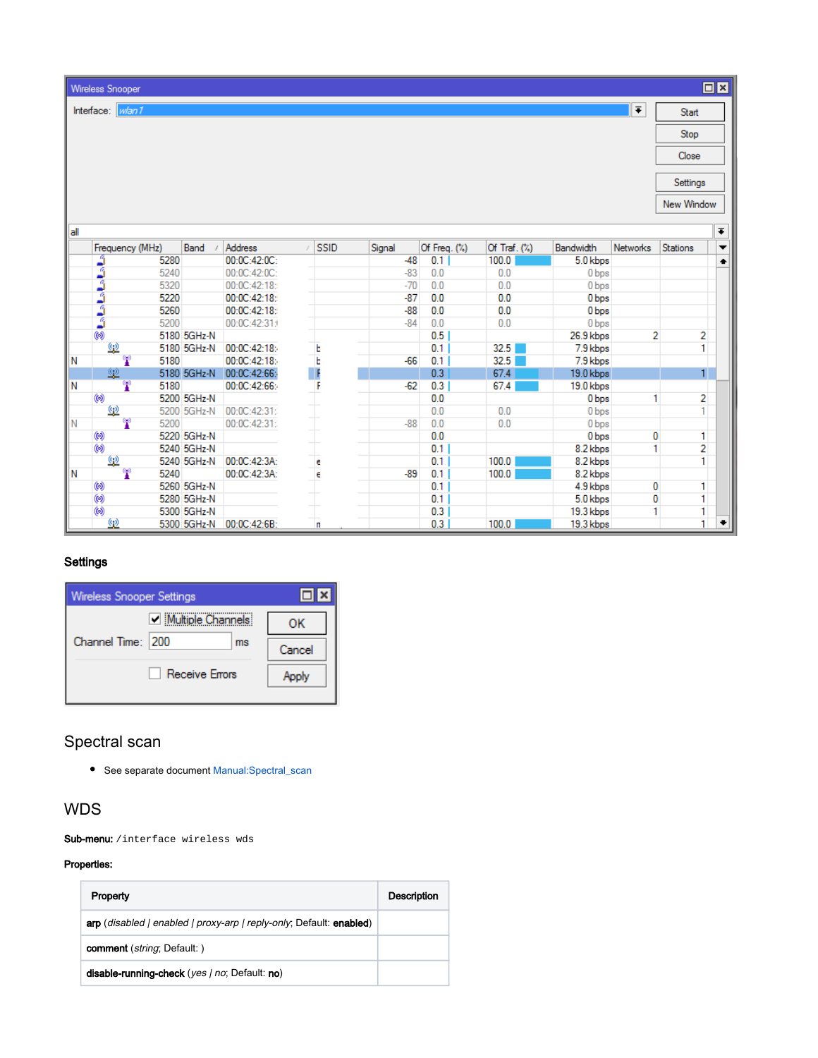| ________ |  |
|----------|--|
|          |  |
|          |  |

Wireless Snooper Interface: *Wan1* 

| <b>Contract Contract Contract Contract Contract Contract Contract Contract Contract Contract Contract Contract Co</b> |  |  |
|-----------------------------------------------------------------------------------------------------------------------|--|--|
|                                                                                                                       |  |  |
|                                                                                                                       |  |  |

Start Stop

 $\overline{\bullet}$ 

Close

New Window

|    | Frequency (MHz) | Band        | <b>Address</b> | <b>SSID</b> | Signal | Of Freq. (%) | Of Traf. $(\%)$ | <b>Bandwidth</b> | <b>Networks</b> | <b>Stations</b> | $\overline{\phantom{a}}$ |
|----|-----------------|-------------|----------------|-------------|--------|--------------|-----------------|------------------|-----------------|-----------------|--------------------------|
|    |                 |             |                |             |        |              |                 |                  |                 |                 |                          |
|    | ث<br>5280       |             | 00:0C:42:0C:   |             | $-48$  | 0.1          | 100.0           | 5.0 kbps         |                 |                 | ٠                        |
|    | ئ<br>5240       |             | 00:0C:42:0C:   |             | $-83$  | 0.0          | 0.0             | 0 bps            |                 |                 |                          |
|    | ۇ<br>5320       |             | 00:0C:42:18:   |             | $-70$  | 0.0          | 0.0             | 0 bps            |                 |                 |                          |
|    | á<br>5220       |             | 00:0C:42:18:   |             | $-87$  | 0.0          | 0.0             | 0 bps            |                 |                 |                          |
|    | ۇ<br>5260       |             | 00:0C:42:18:   |             | $-88$  | 0.0          | 0.0             | 0 bps            |                 |                 |                          |
|    | ٥<br>5200       |             | 00:0C:42:31:   |             | $-84$  | 0.0          | 0.0             | 0 bps            |                 |                 |                          |
|    | 6               | 5180 5GHz-N |                |             |        | 0.5          |                 | 26.9 kbps        | 2               |                 | 2                        |
|    | <u>(3)</u>      | 5180 5GHz-N | 00:0C:42:18:   | Ь           |        | 0.1          | 32.5            | 7.9 kbps         |                 |                 |                          |
| IN | Ŧ<br>5180       |             | 00:0C:42:18:   | $\mathbf b$ | $-66$  | 0.1          | 32.5            | 7.9 kbps         |                 |                 |                          |
|    | 塱               | 5180 5GHz-N | 00:0C:42:66:   | F           |        | 0.3          | 67.4            | 19.0 kbps        |                 |                 |                          |
| N  | Y<br>5180       |             | 00:0C:42:66:   |             | $-62$  | 0.3          | 67.4            | 19.0 kbps        |                 |                 |                          |
|    | 6               | 5200 5GHz-N |                |             |        | 0.0          |                 | 0 bps            |                 |                 | $\overline{2}$           |
|    | Q)              | 5200 5GHz-N | 00:0C:42:31:   |             |        | 0.0          | 0.0             | 0 bps            |                 |                 |                          |
| IN | œ<br>5200       |             | 00:0C:42:31:   |             | $-88$  | 0.0          | 0.0             | 0 bps            |                 |                 |                          |
|    | 0               | 5220 5GHz-N |                |             |        | 0.0          |                 | 0 bps            | 0               |                 | 1                        |
|    | $\circledcirc$  | 5240 5GHz-N |                |             |        | 0.1          |                 | 8.2 kbps         |                 |                 | 2                        |
|    | $\frac{a}{2}$   | 5240 5GHz-N | 00:0C:42:3A:   | e           |        | 0.1          | 100.0           | 8.2 kbps         |                 |                 |                          |
| 'N | œ<br>5240       |             | 00:0C:42:3A:   | e           | $-89$  | 0.1          | 100.0           | 8.2 kbps         |                 |                 |                          |
|    | 0               | 5260 5GHz-N |                |             |        | 0.1          |                 | 4.9 kbps         | 0               |                 | 1                        |
|    | $\circledcirc$  | 5280 5GHz-N |                |             |        | 0.1          |                 | 5.0 kbps         | 0               |                 |                          |
|    | $\circledcirc$  | 5300 5GHz-N |                |             |        | 0.3          |                 | 19.3 kbps        |                 |                 |                          |
|    | <u>(9)</u>      | 5300 5GHz-N | 00:0C:42:6B.   | n           |        | 0.3          | 100.0           | 19.3 kbps        |                 |                 | ۰                        |

## <span id="page-34-0"></span>**Settings**

| Wireless Snooper Settings |                         |              |
|---------------------------|-------------------------|--------------|
| Channel Time: 200         | Multiple Channels<br>ms | ок<br>Cancel |
|                           | <b>Receive Errors</b>   | Apply        |

## <span id="page-34-1"></span>Spectral scan

See separate document [Manual:Spectral\\_scan](https://wiki.mikrotik.com/wiki/Manual:Spectral_scan)

## <span id="page-34-2"></span>WDS

Sub-menu: / interface wireless wds

#### Properties:

| Property                                                            | <b>Description</b> |
|---------------------------------------------------------------------|--------------------|
| arp (disabled   enabled   proxy-arp   reply-only; Default: enabled) |                    |
| <b>comment</b> ( <i>string</i> ; Default: )                         |                    |
| disable-running-check (yes   no; Default: no)                       |                    |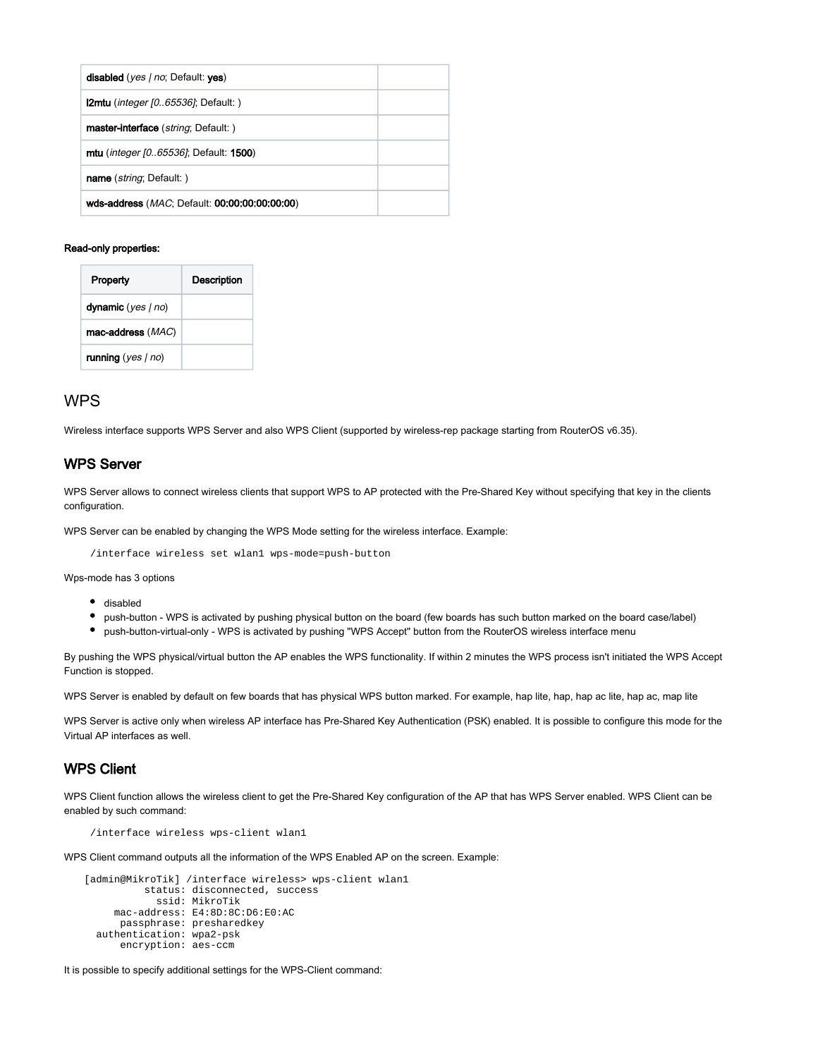| <b>disabled</b> ( <i>yes   no</i> ; Default: yes)             |  |
|---------------------------------------------------------------|--|
| <b>2mtu</b> ( <i>integer [065536]</i> ; Default: )            |  |
| master-interface ( <i>string</i> ; Default: )                 |  |
| <b>mtu</b> ( <i>integer [065536]</i> ; Default: <b>1500</b> ) |  |
| <b>name</b> ( <i>string</i> ; Default: )                      |  |
| wds-address ( <i>MAC</i> ; Default: 00:00:00:00:00:00)        |  |

#### Read-only properties:

| Property             | Description |
|----------------------|-------------|
| dynamic $(yes   no)$ |             |
| mac-address (MAC)    |             |
| running $(yes   no)$ |             |

## <span id="page-35-0"></span>WPS

Wireless interface supports WPS Server and also WPS Client (supported by wireless-rep package starting from RouterOS v6.35).

## <span id="page-35-1"></span>WPS Server

WPS Server allows to connect wireless clients that support WPS to AP protected with the Pre-Shared Key without specifying that key in the clients configuration.

WPS Server can be enabled by changing the WPS Mode setting for the wireless interface. Example:

/interface wireless set wlan1 wps-mode=push-button

Wps-mode has 3 options

- disabled
- push-button WPS is activated by pushing physical button on the board (few boards has such button marked on the board case/label)
- push-button-virtual-only WPS is activated by pushing "WPS Accept" button from the RouterOS wireless interface menu

By pushing the WPS physical/virtual button the AP enables the WPS functionality. If within 2 minutes the WPS process isn't initiated the WPS Accept Function is stopped.

WPS Server is enabled by default on few boards that has physical WPS button marked. For example, hap lite, hap, hap ac lite, hap ac, map lite

WPS Server is active only when wireless AP interface has Pre-Shared Key Authentication (PSK) enabled. It is possible to configure this mode for the Virtual AP interfaces as well.

### <span id="page-35-2"></span>WPS Client

WPS Client function allows the wireless client to get the Pre-Shared Key configuration of the AP that has WPS Server enabled. WPS Client can be enabled by such command:

/interface wireless wps-client wlan1

WPS Client command outputs all the information of the WPS Enabled AP on the screen. Example:

```
[admin@MikroTik] /interface wireless> wps-client wlan1
           status: disconnected, success
             ssid: MikroTik
      mac-address: E4:8D:8C:D6:E0:AC
      passphrase: presharedkey
  authentication: wpa2-psk
      encryption: aes-ccm
```
It is possible to specify additional settings for the WPS-Client command: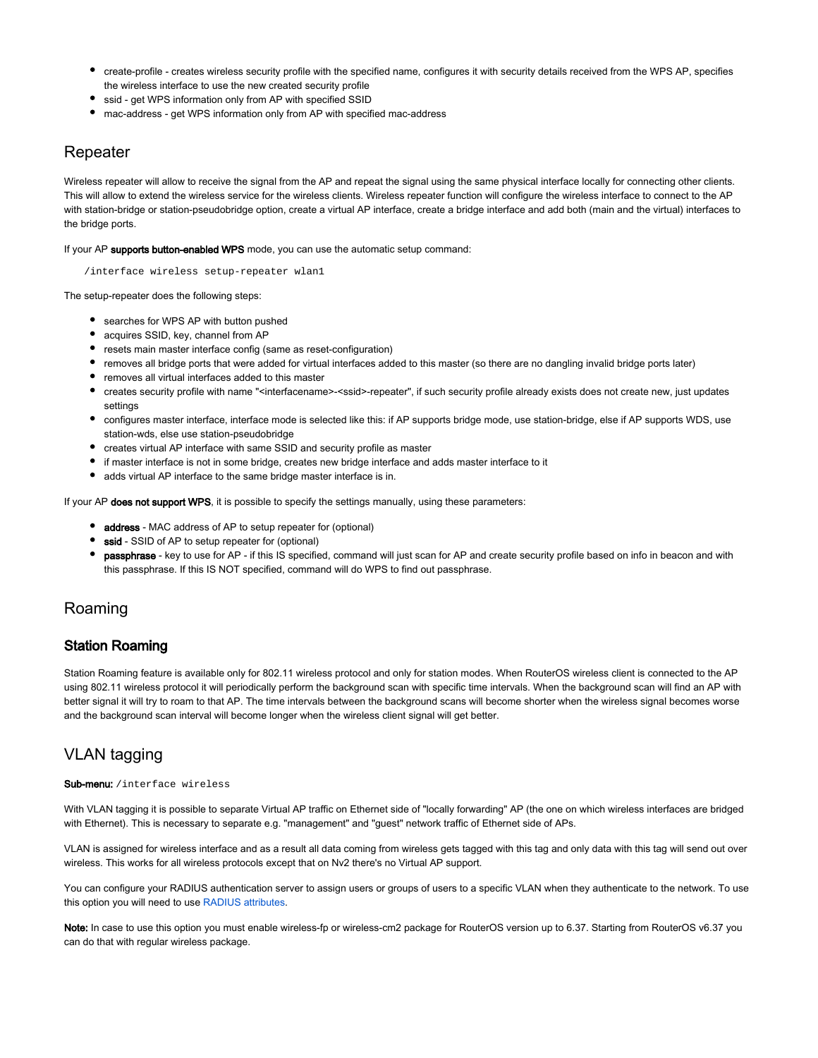- create-profile creates wireless security profile with the specified name, configures it with security details received from the WPS AP, specifies the wireless interface to use the new created security profile
- ssid get WPS information only from AP with specified SSID
- mac-address get WPS information only from AP with specified mac-address

## <span id="page-36-0"></span>Repeater

Wireless repeater will allow to receive the signal from the AP and repeat the signal using the same physical interface locally for connecting other clients. This will allow to extend the wireless service for the wireless clients. Wireless repeater function will configure the wireless interface to connect to the AP with station-bridge or station-pseudobridge option, create a virtual AP interface, create a bridge interface and add both (main and the virtual) interfaces to the bridge ports.

If your AP supports button-enabled WPS mode, you can use the automatic setup command:

/interface wireless setup-repeater wlan1

The setup-repeater does the following steps:

- searches for WPS AP with button pushed
- acquires SSID, key, channel from AP
- resets main master interface config (same as reset-configuration)
- removes all bridge ports that were added for virtual interfaces added to this master (so there are no dangling invalid bridge ports later)
- removes all virtual interfaces added to this master
- creates security profile with name "<interfacename>-<ssid>-repeater", if such security profile already exists does not create new, just updates settings
- configures master interface, interface mode is selected like this: if AP supports bridge mode, use station-bridge, else if AP supports WDS, use station-wds, else use station-pseudobridge
- creates virtual AP interface with same SSID and security profile as master
- if master interface is not in some bridge, creates new bridge interface and adds master interface to it
- adds virtual AP interface to the same bridge master interface is in.

If your AP does not support WPS, it is possible to specify the settings manually, using these parameters:

- address MAC address of AP to setup repeater for (optional)
- ssid SSID of AP to setup repeater for (optional)
- **passphrase** key to use for AP if this IS specified, command will just scan for AP and create security profile based on info in beacon and with this passphrase. If this IS NOT specified, command will do WPS to find out passphrase.

## <span id="page-36-1"></span>Roaming

### <span id="page-36-2"></span>Station Roaming

Station Roaming feature is available only for 802.11 wireless protocol and only for station modes. When RouterOS wireless client is connected to the AP using 802.11 wireless protocol it will periodically perform the background scan with specific time intervals. When the background scan will find an AP with better signal it will try to roam to that AP. The time intervals between the background scans will become shorter when the wireless signal becomes worse and the background scan interval will become longer when the wireless client signal will get better.

## <span id="page-36-3"></span>VLAN tagging

#### Sub-menu: /interface wireless

With VLAN tagging it is possible to separate Virtual AP traffic on Ethernet side of "locally forwarding" AP (the one on which wireless interfaces are bridged with Ethernet). This is necessary to separate e.g. "management" and "guest" network traffic of Ethernet side of APs.

VLAN is assigned for wireless interface and as a result all data coming from wireless gets tagged with this tag and only data with this tag will send out over wireless. This works for all wireless protocols except that on Nv2 there's no Virtual AP support.

You can configure your RADIUS authentication server to assign users or groups of users to a specific VLAN when they authenticate to the network. To use this option you will need to use [RADIUS attributes](https://wiki.mikrotik.com/wiki/Manual:RADIUS_Client/vendor_dictionary).

Note: In case to use this option you must enable wireless-fp or wireless-cm2 package for RouterOS version up to 6.37. Starting from RouterOS v6.37 you can do that with regular wireless package.